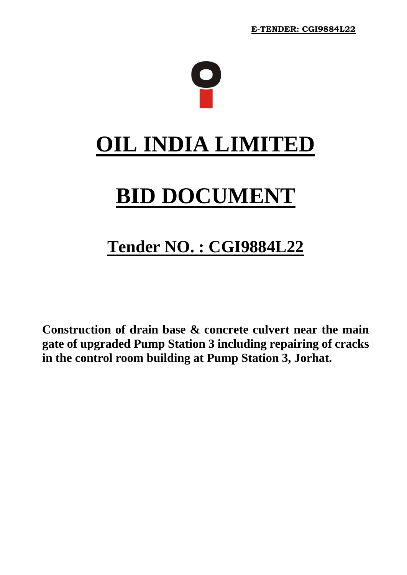

# **Tender NO. : CGI9884L22**

**Construction of drain base & concrete culvert near the main gate of upgraded Pump Station 3 including repairing of cracks in the control room building at Pump Station 3, Jorhat.**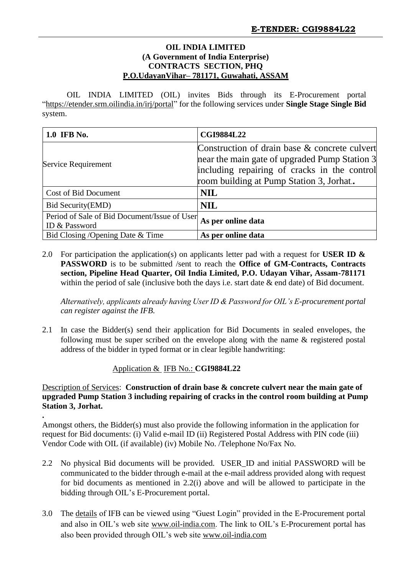#### **OIL INDIA LIMITED (A Government of India Enterprise) CONTRACTS SECTION, PHQ P.O.UdayanVihar– 781171, Guwahati, ASSAM**

OIL INDIA LIMITED (OIL) invites Bids through its E-Procurement portal "https://etender.srm.oilindia.in/irj/portal" for the following services under **Single Stage Single Bid** system.

| 1.0 IFB No.                                                   | <b>CGI9884L22</b>                                                                                                                                                                          |  |  |  |
|---------------------------------------------------------------|--------------------------------------------------------------------------------------------------------------------------------------------------------------------------------------------|--|--|--|
| Service Requirement                                           | Construction of drain base & concrete culvert<br>near the main gate of upgraded Pump Station 3<br>including repairing of cracks in the control<br>room building at Pump Station 3, Jorhat. |  |  |  |
| Cost of Bid Document                                          | <b>NIL</b>                                                                                                                                                                                 |  |  |  |
| Bid Security(EMD)                                             | <b>NIL</b>                                                                                                                                                                                 |  |  |  |
| Period of Sale of Bid Document/Issue of User<br>ID & Password | As per online data                                                                                                                                                                         |  |  |  |
| Bid Closing / Opening Date & Time                             | As per online data                                                                                                                                                                         |  |  |  |

2.0 For participation the application(s) on applicants letter pad with a request for **USER ID & PASSWORD** is to be submitted /sent to reach the **Office of GM-Contracts, Contracts section, Pipeline Head Quarter, Oil India Limited, P.O. Udayan Vihar, Assam-781171**  within the period of sale (inclusive both the days i.e. start date & end date) of Bid document.

*Alternatively, applicants already having User ID & Password for OIL's E-procurement portal can register against the IFB.*

2.1 In case the Bidder(s) send their application for Bid Documents in sealed envelopes, the following must be super scribed on the envelope along with the name & registered postal address of the bidder in typed format or in clear legible handwriting:

#### Application & IFB No.: **CGI9884L22**

#### Description of Services: **Construction of drain base & concrete culvert near the main gate of upgraded Pump Station 3 including repairing of cracks in the control room building at Pump Station 3, Jorhat.**

**.** Amongst others, the Bidder(s) must also provide the following information in the application for request for Bid documents: (i) Valid e-mail ID (ii) Registered Postal Address with PIN code (iii) Vendor Code with OIL (if available) (iv) Mobile No. /Telephone No/Fax No.

- 2.2 No physical Bid documents will be provided. USER\_ID and initial PASSWORD will be communicated to the bidder through e-mail at the e-mail address provided along with request for bid documents as mentioned in 2.2(i) above and will be allowed to participate in the bidding through OIL's E-Procurement portal.
- 3.0 The details of IFB can be viewed using "Guest Login" provided in the E-Procurement portal and also in OIL's web site [www.oil-india.com.](http://www.oil-india.com/) The link to OIL's E-Procurement portal has also been provided through OIL's web site [www.oil-india.com](http://www.oil-india.com/)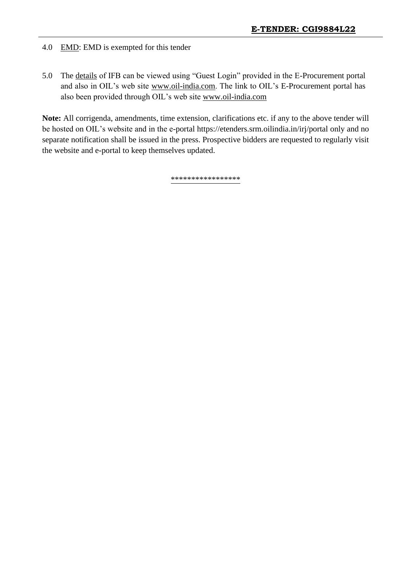# 4.0 EMD: EMD is exempted for this tender

5.0 The details of IFB can be viewed using "Guest Login" provided in the E-Procurement portal and also in OIL's web site [www.oil-india.com.](http://www.oil-india.com/) The link to OIL's E-Procurement portal has also been provided through OIL's web site [www.oil-india.com](http://www.oil-india.com/)

**Note:** All corrigenda, amendments, time extension, clarifications etc. if any to the above tender will be hosted on OIL's website and in the e-portal [https://etenders.srm.oilindia.in/irj/portal o](https://etenders.srm.oilindia.in/irj/portal)nly and no separate notification shall be issued in the press. Prospective bidders are requested to regularly visit the website and e-portal to keep themselves updated.

\*\*\*\*\*\*\*\*\*\*\*\*\*\*\*\*\*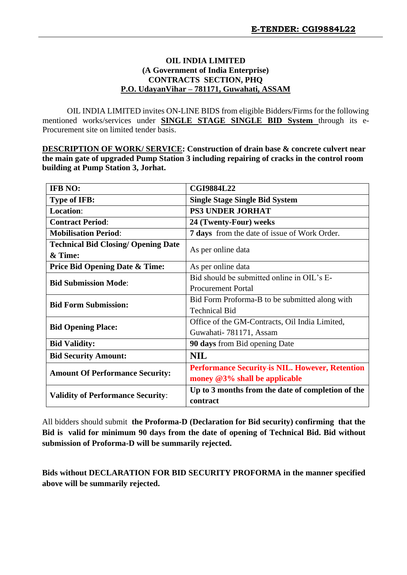#### **OIL INDIA LIMITED (A Government of India Enterprise) CONTRACTS SECTION, PHQ P.O. UdayanVihar – 781171, Guwahati, ASSAM**

OIL INDIA LIMITED invites ON-LINE BIDS from eligible Bidders/Firms for the following mentioned works/services under **SINGLE STAGE SINGLE BID System** through its e-Procurement site on limited tender basis.

**DESCRIPTION OF WORK/ SERVICE: Construction of drain base & concrete culvert near the main gate of upgraded Pump Station 3 including repairing of cracks in the control room building at Pump Station 3, Jorhat.**

| <b>IFB NO:</b>                             | <b>CGI9884L22</b>                                      |  |  |  |  |  |
|--------------------------------------------|--------------------------------------------------------|--|--|--|--|--|
| <b>Type of IFB:</b>                        | <b>Single Stage Single Bid System</b>                  |  |  |  |  |  |
| <b>Location:</b>                           | <b>PS3 UNDER JORHAT</b>                                |  |  |  |  |  |
| <b>Contract Period:</b>                    | 24 (Twenty-Four) weeks                                 |  |  |  |  |  |
| <b>Mobilisation Period:</b>                | <b>7 days</b> from the date of issue of Work Order.    |  |  |  |  |  |
| <b>Technical Bid Closing/ Opening Date</b> | As per online data                                     |  |  |  |  |  |
| & Time:                                    |                                                        |  |  |  |  |  |
| <b>Price Bid Opening Date &amp; Time:</b>  | As per online data                                     |  |  |  |  |  |
| <b>Bid Submission Mode:</b>                | Bid should be submitted online in OIL's E-             |  |  |  |  |  |
|                                            | <b>Procurement Portal</b>                              |  |  |  |  |  |
| <b>Bid Form Submission:</b>                | Bid Form Proforma-B to be submitted along with         |  |  |  |  |  |
|                                            | <b>Technical Bid</b>                                   |  |  |  |  |  |
| <b>Bid Opening Place:</b>                  | Office of the GM-Contracts, Oil India Limited,         |  |  |  |  |  |
|                                            | Guwahati-781171, Assam                                 |  |  |  |  |  |
| <b>Bid Validity:</b>                       | <b>90 days</b> from Bid opening Date                   |  |  |  |  |  |
| <b>Bid Security Amount:</b>                | <b>NIL</b>                                             |  |  |  |  |  |
| <b>Amount Of Performance Security:</b>     | <b>Performance Security-is NIL. However, Retention</b> |  |  |  |  |  |
|                                            | money $@3\%$ shall be applicable                       |  |  |  |  |  |
| <b>Validity of Performance Security:</b>   | Up to 3 months from the date of completion of the      |  |  |  |  |  |
|                                            | contract                                               |  |  |  |  |  |

All bidders should submit **the Proforma-D (Declaration for Bid security) confirming that the Bid is valid for minimum 90 days from the date of opening of Technical Bid. Bid without submission of Proforma-D will be summarily rejected.**

**Bids without DECLARATION FOR BID SECURITY PROFORMA in the manner specified above will be summarily rejected.**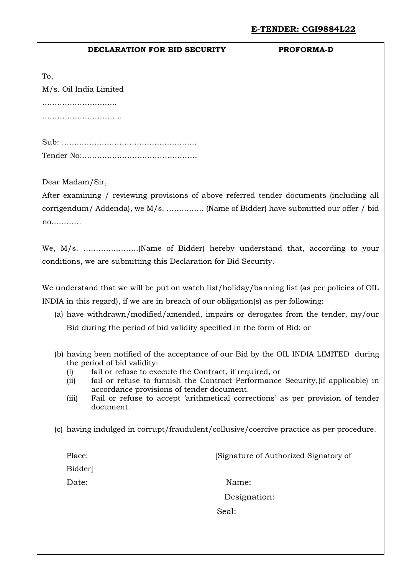#### **DECLARATION FOR BID SECURITY PROFORMA-D**

M/s. Oil India Limited …………………………………

To,

……………………………………

Sub: ……………………………………………… Tender No:……………………………………….

Dear Madam/Sir,

After examining / reviewing provisions of above referred tender documents (including all corrigendum/ Addenda), we M/s. …………… (Name of Bidder) have submitted our offer / bid no…………

We, M/s. ………………….(Name of Bidder) hereby understand that, according to your conditions, we are submitting this Declaration for Bid Security.

We understand that we will be put on watch list/holiday/banning list (as per policies of OIL INDIA in this regard), if we are in breach of our obligation(s) as per following:

- (a) have withdrawn/modified/amended, impairs or derogates from the tender, my/our Bid during the period of bid validity specified in the form of Bid; or
- (b) having been notified of the acceptance of our Bid by the OIL INDIA LIMITED during the period of bid validity:
	- (i) fail or refuse to execute the Contract, if required, or
	- (ii) fail or refuse to furnish the Contract Performance Security,(if applicable) in accordance provisions of tender document.
	- (iii) Fail or refuse to accept 'arithmetical corrections' as per provision of tender document.
- (c) having indulged in corrupt/fraudulent/collusive/coercive practice as per procedure.

Place: [Signature of Authorized Signatory of Bidder] Date: Name: Designation: Seal: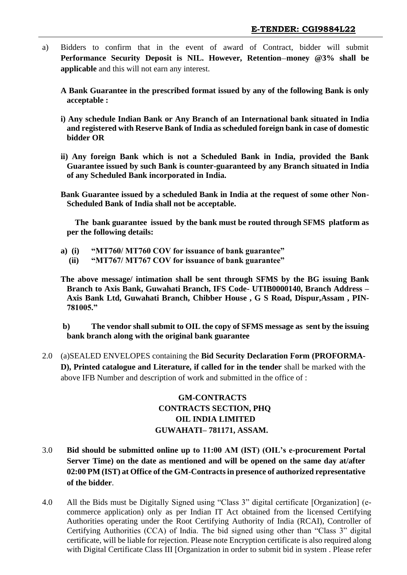- a) Bidders to confirm that in the event of award of Contract, bidder will submit **Performance Security Deposit is NIL. However, Retention–money @3% shall be applicable** and this will not earn any interest.
	- **A Bank Guarantee in the prescribed format issued by any of the following Bank is only acceptable :**
	- **i) Any schedule Indian Bank or Any Branch of an International bank situated in India and registered with Reserve Bank of India as scheduled foreign bank in case of domestic bidder OR**
	- **ii) Any foreign Bank which is not a Scheduled Bank in India, provided the Bank Guarantee issued by such Bank is counter-guaranteed by any Branch situated in India of any Scheduled Bank incorporated in India.**
	- **Bank Guarantee issued by a scheduled Bank in India at the request of some other Non-Scheduled Bank of India shall not be acceptable.**

 **The bank guarantee issued by the bank must be routed through SFMS platform as per the following details:**

- **a) (i) "MT760/ MT760 COV for issuance of bank guarantee"**
	- **(ii) "MT767/ MT767 COV for issuance of bank guarantee"**
- **The above message/ intimation shall be sent through SFMS by the BG issuing Bank Branch to Axis Bank, Guwahati Branch, IFS Code- UTIB0000140, Branch Address – Axis Bank Ltd, Guwahati Branch, Chibber House , G S Road, Dispur,Assam , PIN-781005."**

**b) The vendor shall submit to OIL the copy of SFMS message as sent by the issuing bank branch along with the original bank guarantee**

2.0 (a)SEALED ENVELOPES containing the **Bid Security Declaration Form (PROFORMA-D), Printed catalogue and Literature, if called for in the tender** shall be marked with the above IFB Number and description of work and submitted in the office of :

# **GM-CONTRACTS CONTRACTS SECTION, PHQ OIL INDIA LIMITED GUWAHATI– 781171, ASSAM.**

- 3.0 **Bid should be submitted online up to 11:00 AM (IST) (OIL's e-procurement Portal Server Time) on the date as mentioned and will be opened on the same day at/after 02:00 PM (IST) at Office of the GM-Contracts in presence of authorized representative of the bidder**.
- 4.0 All the Bids must be Digitally Signed using "Class 3" digital certificate [Organization] (ecommerce application) only as per Indian IT Act obtained from the licensed Certifying Authorities operating under the Root Certifying Authority of India (RCAI), Controller of Certifying Authorities (CCA) of India. The bid signed using other than "Class 3" digital certificate, will be liable for rejection. Please note Encryption certificate is also required along with Digital Certificate Class III [Organization in order to submit bid in system . Please refer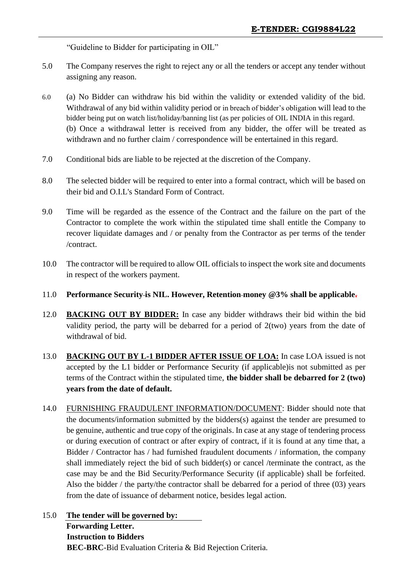"Guideline to Bidder for participating in OIL"

- 5.0 The Company reserves the right to reject any or all the tenders or accept any tender without assigning any reason.
- 6.0 (a) No Bidder can withdraw his bid within the validity or extended validity of the bid. Withdrawal of any bid within validity period or in breach of bidder's obligation will lead to the bidder being put on watch list/holiday/banning list (as per policies of OIL INDIA in this regard. (b) Once a withdrawal letter is received from any bidder, the offer will be treated as withdrawn and no further claim / correspondence will be entertained in this regard.
- 7.0 Conditional bids are liable to be rejected at the discretion of the Company.
- 8.0 The selected bidder will be required to enter into a formal contract, which will be based on their bid and O.I.L's Standard Form of Contract.
- 9.0 Time will be regarded as the essence of the Contract and the failure on the part of the Contractor to complete the work within the stipulated time shall entitle the Company to recover liquidate damages and / or penalty from the Contractor as per terms of the tender /contract.
- 10.0 The contractor will be required to allow OIL officials to inspect the work site and documents in respect of the workers payment.
- 11.0 **Performance Security is NIL. However, Retention money @3% shall be applicable.**
- 12.0 **BACKING OUT BY BIDDER:** In case any bidder withdraws their bid within the bid validity period, the party will be debarred for a period of 2(two) years from the date of withdrawal of bid.
- 13.0 **BACKING OUT BY L-1 BIDDER AFTER ISSUE OF LOA:** In case LOA issued is not accepted by the L1 bidder or Performance Security (if applicable)is not submitted as per terms of the Contract within the stipulated time, **the bidder shall be debarred for 2 (two) years from the date of default.**
- 14.0 FURNISHING FRAUDULENT INFORMATION/DOCUMENT: Bidder should note that the documents/information submitted by the bidders(s) against the tender are presumed to be genuine, authentic and true copy of the originals. In case at any stage of tendering process or during execution of contract or after expiry of contract, if it is found at any time that, a Bidder / Contractor has / had furnished fraudulent documents / information, the company shall immediately reject the bid of such bidder(s) or cancel /terminate the contract, as the case may be and the Bid Security/Performance Security (if applicable) shall be forfeited. Also the bidder / the party/the contractor shall be debarred for a period of three (03) years from the date of issuance of debarment notice, besides legal action.
- 15.0 **The tender will be governed by: Forwarding Letter. Instruction to Bidders BEC-BRC**-Bid Evaluation Criteria & Bid Rejection Criteria.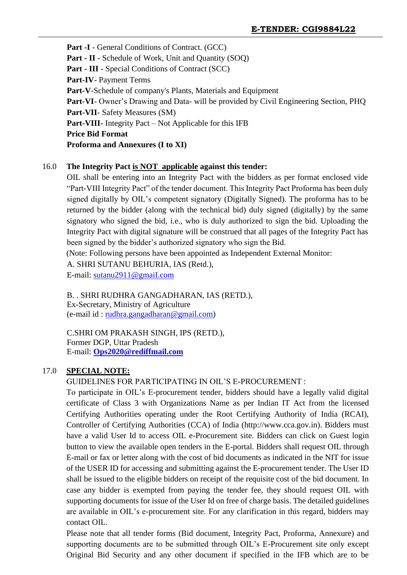Part -I - General Conditions of Contract. (GCC) **Part - II** - Schedule of Work, Unit and Quantity (SOQ) **Part - III** - Special Conditions of Contract (SCC) **Part-IV**- Payment Terms **Part-V**-Schedule of company's Plants, Materials and Equipment **Part-VI**- Owner's Drawing and Data- will be provided by Civil Engineering Section, PHQ **Part-VII**- Safety Measures (SM) **Part-VIII-** Integrity Pact – Not Applicable for this IFB **Price Bid Format Proforma and Annexures (I to XI)**

#### 16.0 **The Integrity Pact is NOT applicable against this tender:**

OIL shall be entering into an Integrity Pact with the bidders as per format enclosed vide "Part-VIII Integrity Pact" of the tender document. This Integrity Pact Proforma has been duly signed digitally by OIL's competent signatory (Digitally Signed). The proforma has to be returned by the bidder (along with the technical bid) duly signed (digitally) by the same signatory who signed the bid, i.e., who is duly authorized to sign the bid. Uploading the Integrity Pact with digital signature will be construed that all pages of the Integrity Pact has been signed by the bidder's authorized signatory who sign the Bid.

(Note: Following persons have been appointed as Independent External Monitor:

A. SHRI SUTANU BEHURIA, IAS (Retd.),

E-mail: [sutanu2911@gmaiI.com](mailto:sutanu2911@gmaiI.com)

#### B. . SHRI RUDHRA GANGADHARAN, IAS (RETD.), Ex-Secretary, Ministry of Agriculture

 $(e-mail id: rudhra.gangadharan  $\mathcal{Q}$  gmail.com)$ 

C.SHRI OM PRAKASH SINGH, IPS (RETD.), Former DGP, Uttar Pradesh E-mail: **[Ops2020@rediffmail.com](mailto:Ops2020@rediffmail.com)**

#### 17.0 **SPECIAL NOTE:**

#### GUIDELINES FOR PARTICIPATING IN OIL'S E-PROCUREMENT :

To participate in OIL's E-procurement tender, bidders should have a legally valid digital certificate of Class 3 with Organizations Name as per Indian IT Act from the licensed Certifying Authorities operating under the Root Certifying Authority of India (RCAI), Controller of Certifying Authorities (CCA) of India (http://www.cca.gov.in). Bidders must have a valid User Id to access OIL e-Procurement site. Bidders can click on Guest login button to view the available open tenders in the E-portal. Bidders shall request OIL through E-mail or fax or letter along with the cost of bid documents as indicated in the NIT for issue of the USER ID for accessing and submitting against the E-procurement tender. The User ID shall be issued to the eligible bidders on receipt of the requisite cost of the bid document. In case any bidder is exempted from paying the tender fee, they should request OIL with supporting documents for issue of the User Id on free of charge basis. The detailed guidelines are available in OIL's e-procurement site. For any clarification in this regard, bidders may contact OIL.

Please note that all tender forms (Bid document, Integrity Pact, Proforma, Annexure) and supporting documents are to be submitted through OIL's E-Procurement site only except Original Bid Security and any other document if specified in the IFB which are to be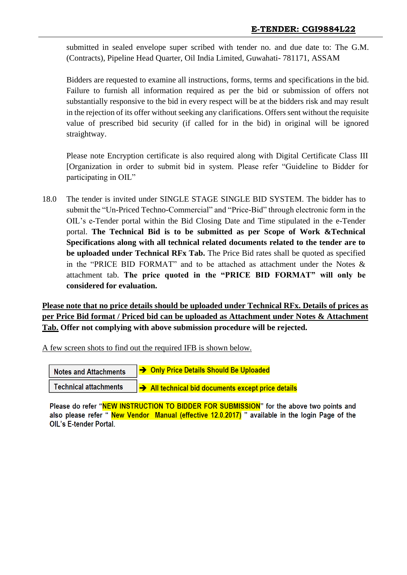submitted in sealed envelope super scribed with tender no. and due date to: The G.M. (Contracts), Pipeline Head Quarter, Oil India Limited, Guwahati- 781171, ASSAM

Bidders are requested to examine all instructions, forms, terms and specifications in the bid. Failure to furnish all information required as per the bid or submission of offers not substantially responsive to the bid in every respect will be at the bidders risk and may result in the rejection of its offer without seeking any clarifications. Offers sent without the requisite value of prescribed bid security (if called for in the bid) in original will be ignored straightway.

Please note Encryption certificate is also required along with Digital Certificate Class III [Organization in order to submit bid in system. Please refer "Guideline to Bidder for participating in OIL"

18.0 The tender is invited under SINGLE STAGE SINGLE BID SYSTEM. The bidder has to submit the "Un-Priced Techno-Commercial" and "Price-Bid" through electronic form in the OIL's e-Tender portal within the Bid Closing Date and Time stipulated in the e-Tender portal. **The Technical Bid is to be submitted as per Scope of Work &Technical Specifications along with all technical related documents related to the tender are to be uploaded under Technical RFx Tab.** The Price Bid rates shall be quoted as specified in the "PRICE BID FORMAT" and to be attached as attachment under the Notes & attachment tab. **The price quoted in the "PRICE BID FORMAT" will only be considered for evaluation.**

**Please note that no price details should be uploaded under Technical RFx. Details of prices as per Price Bid format / Priced bid can be uploaded as Attachment under Notes & Attachment Tab. Offer not complying with above submission procedure will be rejected.**

A few screen shots to find out the required IFB is shown below.

| <b>Notes and Attachments</b> | → Only Price Details Should Be Uploaded          |
|------------------------------|--------------------------------------------------|
| <b>Technical attachments</b> | All technical bid documents except price details |

Please do refer "NEW INSTRUCTION TO BIDDER FOR SUBMISSION" for the above two points and also please refer "New Vendor Manual (effective 12.0.2017) " available in the login Page of the **OIL's E-tender Portal.**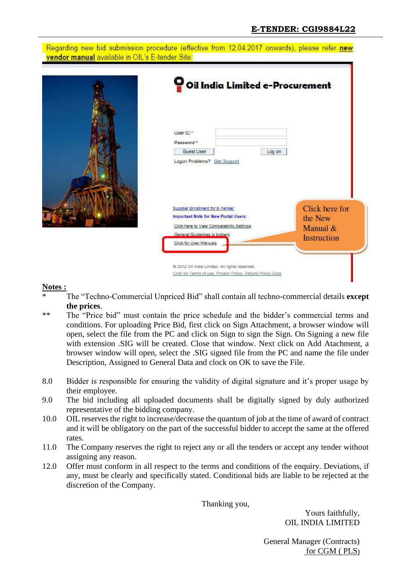#### Regarding new bid submission procedure (effective from 12.04.2017 onwards), please refer new vendor manual available in OIL's E-tender Site:



#### **Notes :**

- \* The "Techno-Commercial Unpriced Bid" shall contain all techno-commercial details **except the prices**.
- \*\* The "Price bid" must contain the price schedule and the bidder's commercial terms and conditions. For uploading Price Bid, first click on Sign Attachment, a browser window will open, select the file from the PC and click on Sign to sign the Sign. On Signing a new file with extension .SIG will be created. Close that window. Next click on Add Atachment, a browser window will open, select the .SIG signed file from the PC and name the file under Description, Assigned to General Data and clock on OK to save the File.
- 8.0 Bidder is responsible for ensuring the validity of digital signature and it's proper usage by their employee.
- 9.0 The bid including all uploaded documents shall be digitally signed by duly authorized representative of the bidding company.
- 10.0 OIL reserves the right to increase/decrease the quantum of job at the time of award of contract and it will be obligatory on the part of the successful bidder to accept the same at the offered rates.
- 11.0 The Company reserves the right to reject any or all the tenders or accept any tender without assigning any reason.
- 12.0 Offer must conform in all respect to the terms and conditions of the enquiry. Deviations, if any, must be clearly and specifically stated. Conditional bids are liable to be rejected at the discretion of the Company.

Thanking you,

Yours faithfully, OIL INDIA LIMITED

General Manager (Contracts) for CGM ( PLS)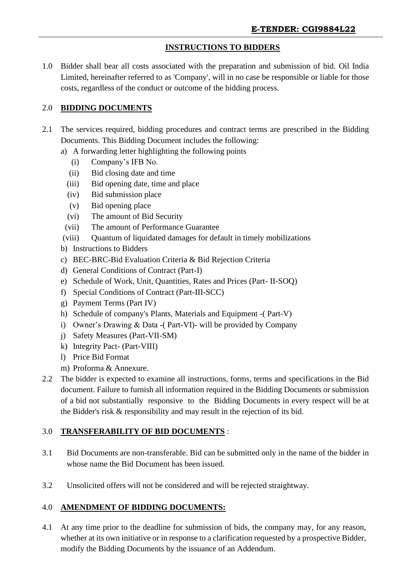# **INSTRUCTIONS TO BIDDERS**

1.0 Bidder shall bear all costs associated with the preparation and submission of bid. Oil India Limited, hereinafter referred to as 'Company', will in no case be responsible or liable for those costs, regardless of the conduct or outcome of the bidding process.

# 2.0 **BIDDING DOCUMENTS**

- 2.1 The services required, bidding procedures and contract terms are prescribed in the Bidding Documents. This Bidding Document includes the following:
	- a) A forwarding letter highlighting the following points
		- (i) Company's IFB No.
		- (ii) Bid closing date and time
		- (iii) Bid opening date, time and place
		- (iv) Bid submission place
		- (v) Bid opening place
		- (vi) The amount of Bid Security
		- (vii) The amount of Performance Guarantee
	- (viii) Quantum of liquidated damages for default in timely mobilizations
	- b) Instructions to Bidders
	- c) BEC-BRC-Bid Evaluation Criteria & Bid Rejection Criteria
	- d) General Conditions of Contract (Part-I)
	- e) Schedule of Work, Unit, Quantities, Rates and Prices (Part- II-SOQ)
	- f) Special Conditions of Contract (Part-III-SCC)
	- g) Payment Terms (Part IV)
	- h) Schedule of company's Plants, Materials and Equipment -( Part-V)
	- i) Owner's Drawing & Data -( Part-VI)- will be provided by Company
	- j) Safety Measures (Part-VII-SM)
	- k) Integrity Pact- (Part-VIII)
	- l) Price Bid Format
	- m) Proforma & Annexure.
- 2.2 The bidder is expected to examine all instructions, forms, terms and specifications in the Bid document. Failure to furnish all information required in the Bidding Documents or submission of a bid not substantially responsive to the Bidding Documents in every respect will be at the Bidder's risk & responsibility and may result in the rejection of its bid.

# 3.0 **TRANSFERABILITY OF BID DOCUMENTS** :

- 3.1 Bid Documents are non-transferable. Bid can be submitted only in the name of the bidder in whose name the Bid Document has been issued.
- 3.2 Unsolicited offers will not be considered and will be rejected straightway.

# 4.0 **AMENDMENT OF BIDDING DOCUMENTS:**

4.1 At any time prior to the deadline for submission of bids, the company may, for any reason, whether at its own initiative or in response to a clarification requested by a prospective Bidder, modify the Bidding Documents by the issuance of an Addendum.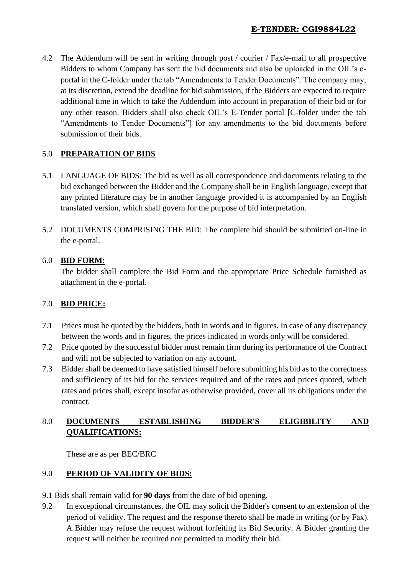4.2 The Addendum will be sent in writing through post / courier / Fax/e-mail to all prospective Bidders to whom Company has sent the bid documents and also be uploaded in the OIL's eportal in the C-folder under the tab "Amendments to Tender Documents". The company may, at its discretion, extend the deadline for bid submission, if the Bidders are expected to require additional time in which to take the Addendum into account in preparation of their bid or for any other reason. Bidders shall also check OIL's E-Tender portal [C-folder under the tab "Amendments to Tender Documents"] for any amendments to the bid documents before submission of their bids.

#### 5.0 **PREPARATION OF BIDS**

- 5.1 LANGUAGE OF BIDS: The bid as well as all correspondence and documents relating to the bid exchanged between the Bidder and the Company shall be in English language, except that any printed literature may be in another language provided it is accompanied by an English translated version, which shall govern for the purpose of bid interpretation.
- 5.2 DOCUMENTS COMPRISING THE BID: The complete bid should be submitted on-line in the e-portal.

#### 6.0 **BID FORM:**

The bidder shall complete the Bid Form and the appropriate Price Schedule furnished as attachment in the e-portal.

# 7.0 **BID PRICE:**

- 7.1 Prices must be quoted by the bidders, both in words and in figures. In case of any discrepancy between the words and in figures, the prices indicated in words only will be considered.
- 7.2 Price quoted by the successful bidder must remain firm during its performance of the Contract and will not be subjected to variation on any account.
- 7.3 Bidder shall be deemed to have satisfied himself before submitting his bid as to the correctness and sufficiency of its bid for the services required and of the rates and prices quoted, which rates and prices shall, except insofar as otherwise provided, cover all its obligations under the contract.

# 8.0 **DOCUMENTS ESTABLISHING BIDDER'S ELIGIBILITY AND QUALIFICATIONS:**

These are as per BEC/BRC

#### 9.0 **PERIOD OF VALIDITY OF BIDS:**

- 9.1 Bids shall remain valid for **90 days** from the date of bid opening.
- 9.2 In exceptional circumstances, the OIL may solicit the Bidder's consent to an extension of the period of validity. The request and the response thereto shall be made in writing (or by Fax). A Bidder may refuse the request without forfeiting its Bid Security. A Bidder granting the request will neither be required nor permitted to modify their bid.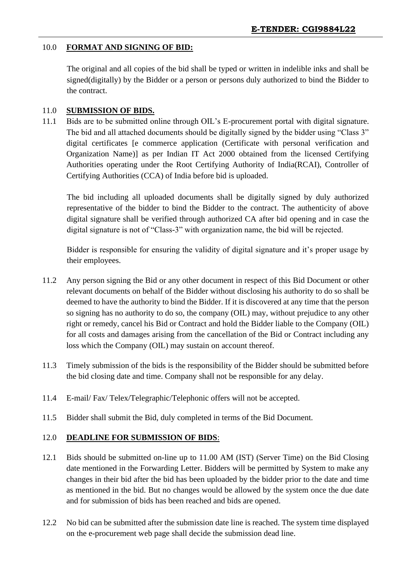# 10.0 **FORMAT AND SIGNING OF BID:**

The original and all copies of the bid shall be typed or written in indelible inks and shall be signed(digitally) by the Bidder or a person or persons duly authorized to bind the Bidder to the contract.

# 11.0 **SUBMISSION OF BIDS.**

11.1 Bids are to be submitted online through OIL's E-procurement portal with digital signature. The bid and all attached documents should be digitally signed by the bidder using "Class 3" digital certificates [e commerce application (Certificate with personal verification and Organization Name)] as per Indian IT Act 2000 obtained from the licensed Certifying Authorities operating under the Root Certifying Authority of India(RCAI), Controller of Certifying Authorities (CCA) of India before bid is uploaded.

The bid including all uploaded documents shall be digitally signed by duly authorized representative of the bidder to bind the Bidder to the contract. The authenticity of above digital signature shall be verified through authorized CA after bid opening and in case the digital signature is not of "Class-3" with organization name, the bid will be rejected.

Bidder is responsible for ensuring the validity of digital signature and it's proper usage by their employees.

- 11.2 Any person signing the Bid or any other document in respect of this Bid Document or other relevant documents on behalf of the Bidder without disclosing his authority to do so shall be deemed to have the authority to bind the Bidder. If it is discovered at any time that the person so signing has no authority to do so, the company (OIL) may, without prejudice to any other right or remedy, cancel his Bid or Contract and hold the Bidder liable to the Company (OIL) for all costs and damages arising from the cancellation of the Bid or Contract including any loss which the Company (OIL) may sustain on account thereof.
- 11.3 Timely submission of the bids is the responsibility of the Bidder should be submitted before the bid closing date and time. Company shall not be responsible for any delay.
- 11.4 E-mail/ Fax/ Telex/Telegraphic/Telephonic offers will not be accepted.
- 11.5 Bidder shall submit the Bid, duly completed in terms of the Bid Document.

#### 12.0 **DEADLINE FOR SUBMISSION OF BIDS**:

- 12.1 Bids should be submitted on-line up to 11.00 AM (IST) (Server Time) on the Bid Closing date mentioned in the Forwarding Letter. Bidders will be permitted by System to make any changes in their bid after the bid has been uploaded by the bidder prior to the date and time as mentioned in the bid. But no changes would be allowed by the system once the due date and for submission of bids has been reached and bids are opened.
- 12.2 No bid can be submitted after the submission date line is reached. The system time displayed on the e-procurement web page shall decide the submission dead line.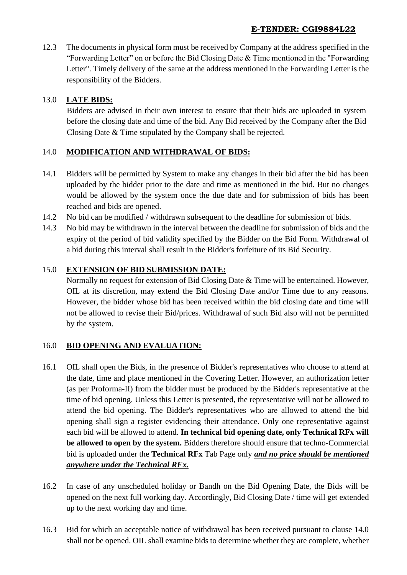12.3 The documents in physical form must be received by Company at the address specified in the "Forwarding Letter" on or before the Bid Closing Date & Time mentioned in the "Forwarding Letter". Timely delivery of the same at the address mentioned in the Forwarding Letter is the responsibility of the Bidders.

# 13.0 **LATE BIDS:**

Bidders are advised in their own interest to ensure that their bids are uploaded in system before the closing date and time of the bid. Any Bid received by the Company after the Bid Closing Date & Time stipulated by the Company shall be rejected.

# 14.0 **MODIFICATION AND WITHDRAWAL OF BIDS:**

- 14.1 Bidders will be permitted by System to make any changes in their bid after the bid has been uploaded by the bidder prior to the date and time as mentioned in the bid. But no changes would be allowed by the system once the due date and for submission of bids has been reached and bids are opened.
- 14.2 No bid can be modified / withdrawn subsequent to the deadline for submission of bids.
- 14.3 No bid may be withdrawn in the interval between the deadline for submission of bids and the expiry of the period of bid validity specified by the Bidder on the Bid Form. Withdrawal of a bid during this interval shall result in the Bidder's forfeiture of its Bid Security.

# 15.0 **EXTENSION OF BID SUBMISSION DATE:**

Normally no request for extension of Bid Closing Date & Time will be entertained. However, OIL at its discretion, may extend the Bid Closing Date and/or Time due to any reasons. However, the bidder whose bid has been received within the bid closing date and time will not be allowed to revise their Bid/prices. Withdrawal of such Bid also will not be permitted by the system.

#### 16.0 **BID OPENING AND EVALUATION:**

- 16.1 OIL shall open the Bids, in the presence of Bidder's representatives who choose to attend at the date, time and place mentioned in the Covering Letter. However, an authorization letter (as per Proforma-II) from the bidder must be produced by the Bidder's representative at the time of bid opening. Unless this Letter is presented, the representative will not be allowed to attend the bid opening. The Bidder's representatives who are allowed to attend the bid opening shall sign a register evidencing their attendance. Only one representative against each bid will be allowed to attend. **In technical bid opening date, only Technical RFx will be allowed to open by the system.** Bidders therefore should ensure that techno-Commercial bid is uploaded under the **Technical RFx** Tab Page only *and no price should be mentioned anywhere under the Technical RFx.*
- 16.2 In case of any unscheduled holiday or Bandh on the Bid Opening Date, the Bids will be opened on the next full working day. Accordingly, Bid Closing Date / time will get extended up to the next working day and time.
- 16.3 Bid for which an acceptable notice of withdrawal has been received pursuant to clause 14.0 shall not be opened. OIL shall examine bids to determine whether they are complete, whether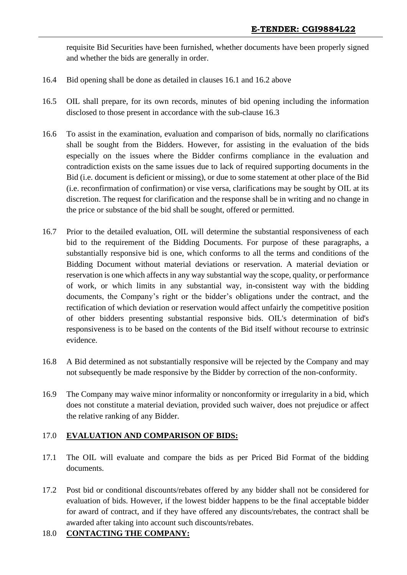requisite Bid Securities have been furnished, whether documents have been properly signed and whether the bids are generally in order.

- 16.4 Bid opening shall be done as detailed in clauses 16.1 and 16.2 above
- 16.5 OIL shall prepare, for its own records, minutes of bid opening including the information disclosed to those present in accordance with the sub-clause 16.3
- 16.6 To assist in the examination, evaluation and comparison of bids, normally no clarifications shall be sought from the Bidders. However, for assisting in the evaluation of the bids especially on the issues where the Bidder confirms compliance in the evaluation and contradiction exists on the same issues due to lack of required supporting documents in the Bid (i.e. document is deficient or missing), or due to some statement at other place of the Bid (i.e. reconfirmation of confirmation) or vise versa, clarifications may be sought by OIL at its discretion. The request for clarification and the response shall be in writing and no change in the price or substance of the bid shall be sought, offered or permitted.
- 16.7 Prior to the detailed evaluation, OIL will determine the substantial responsiveness of each bid to the requirement of the Bidding Documents. For purpose of these paragraphs, a substantially responsive bid is one, which conforms to all the terms and conditions of the Bidding Document without material deviations or reservation. A material deviation or reservation is one which affects in any way substantial way the scope, quality, or performance of work, or which limits in any substantial way, in-consistent way with the bidding documents, the Company's right or the bidder's obligations under the contract, and the rectification of which deviation or reservation would affect unfairly the competitive position of other bidders presenting substantial responsive bids. OIL's determination of bid's responsiveness is to be based on the contents of the Bid itself without recourse to extrinsic evidence.
- 16.8 A Bid determined as not substantially responsive will be rejected by the Company and may not subsequently be made responsive by the Bidder by correction of the non-conformity.
- 16.9 The Company may waive minor informality or nonconformity or irregularity in a bid, which does not constitute a material deviation, provided such waiver, does not prejudice or affect the relative ranking of any Bidder.

# 17.0 **EVALUATION AND COMPARISON OF BIDS:**

- 17.1 The OIL will evaluate and compare the bids as per Priced Bid Format of the bidding documents.
- 17.2 Post bid or conditional discounts/rebates offered by any bidder shall not be considered for evaluation of bids. However, if the lowest bidder happens to be the final acceptable bidder for award of contract, and if they have offered any discounts/rebates, the contract shall be awarded after taking into account such discounts/rebates.

# 18.0 **CONTACTING THE COMPANY:**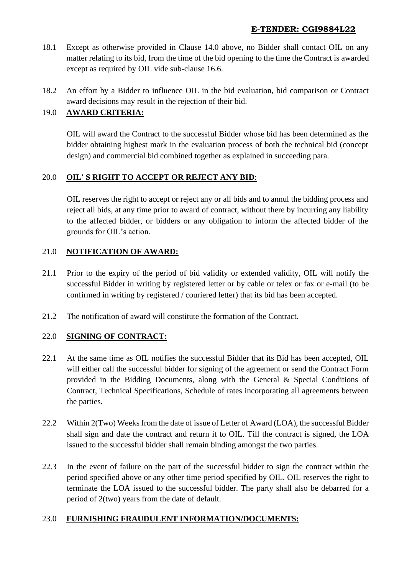- 18.1 Except as otherwise provided in Clause 14.0 above, no Bidder shall contact OIL on any matter relating to its bid, from the time of the bid opening to the time the Contract is awarded except as required by OIL vide sub-clause 16.6.
- 18.2 An effort by a Bidder to influence OIL in the bid evaluation, bid comparison or Contract award decisions may result in the rejection of their bid.

# 19.0 **AWARD CRITERIA:**

OIL will award the Contract to the successful Bidder whose bid has been determined as the bidder obtaining highest mark in the evaluation process of both the technical bid (concept design) and commercial bid combined together as explained in succeeding para.

#### 20.0 **OIL' S RIGHT TO ACCEPT OR REJECT ANY BID**:

OIL reserves the right to accept or reject any or all bids and to annul the bidding process and reject all bids, at any time prior to award of contract, without there by incurring any liability to the affected bidder, or bidders or any obligation to inform the affected bidder of the grounds for OIL's action.

#### 21.0 **NOTIFICATION OF AWARD:**

- 21.1 Prior to the expiry of the period of bid validity or extended validity, OIL will notify the successful Bidder in writing by registered letter or by cable or telex or fax or e-mail (to be confirmed in writing by registered / couriered letter) that its bid has been accepted.
- 21.2 The notification of award will constitute the formation of the Contract.

#### 22.0 **SIGNING OF CONTRACT:**

- 22.1 At the same time as OIL notifies the successful Bidder that its Bid has been accepted, OIL will either call the successful bidder for signing of the agreement or send the Contract Form provided in the Bidding Documents, along with the General & Special Conditions of Contract, Technical Specifications, Schedule of rates incorporating all agreements between the parties.
- 22.2 Within 2(Two) Weeks from the date of issue of Letter of Award (LOA), the successful Bidder shall sign and date the contract and return it to OIL. Till the contract is signed, the LOA issued to the successful bidder shall remain binding amongst the two parties.
- 22.3 In the event of failure on the part of the successful bidder to sign the contract within the period specified above or any other time period specified by OIL. OIL reserves the right to terminate the LOA issued to the successful bidder. The party shall also be debarred for a period of 2(two) years from the date of default.

#### 23.0 **FURNISHING FRAUDULENT INFORMATION/DOCUMENTS:**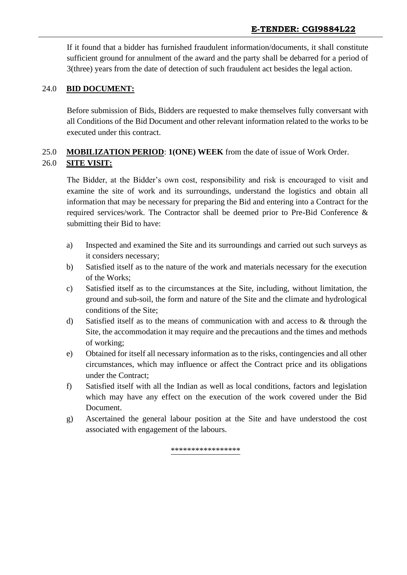If it found that a bidder has furnished fraudulent information/documents, it shall constitute sufficient ground for annulment of the award and the party shall be debarred for a period of 3(three) years from the date of detection of such fraudulent act besides the legal action.

#### 24.0 **BID DOCUMENT:**

Before submission of Bids, Bidders are requested to make themselves fully conversant with all Conditions of the Bid Document and other relevant information related to the works to be executed under this contract.

# 25.0 **MOBILIZATION PERIOD**: **1(ONE) WEEK** from the date of issue of Work Order. 26.0 **SITE VISIT:**

The Bidder, at the Bidder's own cost, responsibility and risk is encouraged to visit and examine the site of work and its surroundings, understand the logistics and obtain all information that may be necessary for preparing the Bid and entering into a Contract for the required services/work. The Contractor shall be deemed prior to Pre-Bid Conference & submitting their Bid to have:

- a) Inspected and examined the Site and its surroundings and carried out such surveys as it considers necessary;
- b) Satisfied itself as to the nature of the work and materials necessary for the execution of the Works;
- c) Satisfied itself as to the circumstances at the Site, including, without limitation, the ground and sub-soil, the form and nature of the Site and the climate and hydrological conditions of the Site;
- d) Satisfied itself as to the means of communication with and access to & through the Site, the accommodation it may require and the precautions and the times and methods of working;
- e) Obtained for itself all necessary information as to the risks, contingencies and all other circumstances, which may influence or affect the Contract price and its obligations under the Contract;
- f) Satisfied itself with all the Indian as well as local conditions, factors and legislation which may have any effect on the execution of the work covered under the Bid Document.
- g) Ascertained the general labour position at the Site and have understood the cost associated with engagement of the labours.

\*\*\*\*\*\*\*\*\*\*\*\*\*\*\*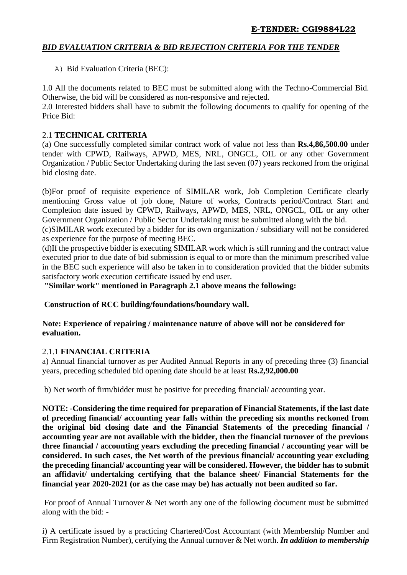#### *BID EVALUATION CRITERIA & BID REJECTION CRITERIA FOR THE TENDER*

A) Bid Evaluation Criteria (BEC):

1.0 All the documents related to BEC must be submitted along with the Techno-Commercial Bid. Otherwise, the bid will be considered as non-responsive and rejected.

2.0 Interested bidders shall have to submit the following documents to qualify for opening of the Price Bid:

#### 2.1 **TECHNICAL CRITERIA**

(a) One successfully completed similar contract work of value not less than **Rs.4,86,500.00** under tender with CPWD, Railways, APWD, MES, NRL, ONGCL, OIL or any other Government Organization / Public Sector Undertaking during the last seven (07) years reckoned from the original bid closing date.

(b)For proof of requisite experience of SIMILAR work, Job Completion Certificate clearly mentioning Gross value of job done, Nature of works, Contracts period/Contract Start and Completion date issued by CPWD, Railways, APWD, MES, NRL, ONGCL, OIL or any other Government Organization / Public Sector Undertaking must be submitted along with the bid.

(c)SIMILAR work executed by a bidder for its own organization / subsidiary will not be considered as experience for the purpose of meeting BEC.

(d)If the prospective bidder is executing SIMILAR work which is still running and the contract value executed prior to due date of bid submission is equal to or more than the minimum prescribed value in the BEC such experience will also be taken in to consideration provided that the bidder submits satisfactory work execution certificate issued by end user.

**"Similar work" mentioned in Paragraph 2.1 above means the following:**

**Construction of RCC building/foundations/boundary wall.**

**Note: Experience of repairing / maintenance nature of above will not be considered for evaluation.**

#### 2.1.1 **FINANCIAL CRITERIA**

a) Annual financial turnover as per Audited Annual Reports in any of preceding three (3) financial years, preceding scheduled bid opening date should be at least **Rs.2,92,000.00**

b) Net worth of firm/bidder must be positive for preceding financial/ accounting year.

**NOTE: -Considering the time required for preparation of Financial Statements, if the last date of preceding financial/ accounting year falls within the preceding six months reckoned from the original bid closing date and the Financial Statements of the preceding financial / accounting year are not available with the bidder, then the financial turnover of the previous three financial / accounting years excluding the preceding financial / accounting year will be considered. In such cases, the Net worth of the previous financial/ accounting year excluding the preceding financial/ accounting year will be considered. However, the bidder has to submit an affidavit/ undertaking certifying that the balance sheet/ Financial Statements for the financial year 2020-2021 (or as the case may be) has actually not been audited so far.**

For proof of Annual Turnover & Net worth any one of the following document must be submitted along with the bid: -

i) A certificate issued by a practicing Chartered/Cost Accountant (with Membership Number and Firm Registration Number), certifying the Annual turnover & Net worth. *In addition to membership*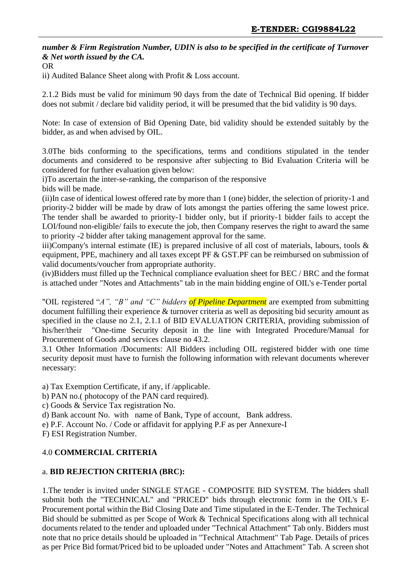#### *number & Firm Registration Number, UDIN is also to be specified in the certificate of Turnover & Net worth issued by the CA.*

OR

ii) Audited Balance Sheet along with Profit & Loss account.

2.1.2 Bids must be valid for minimum 90 days from the date of Technical Bid opening. If bidder does not submit / declare bid validity period, it will be presumed that the bid validity is 90 days.

Note: In case of extension of Bid Opening Date, bid validity should be extended suitably by the bidder, as and when advised by OIL.

3.0The bids conforming to the specifications, terms and conditions stipulated in the tender documents and considered to be responsive after subjecting to Bid Evaluation Criteria will be considered for further evaluation given below:

i)To ascertain the inter-se-ranking, the comparison of the responsive

bids will be made.

(ii)In case of identical lowest offered rate by more than 1 (one) bidder, the selection of priority-1 and priority-2 bidder will be made by draw of lots amongst the parties offering the same lowest price. The tender shall be awarded to priority-1 bidder only, but if priority-1 bidder fails to accept the LOI/found non-eligible/ fails to execute the job, then Company reserves the right to award the same to priority -2 bidder after taking management approval for the same.

iii)Company's internal estimate (IE) is prepared inclusive of all cost of materials, labours, tools & equipment, PPE, machinery and all taxes except PF & GST.PF can be reimbursed on submission of valid documents/voucher from appropriate authority.

(iv)Bidders must filled up the Technical compliance evaluation sheet for BEC / BRC and the format is attached under "Notes and Attachments" tab in the main bidding engine of OIL's e-Tender portal

"OIL registered "*A", "B" and "C" bidders of Pipeline Department* are exempted from submitting document fulfilling their experience & turnover criteria as well as depositing bid security amount as specified in the clause no 2.1, 2.1.1 of BID EVALUATION CRITERIA, providing submission of his/her/their "One-time Security deposit in the line with Integrated Procedure/Manual for Procurement of Goods and services clause no 43.2.

3.1 Other Information /Documents: All Bidders including OIL registered bidder with one time security deposit must have to furnish the following information with relevant documents wherever necessary:

a) Tax Exemption Certificate, if any, if /applicable.

b) PAN no.( photocopy of the PAN card required).

c) Goods & Service Tax registration No.

d) Bank account No. with name of Bank, Type of account, Bank address.

e) P.F. Account No. / Code or affidavit for applying P.F as per Annexure-I

F) ESI Registration Number.

#### 4.0 **COMMERCIAL CRITERIA**

#### a. **BID REJECTION CRITERIA (BRC):**

1.The tender is invited under SINGLE STAGE - COMPOSITE BID SYSTEM. The bidders shall submit both the "TECHNICAL" and "PRICED" bids through electronic form in the OIL's E-Procurement portal within the Bid Closing Date and Time stipulated in the E-Tender. The Technical Bid should be submitted as per Scope of Work & Technical Specifications along with all technical documents related to the tender and uploaded under "Technical Attachment" Tab only. Bidders must note that no price details should be uploaded in "Technical Attachment" Tab Page. Details of prices as per Price Bid format/Priced bid to be uploaded under "Notes and Attachment" Tab. A screen shot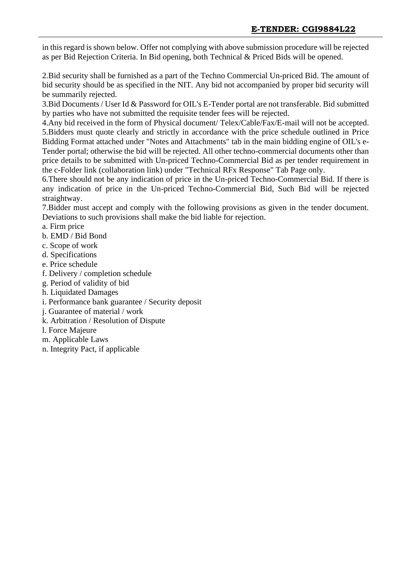in this regard is shown below. Offer not complying with above submission procedure will be rejected as per Bid Rejection Criteria. In Bid opening, both Technical & Priced Bids will be opened.

2.Bid security shall be furnished as a part of the Techno Commercial Un-priced Bid. The amount of bid security should be as specified in the NIT. Any bid not accompanied by proper bid security will be summarily rejected.

3.Bid Documents / User Id & Password for OIL's E-Tender portal are not transferable. Bid submitted by parties who have not submitted the requisite tender fees will be rejected.

4.Any bid received in the form of Physical document/ Telex/Cable/Fax/E-mail will not be accepted. 5.Bidders must quote clearly and strictly in accordance with the price schedule outlined in Price Bidding Format attached under "Notes and Attachments" tab in the main bidding engine of OIL's e-Tender portal; otherwise the bid will be rejected. All other techno-commercial documents other than price details to be submitted with Un-priced Techno-Commercial Bid as per tender requirement in the c-Folder link (collaboration link) under "Technical RFx Response" Tab Page only.

6.There should not be any indication of price in the Un-priced Techno-Commercial Bid. If there is any indication of price in the Un-priced Techno-Commercial Bid, Such Bid will be rejected straightway.

7.Bidder must accept and comply with the following provisions as given in the tender document. Deviations to such provisions shall make the bid liable for rejection.

- a. Firm price
- b. EMD / Bid Bond
- c. Scope of work
- d. Specifications
- e. Price schedule
- f. Delivery / completion schedule
- g. Period of validity of bid
- h. Liquidated Damages
- i. Performance bank guarantee / Security deposit
- j. Guarantee of material / work
- k. Arbitration / Resolution of Dispute
- l. Force Majeure
- m. Applicable Laws
- n. Integrity Pact, if applicable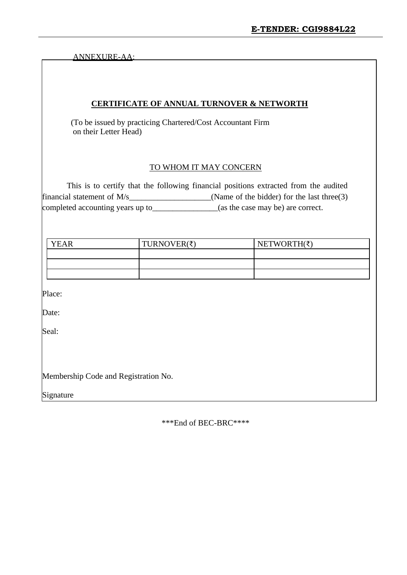ANNEXURE-AA:

#### **CERTIFICATE OF ANNUAL TURNOVER & NETWORTH**

 (To be issued by practicing Chartered/Cost Accountant Firm on their Letter Head)

#### TO WHOM IT MAY CONCERN

This is to certify that the following financial positions extracted from the audited financial statement of  $M/s$  (Name of the bidder) for the last three(3) completed accounting years up to\_\_\_\_\_\_\_\_\_\_\_\_\_\_\_\_(as the case may be) are correct.

| YEAR | TURNOVER( $\bar{\tau}$ ) | $NETWORTH(\xi)$ |
|------|--------------------------|-----------------|
|      |                          |                 |
|      |                          |                 |
|      |                          |                 |

Place:

Date:

Seal:

Membership Code and Registration No.

Signature

\*\*\*End of BEC-BRC\*\*\*\*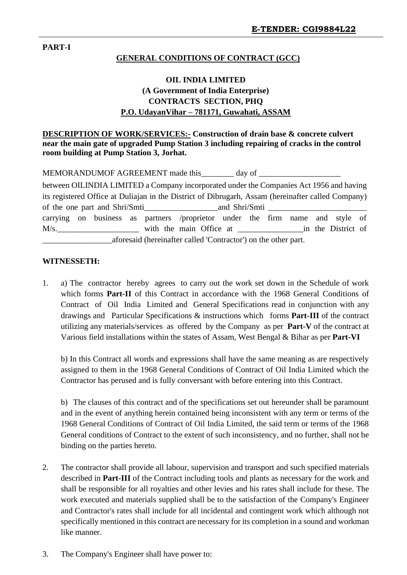#### **PART-I**

#### **GENERAL CONDITIONS OF CONTRACT (GCC)**

# **OIL INDIA LIMITED (A Government of India Enterprise) CONTRACTS SECTION, PHQ P.O. UdayanVihar – 781171, Guwahati, ASSAM**

**DESCRIPTION OF WORK/SERVICES:- Construction of drain base & concrete culvert near the main gate of upgraded Pump Station 3 including repairing of cracks in the control room building at Pump Station 3, Jorhat.**

| MEMORANDUMOF AGREEMENT made this | day of |  |
|----------------------------------|--------|--|
|----------------------------------|--------|--|

|                                                                |                                                |         |  |  | between OILINDIA LIMITED a Company incorporated under the Companies Act 1956 and having            |  |  |  |  |
|----------------------------------------------------------------|------------------------------------------------|---------|--|--|----------------------------------------------------------------------------------------------------|--|--|--|--|
|                                                                |                                                |         |  |  | its registered Office at Duliajan in the District of Dibrugarh, Assam (hereinafter called Company) |  |  |  |  |
|                                                                | of the one part and Shri/Smti<br>and Shri/Smti |         |  |  |                                                                                                    |  |  |  |  |
|                                                                |                                                |         |  |  | carrying on business as partners /proprietor under the firm name and style of                      |  |  |  |  |
|                                                                |                                                | $M/s$ . |  |  | with the main Office at in the District of                                                         |  |  |  |  |
| aforesaid (hereinafter called 'Contractor') on the other part. |                                                |         |  |  |                                                                                                    |  |  |  |  |

#### **WITNESSETH:**

1. a) The contractor hereby agrees to carry out the work set down in the Schedule of work which forms **Part-II** of this Contract in accordance with the 1968 General Conditions of Contract of Oil India Limited and General Specifications read in conjunction with any drawings and Particular Specifications & instructions which forms **Part-III** of the contract utilizing any materials/services as offered by the Company as per **Part-V** of the contract at Various field installations within the states of Assam, West Bengal & Bihar as per **Part-VI**

b) In this Contract all words and expressions shall have the same meaning as are respectively assigned to them in the 1968 General Conditions of Contract of Oil India Limited which the Contractor has perused and is fully conversant with before entering into this Contract.

b) The clauses of this contract and of the specifications set out hereunder shall be paramount and in the event of anything herein contained being inconsistent with any term or terms of the 1968 General Conditions of Contract of Oil India Limited, the said term or terms of the 1968 General conditions of Contract to the extent of such inconsistency, and no further, shall not be binding on the parties hereto.

- 2. The contractor shall provide all labour, supervision and transport and such specified materials described in **Part-III** of the Contract including tools and plants as necessary for the work and shall be responsible for all royalties and other levies and his rates shall include for these. The work executed and materials supplied shall be to the satisfaction of the Company's Engineer and Contractor's rates shall include for all incidental and contingent work which although not specifically mentioned in this contract are necessary for its completion in a sound and workman like manner.
- 3. The Company's Engineer shall have power to: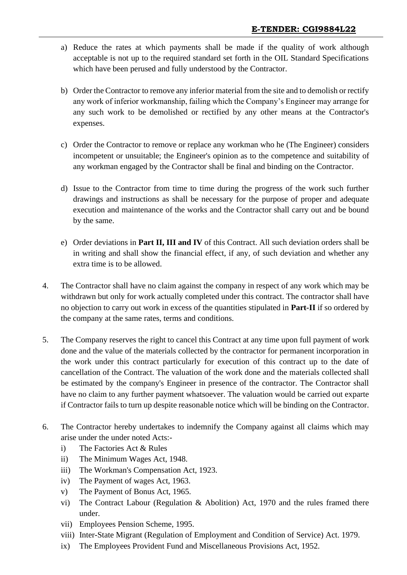- a) Reduce the rates at which payments shall be made if the quality of work although acceptable is not up to the required standard set forth in the OIL Standard Specifications which have been perused and fully understood by the Contractor.
- b) Order the Contractor to remove any inferior material from the site and to demolish or rectify any work of inferior workmanship, failing which the Company's Engineer may arrange for any such work to be demolished or rectified by any other means at the Contractor's expenses.
- c) Order the Contractor to remove or replace any workman who he (The Engineer) considers incompetent or unsuitable; the Engineer's opinion as to the competence and suitability of any workman engaged by the Contractor shall be final and binding on the Contractor.
- d) Issue to the Contractor from time to time during the progress of the work such further drawings and instructions as shall be necessary for the purpose of proper and adequate execution and maintenance of the works and the Contractor shall carry out and be bound by the same.
- e) Order deviations in **Part II, III and IV** of this Contract. All such deviation orders shall be in writing and shall show the financial effect, if any, of such deviation and whether any extra time is to be allowed.
- 4. The Contractor shall have no claim against the company in respect of any work which may be withdrawn but only for work actually completed under this contract. The contractor shall have no objection to carry out work in excess of the quantities stipulated in **Part-II** if so ordered by the company at the same rates, terms and conditions.
- 5. The Company reserves the right to cancel this Contract at any time upon full payment of work done and the value of the materials collected by the contractor for permanent incorporation in the work under this contract particularly for execution of this contract up to the date of cancellation of the Contract. The valuation of the work done and the materials collected shall be estimated by the company's Engineer in presence of the contractor. The Contractor shall have no claim to any further payment whatsoever. The valuation would be carried out exparte if Contractor fails to turn up despite reasonable notice which will be binding on the Contractor.
- 6. The Contractor hereby undertakes to indemnify the Company against all claims which may arise under the under noted Acts:
	- i) The Factories Act & Rules
	- ii) The Minimum Wages Act, 1948.
	- iii) The Workman's Compensation Act, 1923.
	- iv) The Payment of wages Act, 1963.
	- v) The Payment of Bonus Act, 1965.
	- vi) The Contract Labour (Regulation & Abolition) Act, 1970 and the rules framed there under.
	- vii) Employees Pension Scheme, 1995.
	- viii) Inter-State Migrant (Regulation of Employment and Condition of Service) Act. 1979.
	- ix) The Employees Provident Fund and Miscellaneous Provisions Act, 1952.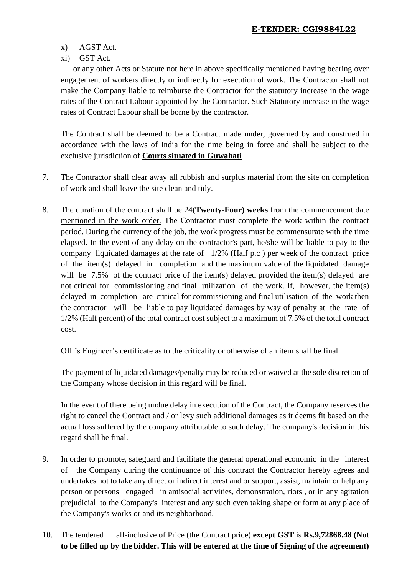- x) AGST Act.
- xi) GST Act.

or any other Acts or Statute not here in above specifically mentioned having bearing over engagement of workers directly or indirectly for execution of work. The Contractor shall not make the Company liable to reimburse the Contractor for the statutory increase in the wage rates of the Contract Labour appointed by the Contractor. Such Statutory increase in the wage rates of Contract Labour shall be borne by the contractor.

The Contract shall be deemed to be a Contract made under, governed by and construed in accordance with the laws of India for the time being in force and shall be subject to the exclusive jurisdiction of **Courts situated in Guwahati**

- 7. The Contractor shall clear away all rubbish and surplus material from the site on completion of work and shall leave the site clean and tidy.
- 8. The duration of the contract shall be 24**(Twenty-Four) weeks** from the commencement date mentioned in the work order. The Contractor must complete the work within the contract period. During the currency of the job, the work progress must be commensurate with the time elapsed. In the event of any delay on the contractor's part, he/she will be liable to pay to the company liquidated damages at the rate of 1/2% (Half p.c ) per week of the contract price of the item(s) delayed in completion and the maximum value of the liquidated damage will be 7.5% of the contract price of the item(s) delayed provided the item(s) delayed are not critical for commissioning and final utilization of the work. If, however, the item(s) delayed in completion are critical for commissioning and final utilisation of the work then the contractor will be liable to pay liquidated damages by way of penalty at the rate of 1/2% (Half percent) of the total contract cost subject to a maximum of 7.5% of the total contract cost.

OIL's Engineer's certificate as to the criticality or otherwise of an item shall be final.

The payment of liquidated damages/penalty may be reduced or waived at the sole discretion of the Company whose decision in this regard will be final.

In the event of there being undue delay in execution of the Contract, the Company reserves the right to cancel the Contract and / or levy such additional damages as it deems fit based on the actual loss suffered by the company attributable to such delay. The company's decision in this regard shall be final.

- 9. In order to promote, safeguard and facilitate the general operational economic in the interest of the Company during the continuance of this contract the Contractor hereby agrees and undertakes not to take any direct or indirect interest and or support, assist, maintain or help any person or persons engaged in antisocial activities, demonstration, riots , or in any agitation prejudicial to the Company's interest and any such even taking shape or form at any place of the Company's works or and its neighborhood.
- 10. The tendered all-inclusive of Price (the Contract price) **except GST** is **Rs.9,72868.48 (Not to be filled up by the bidder. This will be entered at the time of Signing of the agreement)**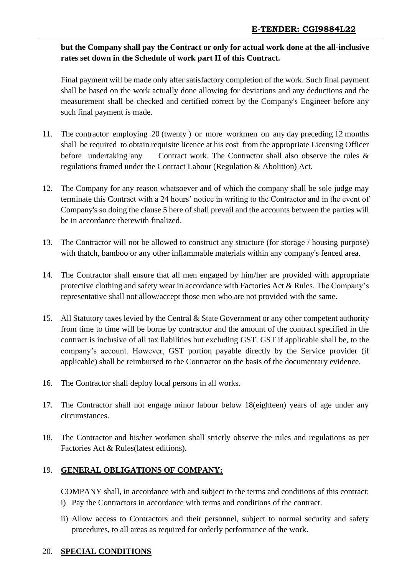# **but the Company shall pay the Contract or only for actual work done at the all-inclusive rates set down in the Schedule of work part II of this Contract.**

Final payment will be made only after satisfactory completion of the work. Such final payment shall be based on the work actually done allowing for deviations and any deductions and the measurement shall be checked and certified correct by the Company's Engineer before any such final payment is made.

- 11. The contractor employing 20 (twenty ) or more workmen on any day preceding 12 months shall be required to obtain requisite licence at his cost from the appropriate Licensing Officer before undertaking any Contract work. The Contractor shall also observe the rules & regulations framed under the Contract Labour (Regulation & Abolition) Act.
- 12. The Company for any reason whatsoever and of which the company shall be sole judge may terminate this Contract with a 24 hours' notice in writing to the Contractor and in the event of Company's so doing the clause 5 here of shall prevail and the accounts between the parties will be in accordance therewith finalized.
- 13. The Contractor will not be allowed to construct any structure (for storage / housing purpose) with thatch, bamboo or any other inflammable materials within any company's fenced area.
- 14. The Contractor shall ensure that all men engaged by him/her are provided with appropriate protective clothing and safety wear in accordance with Factories Act & Rules. The Company's representative shall not allow/accept those men who are not provided with the same.
- 15. All Statutory taxes levied by the Central & State Government or any other competent authority from time to time will be borne by contractor and the amount of the contract specified in the contract is inclusive of all tax liabilities but excluding GST. GST if applicable shall be, to the company's account. However, GST portion payable directly by the Service provider (if applicable) shall be reimbursed to the Contractor on the basis of the documentary evidence.
- 16. The Contractor shall deploy local persons in all works.
- 17. The Contractor shall not engage minor labour below 18(eighteen) years of age under any circumstances.
- 18. The Contractor and his/her workmen shall strictly observe the rules and regulations as per Factories Act & Rules(latest editions).

# 19. **GENERAL OBLIGATIONS OF COMPANY:**

COMPANY shall, in accordance with and subject to the terms and conditions of this contract: i) Pay the Contractors in accordance with terms and conditions of the contract.

ii) Allow access to Contractors and their personnel, subject to normal security and safety procedures, to all areas as required for orderly performance of the work.

# 20. **SPECIAL CONDITIONS**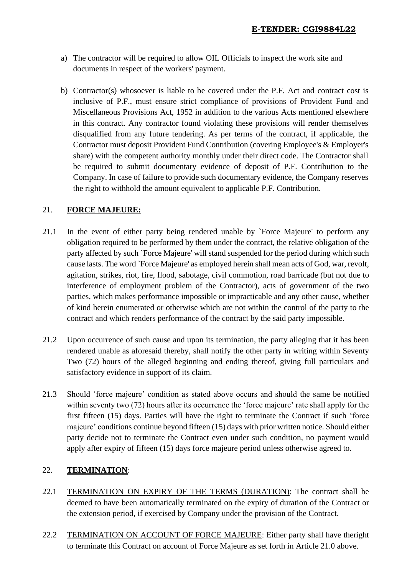- a) The contractor will be required to allow OIL Officials to inspect the work site and documents in respect of the workers' payment.
- b) Contractor(s) whosoever is liable to be covered under the P.F. Act and contract cost is inclusive of P.F., must ensure strict compliance of provisions of Provident Fund and Miscellaneous Provisions Act, 1952 in addition to the various Acts mentioned elsewhere in this contract. Any contractor found violating these provisions will render themselves disqualified from any future tendering. As per terms of the contract, if applicable, the Contractor must deposit Provident Fund Contribution (covering Employee's & Employer's share) with the competent authority monthly under their direct code. The Contractor shall be required to submit documentary evidence of deposit of P.F. Contribution to the Company. In case of failure to provide such documentary evidence, the Company reserves the right to withhold the amount equivalent to applicable P.F. Contribution.

# 21. **FORCE MAJEURE:**

- 21.1 In the event of either party being rendered unable by `Force Majeure' to perform any obligation required to be performed by them under the contract, the relative obligation of the party affected by such `Force Majeure' will stand suspended for the period during which such cause lasts. The word `Force Majeure' as employed herein shall mean acts of God, war, revolt, agitation, strikes, riot, fire, flood, sabotage, civil commotion, road barricade (but not due to interference of employment problem of the Contractor), acts of government of the two parties, which makes performance impossible or impracticable and any other cause, whether of kind herein enumerated or otherwise which are not within the control of the party to the contract and which renders performance of the contract by the said party impossible.
- 21.2 Upon occurrence of such cause and upon its termination, the party alleging that it has been rendered unable as aforesaid thereby, shall notify the other party in writing within Seventy Two (72) hours of the alleged beginning and ending thereof, giving full particulars and satisfactory evidence in support of its claim.
- 21.3 Should 'force majeure' condition as stated above occurs and should the same be notified within seventy two (72) hours after its occurrence the 'force majeure' rate shall apply for the first fifteen (15) days. Parties will have the right to terminate the Contract if such 'force majeure' conditions continue beyond fifteen (15) days with prior written notice. Should either party decide not to terminate the Contract even under such condition, no payment would apply after expiry of fifteen (15) days force majeure period unless otherwise agreed to.

# 22. **TERMINATION**:

- 22.1 TERMINATION ON EXPIRY OF THE TERMS (DURATION): The contract shall be deemed to have been automatically terminated on the expiry of duration of the Contract or the extension period, if exercised by Company under the provision of the Contract.
- 22.2 TERMINATION ON ACCOUNT OF FORCE MAJEURE: Either party shall have theright to terminate this Contract on account of Force Majeure as set forth in Article 21.0 above.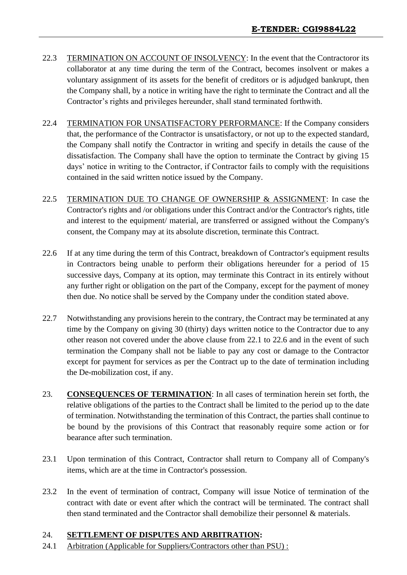- 22.3 TERMINATION ON ACCOUNT OF INSOLVENCY: In the event that the Contractoror its collaborator at any time during the term of the Contract, becomes insolvent or makes a voluntary assignment of its assets for the benefit of creditors or is adjudged bankrupt, then the Company shall, by a notice in writing have the right to terminate the Contract and all the Contractor's rights and privileges hereunder, shall stand terminated forthwith.
- 22.4 TERMINATION FOR UNSATISFACTORY PERFORMANCE: If the Company considers that, the performance of the Contractor is unsatisfactory, or not up to the expected standard, the Company shall notify the Contractor in writing and specify in details the cause of the dissatisfaction. The Company shall have the option to terminate the Contract by giving 15 days' notice in writing to the Contractor, if Contractor fails to comply with the requisitions contained in the said written notice issued by the Company.
- 22.5 TERMINATION DUE TO CHANGE OF OWNERSHIP & ASSIGNMENT: In case the Contractor's rights and /or obligations under this Contract and/or the Contractor's rights, title and interest to the equipment/ material, are transferred or assigned without the Company's consent, the Company may at its absolute discretion, terminate this Contract.
- 22.6 If at any time during the term of this Contract, breakdown of Contractor's equipment results in Contractors being unable to perform their obligations hereunder for a period of 15 successive days, Company at its option, may terminate this Contract in its entirely without any further right or obligation on the part of the Company, except for the payment of money then due. No notice shall be served by the Company under the condition stated above.
- 22.7 Notwithstanding any provisions herein to the contrary, the Contract may be terminated at any time by the Company on giving 30 (thirty) days written notice to the Contractor due to any other reason not covered under the above clause from 22.1 to 22.6 and in the event of such termination the Company shall not be liable to pay any cost or damage to the Contractor except for payment for services as per the Contract up to the date of termination including the De-mobilization cost, if any.
- 23. **CONSEQUENCES OF TERMINATION**: In all cases of termination herein set forth, the relative obligations of the parties to the Contract shall be limited to the period up to the date of termination. Notwithstanding the termination of this Contract, the parties shall continue to be bound by the provisions of this Contract that reasonably require some action or for bearance after such termination.
- 23.1 Upon termination of this Contract, Contractor shall return to Company all of Company's items, which are at the time in Contractor's possession.
- 23.2 In the event of termination of contract, Company will issue Notice of termination of the contract with date or event after which the contract will be terminated. The contract shall then stand terminated and the Contractor shall demobilize their personnel & materials.

# 24. **SETTLEMENT OF DISPUTES AND ARBITRATION:**

24.1 Arbitration (Applicable for Suppliers/Contractors other than PSU) :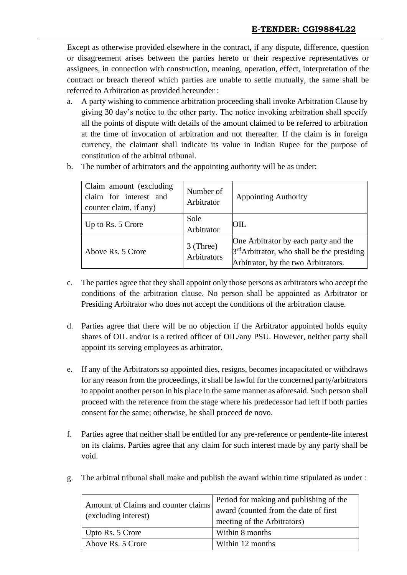Except as otherwise provided elsewhere in the contract, if any dispute, difference, question or disagreement arises between the parties hereto or their respective representatives or assignees, in connection with construction, meaning, operation, effect, interpretation of the contract or breach thereof which parties are unable to settle mutually, the same shall be referred to Arbitration as provided hereunder :

- a. A party wishing to commence arbitration proceeding shall invoke Arbitration Clause by giving 30 day's notice to the other party. The notice invoking arbitration shall specify all the points of dispute with details of the amount claimed to be referred to arbitration at the time of invocation of arbitration and not thereafter. If the claim is in foreign currency, the claimant shall indicate its value in Indian Rupee for the purpose of constitution of the arbitral tribunal.
- b. The number of arbitrators and the appointing authority will be as under:

| Claim amount (excluding<br>claim for interest and<br>counter claim, if any) | Number of<br>Arbitrator  | <b>Appointing Authority</b>                                                                                                 |
|-----------------------------------------------------------------------------|--------------------------|-----------------------------------------------------------------------------------------------------------------------------|
| Up to Rs. 5 Crore                                                           | Sole<br>Arbitrator       | OIL                                                                                                                         |
| Above Rs. 5 Crore                                                           | 3 (Three)<br>Arbitrators | One Arbitrator by each party and the<br>$3rd$ Arbitrator, who shall be the presiding<br>Arbitrator, by the two Arbitrators. |

- c. The parties agree that they shall appoint only those persons as arbitrators who accept the conditions of the arbitration clause. No person shall be appointed as Arbitrator or Presiding Arbitrator who does not accept the conditions of the arbitration clause.
- d. Parties agree that there will be no objection if the Arbitrator appointed holds equity shares of OIL and/or is a retired officer of OIL/any PSU. However, neither party shall appoint its serving employees as arbitrator.
- e. If any of the Arbitrators so appointed dies, resigns, becomes incapacitated or withdraws for any reason from the proceedings, it shall be lawful for the concerned party/arbitrators to appoint another person in his place in the same manner as aforesaid. Such person shall proceed with the reference from the stage where his predecessor had left if both parties consent for the same; otherwise, he shall proceed de novo.
- f. Parties agree that neither shall be entitled for any pre-reference or pendente-lite interest on its claims. Parties agree that any claim for such interest made by any party shall be void.
- g. The arbitral tribunal shall make and publish the award within time stipulated as under :

| Amount of Claims and counter claims<br>(excluding interest) | Period for making and publishing of the<br>award (counted from the date of first<br>meeting of the Arbitrators) |  |  |
|-------------------------------------------------------------|-----------------------------------------------------------------------------------------------------------------|--|--|
| Upto Rs. 5 Crore                                            | Within 8 months                                                                                                 |  |  |
| Above Rs. 5 Crore                                           | Within 12 months                                                                                                |  |  |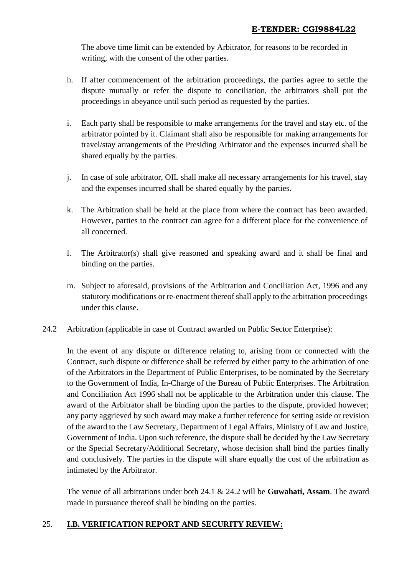The above time limit can be extended by Arbitrator, for reasons to be recorded in writing, with the consent of the other parties.

- h. If after commencement of the arbitration proceedings, the parties agree to settle the dispute mutually or refer the dispute to conciliation, the arbitrators shall put the proceedings in abeyance until such period as requested by the parties.
- i. Each party shall be responsible to make arrangements for the travel and stay etc. of the arbitrator pointed by it. Claimant shall also be responsible for making arrangements for travel/stay arrangements of the Presiding Arbitrator and the expenses incurred shall be shared equally by the parties.
- j. In case of sole arbitrator, OIL shall make all necessary arrangements for his travel, stay and the expenses incurred shall be shared equally by the parties.
- k. The Arbitration shall be held at the place from where the contract has been awarded. However, parties to the contract can agree for a different place for the convenience of all concerned.
- l. The Arbitrator(s) shall give reasoned and speaking award and it shall be final and binding on the parties.
- m. Subject to aforesaid, provisions of the Arbitration and Conciliation Act, 1996 and any statutory modifications or re-enactment thereof shall apply to the arbitration proceedings under this clause.

#### 24.2 Arbitration (applicable in case of Contract awarded on Public Sector Enterprise):

In the event of any dispute or difference relating to, arising from or connected with the Contract, such dispute or difference shall be referred by either party to the arbitration of one of the Arbitrators in the Department of Public Enterprises, to be nominated by the Secretary to the Government of India, In-Charge of the Bureau of Public Enterprises. The Arbitration and Conciliation Act 1996 shall not be applicable to the Arbitration under this clause. The award of the Arbitrator shall be binding upon the parties to the dispute, provided however; any party aggrieved by such award may make a further reference for setting aside or revision of the award to the Law Secretary, Department of Legal Affairs, Ministry of Law and Justice, Government of India. Upon such reference, the dispute shall be decided by the Law Secretary or the Special Secretary/Additional Secretary, whose decision shall bind the parties finally and conclusively. The parties in the dispute will share equally the cost of the arbitration as intimated by the Arbitrator.

The venue of all arbitrations under both 24.1 & 24.2 will be **Guwahati, Assam**. The award made in pursuance thereof shall be binding on the parties.

#### 25. **I.B. VERIFICATION REPORT AND SECURITY REVIEW:**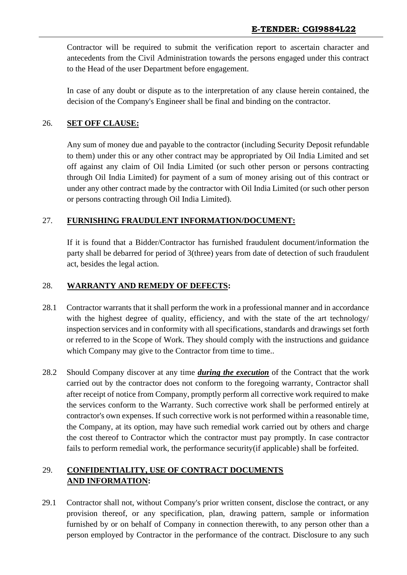Contractor will be required to submit the verification report to ascertain character and antecedents from the Civil Administration towards the persons engaged under this contract to the Head of the user Department before engagement.

In case of any doubt or dispute as to the interpretation of any clause herein contained, the decision of the Company's Engineer shall be final and binding on the contractor.

#### 26. **SET OFF CLAUSE:**

Any sum of money due and payable to the contractor (including Security Deposit refundable to them) under this or any other contract may be appropriated by Oil India Limited and set off against any claim of Oil India Limited (or such other person or persons contracting through Oil India Limited) for payment of a sum of money arising out of this contract or under any other contract made by the contractor with Oil India Limited (or such other person or persons contracting through Oil India Limited).

#### 27. **FURNISHING FRAUDULENT INFORMATION/DOCUMENT:**

If it is found that a Bidder/Contractor has furnished fraudulent document/information the party shall be debarred for period of 3(three) years from date of detection of such fraudulent act, besides the legal action.

#### 28. **WARRANTY AND REMEDY OF DEFECTS:**

- 28.1 Contractor warrants that it shall perform the work in a professional manner and in accordance with the highest degree of quality, efficiency, and with the state of the art technology/ inspection services and in conformity with all specifications, standards and drawings set forth or referred to in the Scope of Work. They should comply with the instructions and guidance which Company may give to the Contractor from time to time..
- 28.2 Should Company discover at any time *during the execution* of the Contract that the work carried out by the contractor does not conform to the foregoing warranty, Contractor shall after receipt of notice from Company, promptly perform all corrective work required to make the services conform to the Warranty. Such corrective work shall be performed entirely at contractor's own expenses. If such corrective work is not performed within a reasonable time, the Company, at its option, may have such remedial work carried out by others and charge the cost thereof to Contractor which the contractor must pay promptly. In case contractor fails to perform remedial work, the performance security(if applicable) shall be forfeited.

# 29. **CONFIDENTIALITY, USE OF CONTRACT DOCUMENTS AND INFORMATION:**

29.1 Contractor shall not, without Company's prior written consent, disclose the contract, or any provision thereof, or any specification, plan, drawing pattern, sample or information furnished by or on behalf of Company in connection therewith, to any person other than a person employed by Contractor in the performance of the contract. Disclosure to any such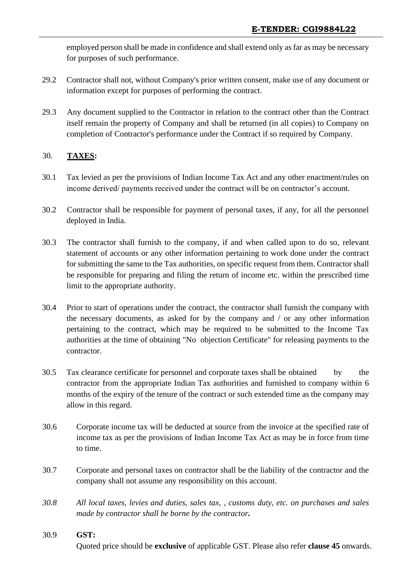employed person shall be made in confidence and shall extend only as far as may be necessary for purposes of such performance.

- 29.2 Contractor shall not, without Company's prior written consent, make use of any document or information except for purposes of performing the contract.
- 29.3 Any document supplied to the Contractor in relation to the contract other than the Contract itself remain the property of Company and shall be returned (in all copies) to Company on completion of Contractor's performance under the Contract if so required by Company.

#### 30. **TAXES:**

- 30.1 Tax levied as per the provisions of Indian Income Tax Act and any other enactment/rules on income derived/ payments received under the contract will be on contractor's account.
- 30.2 Contractor shall be responsible for payment of personal taxes, if any, for all the personnel deployed in India.
- 30.3 The contractor shall furnish to the company, if and when called upon to do so, relevant statement of accounts or any other information pertaining to work done under the contract for submitting the same to the Tax authorities, on specific request from them. Contractor shall be responsible for preparing and filing the return of income etc. within the prescribed time limit to the appropriate authority.
- 30.4 Prior to start of operations under the contract, the contractor shall furnish the company with the necessary documents, as asked for by the company and / or any other information pertaining to the contract, which may be required to be submitted to the Income Tax authorities at the time of obtaining "No objection Certificate" for releasing payments to the contractor.
- 30.5 Tax clearance certificate for personnel and corporate taxes shall be obtained by the contractor from the appropriate Indian Tax authorities and furnished to company within 6 months of the expiry of the tenure of the contract or such extended time as the company may allow in this regard.
- 30.6 Corporate income tax will be deducted at source from the invoice at the specified rate of income tax as per the provisions of Indian Income Tax Act as may be in force from time to time.
- 30.7 Corporate and personal taxes on contractor shall be the liability of the contractor and the company shall not assume any responsibility on this account.
- *30.8 All local taxes, levies and duties, sales tax, , customs duty, etc. on purchases and sales made by contractor shall be borne by the contractor.*

#### 30.9 **GST:**

Quoted price should be **exclusive** of applicable GST. Please also refer **clause 45** onwards.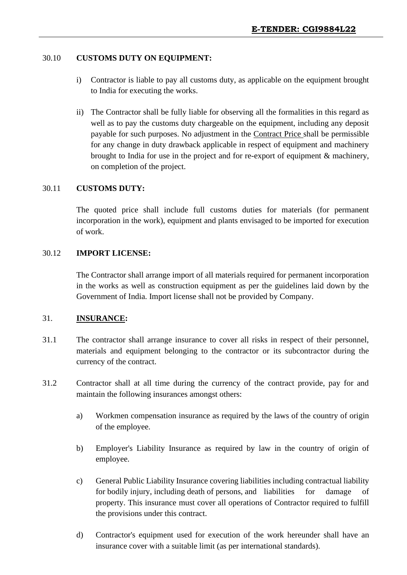#### 30.10 **CUSTOMS DUTY ON EQUIPMENT:**

- i) Contractor is liable to pay all customs duty, as applicable on the equipment brought to India for executing the works.
- ii) The Contractor shall be fully liable for observing all the formalities in this regard as well as to pay the customs duty chargeable on the equipment, including any deposit payable for such purposes. No adjustment in the Contract Price shall be permissible for any change in duty drawback applicable in respect of equipment and machinery brought to India for use in the project and for re-export of equipment & machinery, on completion of the project.

#### 30.11 **CUSTOMS DUTY:**

The quoted price shall include full customs duties for materials (for permanent incorporation in the work), equipment and plants envisaged to be imported for execution of work.

#### 30.12 **IMPORT LICENSE:**

The Contractor shall arrange import of all materials required for permanent incorporation in the works as well as construction equipment as per the guidelines laid down by the Government of India. Import license shall not be provided by Company.

#### 31. **INSURANCE:**

- 31.1 The contractor shall arrange insurance to cover all risks in respect of their personnel, materials and equipment belonging to the contractor or its subcontractor during the currency of the contract.
- 31.2 Contractor shall at all time during the currency of the contract provide, pay for and maintain the following insurances amongst others:
	- a) Workmen compensation insurance as required by the laws of the country of origin of the employee.
	- b) Employer's Liability Insurance as required by law in the country of origin of employee.
	- c) General Public Liability Insurance covering liabilities including contractual liability for bodily injury, including death of persons, and liabilities for damage of property. This insurance must cover all operations of Contractor required to fulfill the provisions under this contract.
	- d) Contractor's equipment used for execution of the work hereunder shall have an insurance cover with a suitable limit (as per international standards).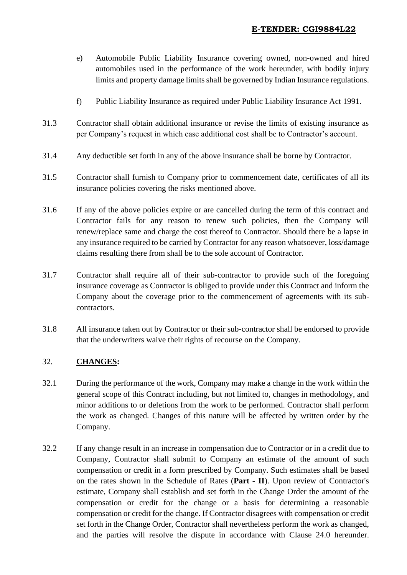- e) Automobile Public Liability Insurance covering owned, non-owned and hired automobiles used in the performance of the work hereunder, with bodily injury limits and property damage limits shall be governed by Indian Insurance regulations.
- f) Public Liability Insurance as required under Public Liability Insurance Act 1991.
- 31.3 Contractor shall obtain additional insurance or revise the limits of existing insurance as per Company's request in which case additional cost shall be to Contractor's account.
- 31.4 Any deductible set forth in any of the above insurance shall be borne by Contractor.
- 31.5 Contractor shall furnish to Company prior to commencement date, certificates of all its insurance policies covering the risks mentioned above.
- 31.6 If any of the above policies expire or are cancelled during the term of this contract and Contractor fails for any reason to renew such policies, then the Company will renew/replace same and charge the cost thereof to Contractor. Should there be a lapse in any insurance required to be carried by Contractor for any reason whatsoever, loss/damage claims resulting there from shall be to the sole account of Contractor.
- 31.7 Contractor shall require all of their sub-contractor to provide such of the foregoing insurance coverage as Contractor is obliged to provide under this Contract and inform the Company about the coverage prior to the commencement of agreements with its subcontractors.
- 31.8 All insurance taken out by Contractor or their sub-contractor shall be endorsed to provide that the underwriters waive their rights of recourse on the Company.

#### 32. **CHANGES:**

- 32.1 During the performance of the work, Company may make a change in the work within the general scope of this Contract including, but not limited to, changes in methodology, and minor additions to or deletions from the work to be performed. Contractor shall perform the work as changed. Changes of this nature will be affected by written order by the Company.
- 32.2 If any change result in an increase in compensation due to Contractor or in a credit due to Company, Contractor shall submit to Company an estimate of the amount of such compensation or credit in a form prescribed by Company. Such estimates shall be based on the rates shown in the Schedule of Rates (**Part - II**). Upon review of Contractor's estimate, Company shall establish and set forth in the Change Order the amount of the compensation or credit for the change or a basis for determining a reasonable compensation or credit for the change. If Contractor disagrees with compensation or credit set forth in the Change Order, Contractor shall nevertheless perform the work as changed, and the parties will resolve the dispute in accordance with Clause 24.0 hereunder.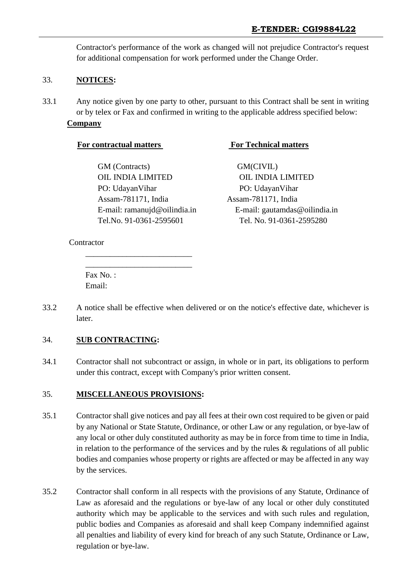Contractor's performance of the work as changed will not prejudice Contractor's request for additional compensation for work performed under the Change Order.

#### 33. **NOTICES:**

33.1 Any notice given by one party to other, pursuant to this Contract shall be sent in writing or by telex or Fax and confirmed in writing to the applicable address specified below: **Company**

GM (Contracts) GM (CIVIL) OIL INDIA LIMITED OIL INDIA LIMITED PO: UdayanVihar PO: UdayanVihar Assam-781171, India Assam-781171, India

\_\_\_\_\_\_\_\_\_\_\_\_\_\_\_\_\_\_\_\_\_\_\_\_\_\_ \_\_\_\_\_\_\_\_\_\_\_\_\_\_\_\_\_\_\_\_\_\_\_\_\_\_

#### **For contractual matters For Technical matters**

E-mail: ramanujd@oilindia.in E-mail: gautamdas@oilindia.in Tel.No. 91-0361-2595601 Tel. No. 91-0361-2595280

**Contractor** 

Fax No. : Email:

33.2 A notice shall be effective when delivered or on the notice's effective date, whichever is later.

#### 34. **SUB CONTRACTING:**

34.1 Contractor shall not subcontract or assign, in whole or in part, its obligations to perform under this contract, except with Company's prior written consent.

#### 35. **MISCELLANEOUS PROVISIONS:**

- 35.1 Contractor shall give notices and pay all fees at their own cost required to be given or paid by any National or State Statute, Ordinance, or other Law or any regulation, or bye-law of any local or other duly constituted authority as may be in force from time to time in India, in relation to the performance of the services and by the rules  $\&$  regulations of all public bodies and companies whose property or rights are affected or may be affected in any way by the services.
- 35.2 Contractor shall conform in all respects with the provisions of any Statute, Ordinance of Law as aforesaid and the regulations or bye-law of any local or other duly constituted authority which may be applicable to the services and with such rules and regulation, public bodies and Companies as aforesaid and shall keep Company indemnified against all penalties and liability of every kind for breach of any such Statute, Ordinance or Law, regulation or bye-law.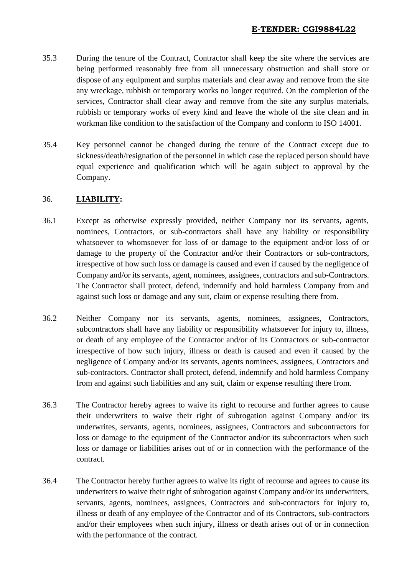- 35.3 During the tenure of the Contract, Contractor shall keep the site where the services are being performed reasonably free from all unnecessary obstruction and shall store or dispose of any equipment and surplus materials and clear away and remove from the site any wreckage, rubbish or temporary works no longer required. On the completion of the services, Contractor shall clear away and remove from the site any surplus materials, rubbish or temporary works of every kind and leave the whole of the site clean and in workman like condition to the satisfaction of the Company and conform to ISO 14001.
- 35.4 Key personnel cannot be changed during the tenure of the Contract except due to sickness/death/resignation of the personnel in which case the replaced person should have equal experience and qualification which will be again subject to approval by the Company.

#### 36. **LIABILITY:**

- 36.1 Except as otherwise expressly provided, neither Company nor its servants, agents, nominees, Contractors, or sub-contractors shall have any liability or responsibility whatsoever to whomsoever for loss of or damage to the equipment and/or loss of or damage to the property of the Contractor and/or their Contractors or sub-contractors, irrespective of how such loss or damage is caused and even if caused by the negligence of Company and/or its servants, agent, nominees, assignees, contractors and sub-Contractors. The Contractor shall protect, defend, indemnify and hold harmless Company from and against such loss or damage and any suit, claim or expense resulting there from.
- 36.2 Neither Company nor its servants, agents, nominees, assignees, Contractors, subcontractors shall have any liability or responsibility whatsoever for injury to, illness, or death of any employee of the Contractor and/or of its Contractors or sub-contractor irrespective of how such injury, illness or death is caused and even if caused by the negligence of Company and/or its servants, agents nominees, assignees, Contractors and sub-contractors. Contractor shall protect, defend, indemnify and hold harmless Company from and against such liabilities and any suit, claim or expense resulting there from.
- 36.3 The Contractor hereby agrees to waive its right to recourse and further agrees to cause their underwriters to waive their right of subrogation against Company and/or its underwrites, servants, agents, nominees, assignees, Contractors and subcontractors for loss or damage to the equipment of the Contractor and/or its subcontractors when such loss or damage or liabilities arises out of or in connection with the performance of the contract.
- 36.4 The Contractor hereby further agrees to waive its right of recourse and agrees to cause its underwriters to waive their right of subrogation against Company and/or its underwriters, servants, agents, nominees, assignees, Contractors and sub-contractors for injury to, illness or death of any employee of the Contractor and of its Contractors, sub-contractors and/or their employees when such injury, illness or death arises out of or in connection with the performance of the contract.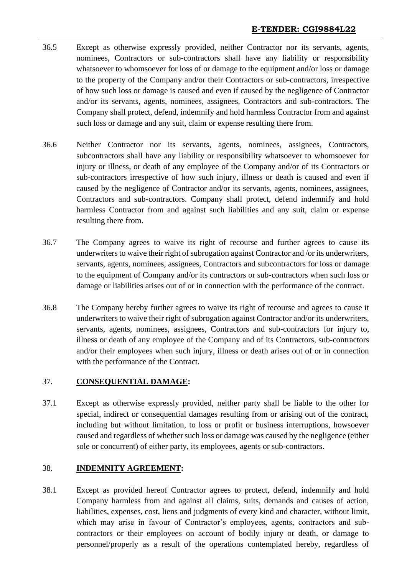- 36.5 Except as otherwise expressly provided, neither Contractor nor its servants, agents, nominees, Contractors or sub-contractors shall have any liability or responsibility whatsoever to whomsoever for loss of or damage to the equipment and/or loss or damage to the property of the Company and/or their Contractors or sub-contractors, irrespective of how such loss or damage is caused and even if caused by the negligence of Contractor and/or its servants, agents, nominees, assignees, Contractors and sub-contractors. The Company shall protect, defend, indemnify and hold harmless Contractor from and against such loss or damage and any suit, claim or expense resulting there from.
- 36.6 Neither Contractor nor its servants, agents, nominees, assignees, Contractors, subcontractors shall have any liability or responsibility whatsoever to whomsoever for injury or illness, or death of any employee of the Company and/or of its Contractors or sub-contractors irrespective of how such injury, illness or death is caused and even if caused by the negligence of Contractor and/or its servants, agents, nominees, assignees, Contractors and sub-contractors. Company shall protect, defend indemnify and hold harmless Contractor from and against such liabilities and any suit, claim or expense resulting there from.
- 36.7 The Company agrees to waive its right of recourse and further agrees to cause its underwriters to waive their right of subrogation against Contractor and /or its underwriters, servants, agents, nominees, assignees, Contractors and subcontractors for loss or damage to the equipment of Company and/or its contractors or sub-contractors when such loss or damage or liabilities arises out of or in connection with the performance of the contract.
- 36.8 The Company hereby further agrees to waive its right of recourse and agrees to cause it underwriters to waive their right of subrogation against Contractor and/or its underwriters, servants, agents, nominees, assignees, Contractors and sub-contractors for injury to, illness or death of any employee of the Company and of its Contractors, sub-contractors and/or their employees when such injury, illness or death arises out of or in connection with the performance of the Contract.

#### 37. **CONSEQUENTIAL DAMAGE:**

37.1 Except as otherwise expressly provided, neither party shall be liable to the other for special, indirect or consequential damages resulting from or arising out of the contract, including but without limitation, to loss or profit or business interruptions, howsoever caused and regardless of whether such loss or damage was caused by the negligence (either sole or concurrent) of either party, its employees, agents or sub-contractors.

#### 38. **INDEMNITY AGREEMENT:**

38.1 Except as provided hereof Contractor agrees to protect, defend, indemnify and hold Company harmless from and against all claims, suits, demands and causes of action, liabilities, expenses, cost, liens and judgments of every kind and character, without limit, which may arise in favour of Contractor's employees, agents, contractors and subcontractors or their employees on account of bodily injury or death, or damage to personnel/properly as a result of the operations contemplated hereby, regardless of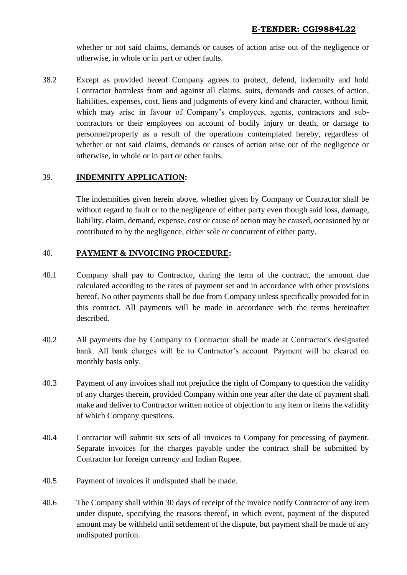whether or not said claims, demands or causes of action arise out of the negligence or otherwise, in whole or in part or other faults.

38.2 Except as provided hereof Company agrees to protect, defend, indemnify and hold Contractor harmless from and against all claims, suits, demands and causes of action, liabilities, expenses, cost, liens and judgments of every kind and character, without limit, which may arise in favour of Company's employees, agents, contractors and subcontractors or their employees on account of bodily injury or death, or damage to personnel/properly as a result of the operations contemplated hereby, regardless of whether or not said claims, demands or causes of action arise out of the negligence or otherwise, in whole or in part or other faults.

### 39. **INDEMNITY APPLICATION:**

The indemnities given herein above, whether given by Company or Contractor shall be without regard to fault or to the negligence of either party even though said loss, damage, liability, claim, demand, expense, cost or cause of action may be caused, occasioned by or contributed to by the negligence, either sole or concurrent of either party.

### 40. **PAYMENT & INVOICING PROCEDURE:**

- 40.1 Company shall pay to Contractor, during the term of the contract, the amount due calculated according to the rates of payment set and in accordance with other provisions hereof. No other payments shall be due from Company unless specifically provided for in this contract. All payments will be made in accordance with the terms hereinafter described.
- 40.2 All payments due by Company to Contractor shall be made at Contractor's designated bank. All bank charges will be to Contractor's account. Payment will be cleared on monthly basis only.
- 40.3 Payment of any invoices shall not prejudice the right of Company to question the validity of any charges therein, provided Company within one year after the date of payment shall make and deliver to Contractor written notice of objection to any item or items the validity of which Company questions.
- 40.4 Contractor will submit six sets of all invoices to Company for processing of payment. Separate invoices for the charges payable under the contract shall be submitted by Contractor for foreign currency and Indian Rupee.
- 40.5 Payment of invoices if undisputed shall be made.
- 40.6 The Company shall within 30 days of receipt of the invoice notify Contractor of any item under dispute, specifying the reasons thereof, in which event, payment of the disputed amount may be withheld until settlement of the dispute, but payment shall be made of any undisputed portion.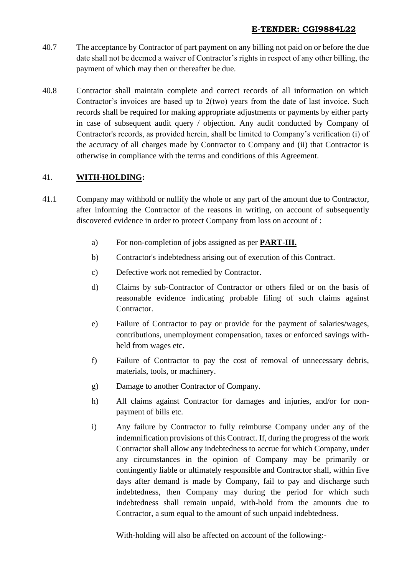- 40.7 The acceptance by Contractor of part payment on any billing not paid on or before the due date shall not be deemed a waiver of Contractor's rights in respect of any other billing, the payment of which may then or thereafter be due.
- 40.8 Contractor shall maintain complete and correct records of all information on which Contractor's invoices are based up to 2(two) years from the date of last invoice. Such records shall be required for making appropriate adjustments or payments by either party in case of subsequent audit query / objection. Any audit conducted by Company of Contractor's records, as provided herein, shall be limited to Company's verification (i) of the accuracy of all charges made by Contractor to Company and (ii) that Contractor is otherwise in compliance with the terms and conditions of this Agreement.

### 41. **WITH-HOLDING:**

- 41.1 Company may withhold or nullify the whole or any part of the amount due to Contractor, after informing the Contractor of the reasons in writing, on account of subsequently discovered evidence in order to protect Company from loss on account of :
	- a) For non-completion of jobs assigned as per **PART-III.**
	- b) Contractor's indebtedness arising out of execution of this Contract.
	- c) Defective work not remedied by Contractor.
	- d) Claims by sub-Contractor of Contractor or others filed or on the basis of reasonable evidence indicating probable filing of such claims against Contractor.
	- e) Failure of Contractor to pay or provide for the payment of salaries/wages, contributions, unemployment compensation, taxes or enforced savings withheld from wages etc.
	- f) Failure of Contractor to pay the cost of removal of unnecessary debris, materials, tools, or machinery.
	- g) Damage to another Contractor of Company.
	- h) All claims against Contractor for damages and injuries, and/or for nonpayment of bills etc.
	- i) Any failure by Contractor to fully reimburse Company under any of the indemnification provisions of this Contract. If, during the progress of the work Contractor shall allow any indebtedness to accrue for which Company, under any circumstances in the opinion of Company may be primarily or contingently liable or ultimately responsible and Contractor shall, within five days after demand is made by Company, fail to pay and discharge such indebtedness, then Company may during the period for which such indebtedness shall remain unpaid, with-hold from the amounts due to Contractor, a sum equal to the amount of such unpaid indebtedness.

With-holding will also be affected on account of the following:-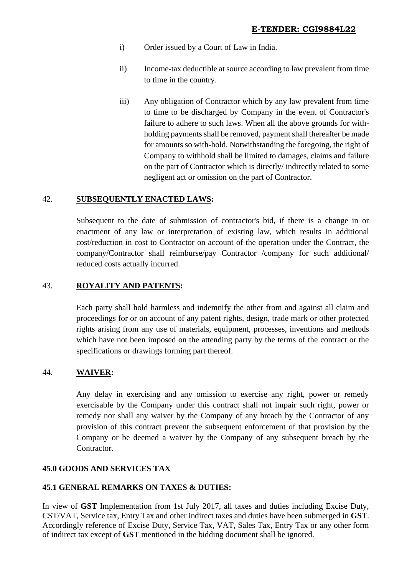- i) Order issued by a Court of Law in India.
- ii) Income-tax deductible at source according to law prevalent from time to time in the country.
- iii) Any obligation of Contractor which by any law prevalent from time to time to be discharged by Company in the event of Contractor's failure to adhere to such laws. When all the above grounds for withholding payments shall be removed, payment shall thereafter be made for amounts so with-hold. Notwithstanding the foregoing, the right of Company to withhold shall be limited to damages, claims and failure on the part of Contractor which is directly/ indirectly related to some negligent act or omission on the part of Contractor.

#### 42. **SUBSEQUENTLY ENACTED LAWS:**

Subsequent to the date of submission of contractor's bid, if there is a change in or enactment of any law or interpretation of existing law, which results in additional cost/reduction in cost to Contractor on account of the operation under the Contract, the company/Contractor shall reimburse/pay Contractor /company for such additional/ reduced costs actually incurred.

#### 43. **ROYALITY AND PATENTS:**

Each party shall hold harmless and indemnify the other from and against all claim and proceedings for or on account of any patent rights, design, trade mark or other protected rights arising from any use of materials, equipment, processes, inventions and methods which have not been imposed on the attending party by the terms of the contract or the specifications or drawings forming part thereof.

#### 44. **WAIVER:**

Any delay in exercising and any omission to exercise any right, power or remedy exercisable by the Company under this contract shall not impair such right, power or remedy nor shall any waiver by the Company of any breach by the Contractor of any provision of this contract prevent the subsequent enforcement of that provision by the Company or be deemed a waiver by the Company of any subsequent breach by the Contractor.

#### **45.0 GOODS AND SERVICES TAX**

#### **45.1 GENERAL REMARKS ON TAXES & DUTIES:**

In view of **GST** Implementation from 1st July 2017, all taxes and duties including Excise Duty, CST/VAT, Service tax, Entry Tax and other indirect taxes and duties have been submerged in **GST**. Accordingly reference of Excise Duty, Service Tax, VAT, Sales Tax, Entry Tax or any other form of indirect tax except of **GST** mentioned in the bidding document shall be ignored.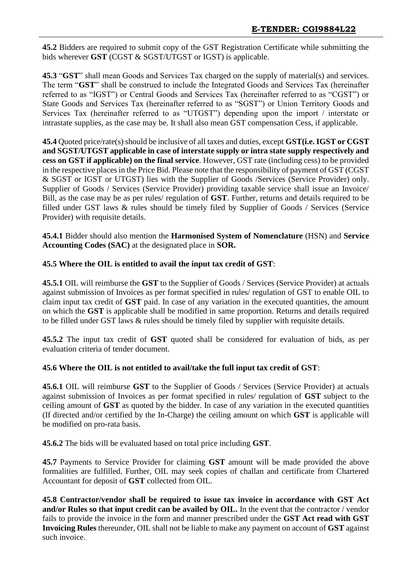**45.2** Bidders are required to submit copy of the GST Registration Certificate while submitting the bids wherever **GST** (CGST & SGST/UTGST or IGST) is applicable.

**45.3** "**GST**" shall mean Goods and Services Tax charged on the supply of material(s) and services. The term "**GST**" shall be construed to include the Integrated Goods and Services Tax (hereinafter referred to as "IGST") or Central Goods and Services Tax (hereinafter referred to as "CGST") or State Goods and Services Tax (hereinafter referred to as "SGST") or Union Territory Goods and Services Tax (hereinafter referred to as "UTGST") depending upon the import / interstate or intrastate supplies, as the case may be. It shall also mean GST compensation Cess, if applicable.

**45.4** Quoted price/rate(s) should be inclusive of all taxes and duties, except **GST(i.e. IGST or CGST and SGST/UTGST applicable in case of interstate supply or intra state supply respectively and cess on GST if applicable) on the final service**. However, GST rate (including cess) to be provided in the respective places in the Price Bid. Please note that the responsibility of payment of GST (CGST & SGST or IGST or UTGST) lies with the Supplier of Goods /Services (Service Provider) only. Supplier of Goods / Services (Service Provider) providing taxable service shall issue an Invoice/ Bill, as the case may be as per rules/ regulation of **GST**. Further, returns and details required to be filled under GST laws & rules should be timely filed by Supplier of Goods / Services (Service Provider) with requisite details.

**45.4.1** Bidder should also mention the **Harmonised System of Nomenclature** (HSN) and **Service Accounting Codes (SAC)** at the designated place in **SOR.**

### **45.5 Where the OIL is entitled to avail the input tax credit of GST**:

**45.5.1** OIL will reimburse the **GST** to the Supplier of Goods / Services (Service Provider) at actuals against submission of Invoices as per format specified in rules/ regulation of GST to enable OIL to claim input tax credit of **GST** paid. In case of any variation in the executed quantities, the amount on which the **GST** is applicable shall be modified in same proportion. Returns and details required to be filled under GST laws & rules should be timely filed by supplier with requisite details.

**45.5.2** The input tax credit of **GST** quoted shall be considered for evaluation of bids, as per evaluation criteria of tender document.

### **45.6 Where the OIL is not entitled to avail/take the full input tax credit of GST**:

**45.6.1** OIL will reimburse **GST** to the Supplier of Goods / Services (Service Provider) at actuals against submission of Invoices as per format specified in rules/ regulation of **GST** subject to the ceiling amount of **GST** as quoted by the bidder. In case of any variation in the executed quantities (If directed and/or certified by the In-Charge) the ceiling amount on which **GST** is applicable will be modified on pro-rata basis.

**45.6.2** The bids will be evaluated based on total price including **GST**.

**45.7** Payments to Service Provider for claiming **GST** amount will be made provided the above formalities are fulfilled. Further, OIL may seek copies of challan and certificate from Chartered Accountant for deposit of **GST** collected from OIL.

**45.8 Contractor/vendor shall be required to issue tax invoice in accordance with GST Act and/or Rules so that input credit can be availed by OIL.** In the event that the contractor / vendor fails to provide the invoice in the form and manner prescribed under the **GST Act read with GST Invoicing Rules** thereunder, OIL shall not be liable to make any payment on account of **GST** against such invoice.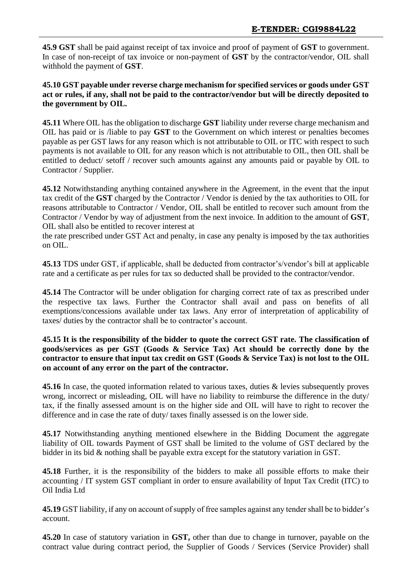**45.9 GST** shall be paid against receipt of tax invoice and proof of payment of **GST** to government. In case of non-receipt of tax invoice or non-payment of **GST** by the contractor/vendor, OIL shall withhold the payment of **GST**.

**45.10 GST payable under reverse charge mechanism for specified services or goods under GST act or rules, if any, shall not be paid to the contractor/vendor but will be directly deposited to the government by OIL.**

**45.11** Where OIL has the obligation to discharge **GST** liability under reverse charge mechanism and OIL has paid or is /liable to pay **GST** to the Government on which interest or penalties becomes payable as per GST laws for any reason which is not attributable to OIL or ITC with respect to such payments is not available to OIL for any reason which is not attributable to OIL, then OIL shall be entitled to deduct/ setoff / recover such amounts against any amounts paid or payable by OIL to Contractor / Supplier.

**45.12** Notwithstanding anything contained anywhere in the Agreement, in the event that the input tax credit of the **GST** charged by the Contractor / Vendor is denied by the tax authorities to OIL for reasons attributable to Contractor / Vendor, OIL shall be entitled to recover such amount from the Contractor / Vendor by way of adjustment from the next invoice. In addition to the amount of **GST**, OIL shall also be entitled to recover interest at

the rate prescribed under GST Act and penalty, in case any penalty is imposed by the tax authorities on OIL.

**45.13** TDS under GST, if applicable, shall be deducted from contractor's/vendor's bill at applicable rate and a certificate as per rules for tax so deducted shall be provided to the contractor/vendor.

**45.14** The Contractor will be under obligation for charging correct rate of tax as prescribed under the respective tax laws. Further the Contractor shall avail and pass on benefits of all exemptions/concessions available under tax laws. Any error of interpretation of applicability of taxes/ duties by the contractor shall be to contractor's account.

### **45.15 It is the responsibility of the bidder to quote the correct GST rate. The classification of goods/services as per GST (Goods & Service Tax) Act should be correctly done by the contractor to ensure that input tax credit on GST (Goods & Service Tax) is not lost to the OIL on account of any error on the part of the contractor.**

**45.16** In case, the quoted information related to various taxes, duties & levies subsequently proves wrong, incorrect or misleading, OIL will have no liability to reimburse the difference in the duty/ tax, if the finally assessed amount is on the higher side and OIL will have to right to recover the difference and in case the rate of duty/ taxes finally assessed is on the lower side.

**45.17** Notwithstanding anything mentioned elsewhere in the Bidding Document the aggregate liability of OIL towards Payment of GST shall be limited to the volume of GST declared by the bidder in its bid & nothing shall be payable extra except for the statutory variation in GST.

**45.18** Further, it is the responsibility of the bidders to make all possible efforts to make their accounting / IT system GST compliant in order to ensure availability of Input Tax Credit (ITC) to Oil India Ltd

**45.19** GST liability, if any on account of supply of free samples against any tender shall be to bidder's account.

**45.20** In case of statutory variation in **GST,** other than due to change in turnover, payable on the contract value during contract period, the Supplier of Goods / Services (Service Provider) shall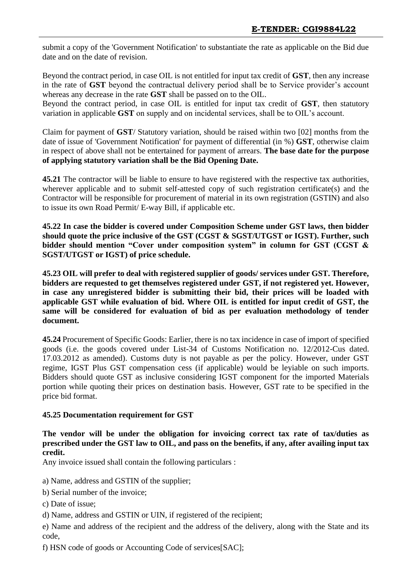submit a copy of the 'Government Notification' to substantiate the rate as applicable on the Bid due date and on the date of revision.

Beyond the contract period, in case OIL is not entitled for input tax credit of **GST**, then any increase in the rate of **GST** beyond the contractual delivery period shall be to Service provider's account whereas any decrease in the rate **GST** shall be passed on to the OIL.

Beyond the contract period, in case OIL is entitled for input tax credit of **GST**, then statutory variation in applicable **GST** on supply and on incidental services, shall be to OIL's account.

Claim for payment of **GST**/ Statutory variation, should be raised within two [02] months from the date of issue of 'Government Notification' for payment of differential (in %) **GST**, otherwise claim in respect of above shall not be entertained for payment of arrears. **The base date for the purpose of applying statutory variation shall be the Bid Opening Date.**

**45.21** The contractor will be liable to ensure to have registered with the respective tax authorities, wherever applicable and to submit self-attested copy of such registration certificate(s) and the Contractor will be responsible for procurement of material in its own registration (GSTIN) and also to issue its own Road Permit/ E-way Bill, if applicable etc.

**45.22 In case the bidder is covered under Composition Scheme under GST laws, then bidder should quote the price inclusive of the GST (CGST & SGST/UTGST or IGST). Further, such bidder should mention "Cover under composition system" in column for GST (CGST & SGST/UTGST or IGST) of price schedule.** 

**45.23 OIL will prefer to deal with registered supplier of goods/ services under GST. Therefore, bidders are requested to get themselves registered under GST, if not registered yet. However, in case any unregistered bidder is submitting their bid, their prices will be loaded with applicable GST while evaluation of bid. Where OIL is entitled for input credit of GST, the same will be considered for evaluation of bid as per evaluation methodology of tender document.**

**45.24** Procurement of Specific Goods: Earlier, there is no tax incidence in case of import of specified goods (i.e. the goods covered under List-34 of Customs Notification no. 12/2012-Cus dated. 17.03.2012 as amended). Customs duty is not payable as per the policy. However, under GST regime, IGST Plus GST compensation cess (if applicable) would be leyiable on such imports. Bidders should quote GST as inclusive considering IGST component for the imported Materials portion while quoting their prices on destination basis. However, GST rate to be specified in the price bid format.

### **45.25 Documentation requirement for GST**

### **The vendor will be under the obligation for invoicing correct tax rate of tax/duties as prescribed under the GST law to OIL, and pass on the benefits, if any, after availing input tax credit.**

Any invoice issued shall contain the following particulars :

a) Name, address and GSTIN of the supplier;

- b) Serial number of the invoice;
- c) Date of issue;
- d) Name, address and GSTIN or UIN, if registered of the recipient;

e) Name and address of the recipient and the address of the delivery, along with the State and its code,

f) HSN code of goods or Accounting Code of services[SAC];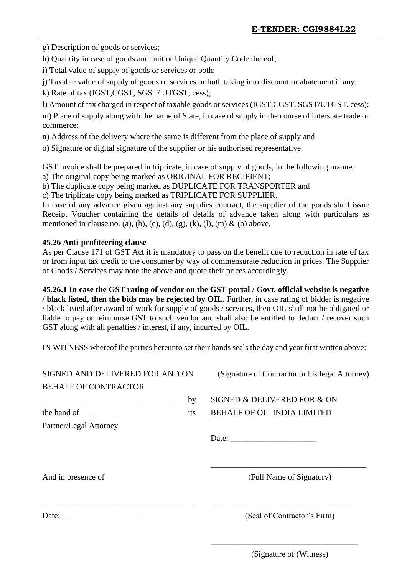g) Description of goods or services;

h) Quantity in case of goods and unit or Unique Quantity Code thereof;

i) Total value of supply of goods or services or both;

j) Taxable value of supply of goods or services or both taking into discount or abatement if any;

k) Rate of tax (IGST,CGST, SGST/ UTGST, cess);

l) Amount of tax charged in respect of taxable goods or services (IGST,CGST, SGST/UTGST, cess);

m) Place of supply along with the name of State, in case of supply in the course of interstate trade or commerce;

n) Address of the delivery where the same is different from the place of supply and

o) Signature or digital signature of the supplier or his authorised representative.

GST invoice shall be prepared in triplicate, in case of supply of goods, in the following manner a) The original copy being marked as ORIGINAL FOR RECIPIENT;

b) The duplicate copy being marked as DUPLICATE FOR TRANSPORTER and

c) The triplicate copy being marked as TRIPLICATE FOR SUPPLIER.

In case of any advance given against any supplies contract, the supplier of the goods shall issue Receipt Voucher containing the details of details of advance taken along with particulars as mentioned in clause no. (a), (b), (c), (d), (g), (k), (l), (m) & (o) above.

### **45.26 Anti-profiteering clause**

As per Clause 171 of GST Act it is mandatory to pass on the benefit due to reduction in rate of tax or from input tax credit to the consumer by way of commensurate reduction in prices. The Supplier of Goods / Services may note the above and quote their prices accordingly.

**45.26.1 In case the GST rating of vendor on the GST portal / Govt. official website is negative / black listed, then the bids may be rejected by OIL.** Further, in case rating of bidder is negative / black listed after award of work for supply of goods / services, then OIL shall not be obligated or liable to pay or reimburse GST to such vendor and shall also be entitled to deduct / recover such GST along with all penalties / interest, if any, incurred by OIL.

IN WITNESS whereof the parties hereunto set their hands seals the day and year first written above:-

| SIGNED AND DELIVERED FOR AND ON  |    | (Signature of Contractor or his legal Attorney) |
|----------------------------------|----|-------------------------------------------------|
| <b>BEHALF OF CONTRACTOR</b>      |    |                                                 |
|                                  | by | SIGNED & DELIVERED FOR & ON                     |
| the hand of<br>$\frac{1}{1}$ its |    | <b>BEHALF OF OIL INDIA LIMITED</b>              |
| Partner/Legal Attorney           |    |                                                 |
|                                  |    | Date:                                           |
|                                  |    |                                                 |
| And in presence of               |    | (Full Name of Signatory)                        |
|                                  |    | (Seal of Contractor's Firm)                     |

(Signature of (Witness)

\_\_\_\_\_\_\_\_\_\_\_\_\_\_\_\_\_\_\_\_\_\_\_\_\_\_\_\_\_\_\_\_\_\_\_\_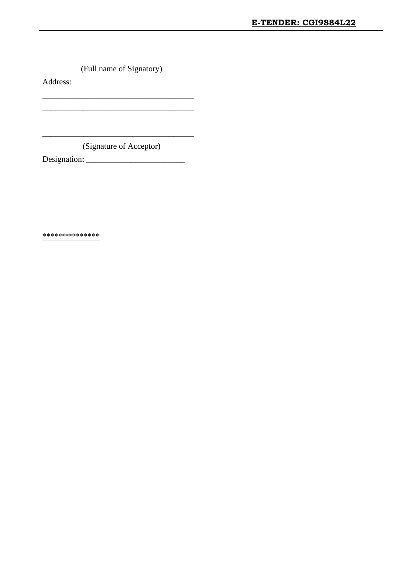(Full name of Signatory)

\_\_\_\_\_\_\_\_\_\_\_\_\_\_\_\_\_\_\_\_\_\_\_\_\_\_\_\_\_\_\_\_\_\_\_\_\_ \_\_\_\_\_\_\_\_\_\_\_\_\_\_\_\_\_\_\_\_\_\_\_\_\_\_\_\_\_\_\_\_\_\_\_\_\_

Address:

\_\_\_\_\_\_\_\_\_\_\_\_\_\_\_\_\_\_\_\_\_\_\_\_\_\_\_\_\_\_\_\_\_\_\_\_\_ (Signature of Acceptor)

Designation: \_\_\_\_\_\_\_\_\_\_\_\_\_\_\_\_\_\_\_\_\_\_\_\_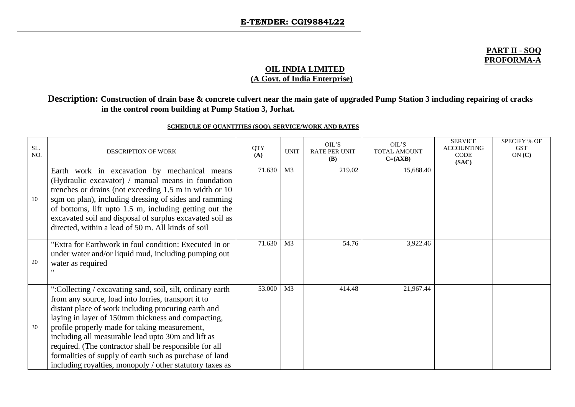#### **PART II - SOQ PROFORMA-A**

#### **OIL INDIA LIMITED (A Govt. of India Enterprise)**

### **Description: Construction of drain base & concrete culvert near the main gate of upgraded Pump Station 3 including repairing of cracks in the control room building at Pump Station 3, Jorhat.**

#### **SCHEDULE OF QUANTITIES (SOQ), SERVICE/WORK AND RATES**

| SL.<br>NO. | <b>DESCRIPTION OF WORK</b>                                                                                                                                                                                                                                                                                                                                                                                                                                                                                             | <b>QTY</b><br>(A) | <b>UNIT</b>    | OIL'S<br><b>RATE PER UNIT</b><br><b>(B)</b> | OIL'S<br><b>TOTAL AMOUNT</b><br>$C=(AXB)$ | <b>SERVICE</b><br><b>ACCOUNTING</b><br><b>CODE</b><br>(SAC) | <b>SPECIFY % OF</b><br><b>GST</b><br>ON(C) |
|------------|------------------------------------------------------------------------------------------------------------------------------------------------------------------------------------------------------------------------------------------------------------------------------------------------------------------------------------------------------------------------------------------------------------------------------------------------------------------------------------------------------------------------|-------------------|----------------|---------------------------------------------|-------------------------------------------|-------------------------------------------------------------|--------------------------------------------|
| 10         | Earth work in excavation by mechanical means<br>(Hydraulic excavator) / manual means in foundation<br>trenches or drains (not exceeding 1.5 m in width or 10)<br>sqm on plan), including dressing of sides and ramming<br>of bottoms, lift upto 1.5 m, including getting out the<br>excavated soil and disposal of surplus excavated soil as<br>directed, within a lead of 50 m. All kinds of soil                                                                                                                     | 71.630            | M <sub>3</sub> | 219.02                                      | 15,688.40                                 |                                                             |                                            |
| 20         | "Extra for Earthwork in foul condition: Executed In or<br>under water and/or liquid mud, including pumping out<br>water as required                                                                                                                                                                                                                                                                                                                                                                                    | 71.630            | M <sub>3</sub> | 54.76                                       | 3,922.46                                  |                                                             |                                            |
| 30         | ":Collecting / excavating sand, soil, silt, ordinary earth<br>from any source, load into lorries, transport it to<br>distant place of work including procuring earth and<br>laying in layer of 150mm thickness and compacting,<br>profile properly made for taking measurement,<br>including all measurable lead upto 30m and lift as<br>required. (The contractor shall be responsible for all<br>formalities of supply of earth such as purchase of land<br>including royalties, monopoly / other statutory taxes as | 53.000            | M <sub>3</sub> | 414.48                                      | 21,967.44                                 |                                                             |                                            |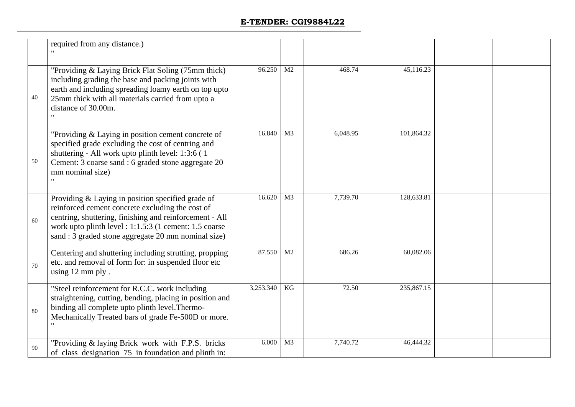|    | required from any distance.)                                                                                                                                                                                                                                                      |           |                |          |            |  |
|----|-----------------------------------------------------------------------------------------------------------------------------------------------------------------------------------------------------------------------------------------------------------------------------------|-----------|----------------|----------|------------|--|
| 40 | "Providing & Laying Brick Flat Soling (75mm thick)<br>including grading the base and packing joints with<br>earth and including spreading loamy earth on top upto<br>25mm thick with all materials carried from upto a<br>distance of 30.00m.<br>$\mathbf{H}$                     | 96.250    | M2             | 468.74   | 45,116.23  |  |
| 50 | "Providing & Laying in position cement concrete of<br>specified grade excluding the cost of centring and<br>shuttering - All work upto plinth level: 1:3:6 (1)<br>Cement: 3 coarse sand : 6 graded stone aggregate 20<br>mm nominal size)<br>$\mathbf{H}$                         | 16.840    | M <sub>3</sub> | 6,048.95 | 101,864.32 |  |
| 60 | Providing & Laying in position specified grade of<br>reinforced cement concrete excluding the cost of<br>centring, shuttering, finishing and reinforcement - All<br>work upto plinth level : 1:1.5:3 (1 cement: 1.5 coarse<br>sand : 3 graded stone aggregate 20 mm nominal size) | 16.620    | M <sub>3</sub> | 7,739.70 | 128,633.81 |  |
| 70 | Centering and shuttering including strutting, propping<br>etc. and removal of form for: in suspended floor etc<br>using 12 mm ply.                                                                                                                                                | 87.550    | M2             | 686.26   | 60,082.06  |  |
| 80 | "Steel reinforcement for R.C.C. work including<br>straightening, cutting, bending, placing in position and<br>binding all complete upto plinth level. Thermo-<br>Mechanically Treated bars of grade Fe-500D or more.                                                              | 3,253.340 | KG             | 72.50    | 235,867.15 |  |
| 90 | "Providing & laying Brick work with F.P.S. bricks"<br>of class designation 75 in foundation and plinth in:                                                                                                                                                                        | 6.000     | M <sub>3</sub> | 7,740.72 | 46,444.32  |  |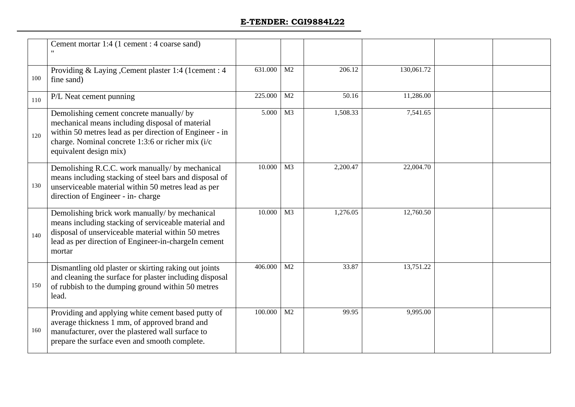|     | Cement mortar 1:4 (1 cement : 4 coarse sand)                                                                                                                                                                                          |         |                |          |            |  |
|-----|---------------------------------------------------------------------------------------------------------------------------------------------------------------------------------------------------------------------------------------|---------|----------------|----------|------------|--|
| 100 | Providing & Laying , Cement plaster 1:4 (1cement : 4)<br>fine sand)                                                                                                                                                                   | 631.000 | M <sub>2</sub> | 206.12   | 130,061.72 |  |
| 110 | P/L Neat cement punning                                                                                                                                                                                                               | 225.000 | M <sub>2</sub> | 50.16    | 11,286.00  |  |
| 120 | Demolishing cement concrete manually/ by<br>mechanical means including disposal of material<br>within 50 metres lead as per direction of Engineer - in<br>charge. Nominal concrete 1:3:6 or richer mix (i/c<br>equivalent design mix) | 5.000   | M <sub>3</sub> | 1,508.33 | 7,541.65   |  |
| 130 | Demolishing R.C.C. work manually/ by mechanical<br>means including stacking of steel bars and disposal of<br>unserviceable material within 50 metres lead as per<br>direction of Engineer - in-charge                                 | 10.000  | M <sub>3</sub> | 2,200.47 | 22,004.70  |  |
| 140 | Demolishing brick work manually/ by mechanical<br>means including stacking of serviceable material and<br>disposal of unserviceable material within 50 metres<br>lead as per direction of Engineer-in-chargeIn cement<br>mortar       | 10.000  | M <sub>3</sub> | 1,276.05 | 12,760.50  |  |
| 150 | Dismantling old plaster or skirting raking out joints<br>and cleaning the surface for plaster including disposal<br>of rubbish to the dumping ground within 50 metres<br>lead.                                                        | 406.000 | M <sub>2</sub> | 33.87    | 13,751.22  |  |
| 160 | Providing and applying white cement based putty of<br>average thickness 1 mm, of approved brand and<br>manufacturer, over the plastered wall surface to<br>prepare the surface even and smooth complete.                              | 100.000 | M <sub>2</sub> | 99.95    | 9,995.00   |  |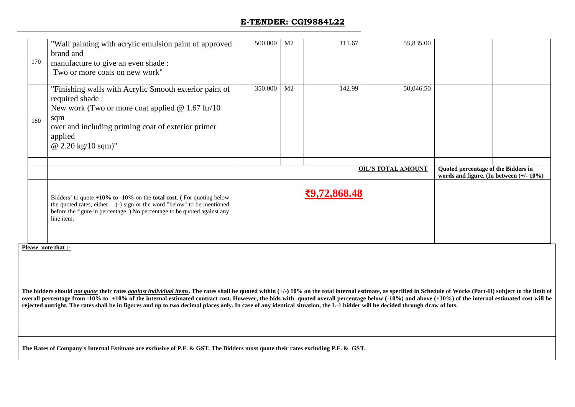| 170 | "Wall painting with acrylic emulsion paint of approved<br>brand and<br>manufacture to give an even shade :<br>Two or more coats on new work"                                                                                                         | 500.000 | M <sub>2</sub> | 111.67       | 55,835.00                 |                                                                                   |  |
|-----|------------------------------------------------------------------------------------------------------------------------------------------------------------------------------------------------------------------------------------------------------|---------|----------------|--------------|---------------------------|-----------------------------------------------------------------------------------|--|
| 180 | "Finishing walls with Acrylic Smooth exterior paint of<br>required shade:<br>New work (Two or more coat applied $\omega$ 1.67 ltr/10<br>sqm<br>over and including priming coat of exterior primer<br>applied<br>@ $2.20 \text{ kg}/10 \text{ sqm}$ " | 350.000 | M <sub>2</sub> | 142.99       | 50,046.50                 |                                                                                   |  |
|     |                                                                                                                                                                                                                                                      |         |                |              |                           |                                                                                   |  |
|     |                                                                                                                                                                                                                                                      |         |                |              | <b>OIL'S TOTAL AMOUNT</b> | Quoted percentage of the Bidders in<br>words and figure. (In between $(+/- 10\%)$ |  |
|     | Bidders' to quote $+10\%$ to $-10\%$ on the total cost. (For quoting below<br>the quoted rates, either (-) sign or the word "below" to be mentioned<br>before the figure in percentage. ) No percentage to be quoted against any<br>line item.       |         |                | ₹9,72,868.48 |                           |                                                                                   |  |

**Please note that :-**

The bidders should not quote their rates against individual items. The rates shall be quoted within  $(+)$  10% on the total internal estimate, as specified in Schedule of Works (Part-II) subject to the limit of overall percentage from -10% to +10% of the internal estimated contract cost. However, the bids with quoted overall percentage below (-10%) and above (+10%) of the internal estimated cost will be **rejected outright. The rates shall be in figures and up to two decimal places only. In case of any identical situation, the L-1 bidder will be decided through draw of lots.**

**The Rates of Company's Internal Estimate are exclusive of P.F. & GST. The Bidders must quote their rates excluding P.F. & GST.**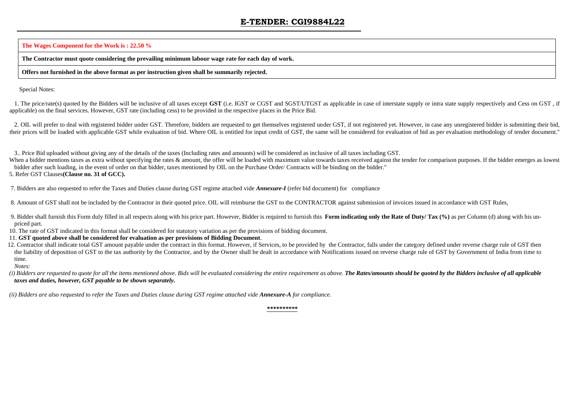**The Wages Component for the Work is : 22.50 %**

**The Contractor must quote considering the prevailing minimum labour wage rate for each day of work.**

**Offers not furnished in the above format as per instruction given shall be summarily rejected.** 

Special Notes:

 1. The price/rate(s) quoted by the Bidders will be inclusive of all taxes except **GST** (i.e. IGST or CGST and SGST/UTGST as applicable in case of interstate supply or intra state supply respectively and Cess on GST , if applicable) on the final services. However, GST rate (including cess) to be provided in the respective places in the Price Bid.

2. OIL will prefer to deal with registered bidder under GST. Therefore, bidders are requested to get themselves registered under GST, if not registered yet. However, in case any unregistered bidder is submitting their bid, their prices will be loaded with applicable GST while evaluation of bid. Where OIL is entitled for input credit of GST, the same will be considered for evaluation of bid as per evaluation methodology of tender document."

3.. Price Bid uploaded without giving any of the details of the taxes (Including rates and amounts) will be considered as inclusive of all taxes including GST.

When a bidder mentions taxes as extra without specifying the rates & amount, the offer will be loaded with maximum value towards taxes received against the tender for comparison purposes. If the bidder emerges as lowest bidder after such loading, in the event of order on that bidder, taxes mentioned by OIL on the Purchase Order/ Contracts will be binding on the bidder."

5. Refer GST Clauses**(Clause no. 31 of GCC).**

7. Bidders are also requested to refer the Taxes and Duties clause during GST regime attached vide *Annexure-I* (refer bid document) for compliance

8. Amount of GST shall not be included by the Contractor in their quoted price. OIL will reimburse the GST to the CONTRACTOR against submission of invoices issued in accordance with GST Rules,

 9. Bidder shall furnish this Form duly filled in all respects along with his price part. However, Bidder is required to furnish this **Form indicating only the Rate of Duty/ Tax (%)** as per Column (d) along with his unpriced part.

10. The rate of GST indicated in this format shall be considered for statutory variation as per the provisions of bidding document.

11. **GST quoted above shall be considered for evaluation as per provisions of Bidding Document**.

12. Contractor shall indicate total GST amount payable under the contract in this format. However, if Services, to be provided by the Contractor, falls under the category defined under reverse charge rule of GST then the liability of deposition of GST to the tax authority by the Contractor, and by the Owner shall be dealt in accordance with Notifications issued on reverse charge rule of GST by Government of India from time to time.

*Notes:*

(i) Bidders are requested to quote for all the items mentioned above. Bids will be evaluated considering the entire requirement as above. The Rates/amounts should be quoted by the Bidders inclusive of all applicable *taxes and duties, however, GST payable to be shown separately.*

 *(ii) Bidders are also requested to refer the Taxes and Duties clause during GST regime attached vide Annexure-A for compliance.*

*\*\*\*\*\*\*\*\*\*\**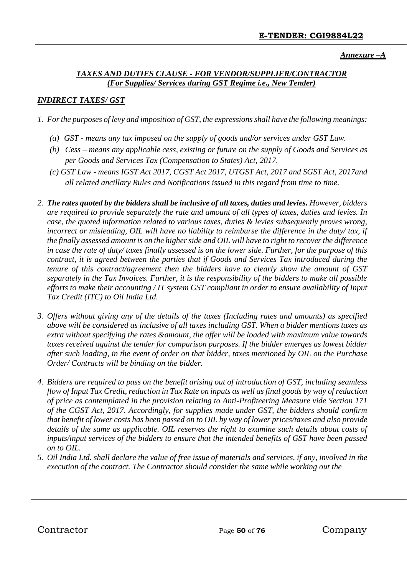*Annexure –A*

### *TAXES AND DUTIES CLAUSE - FOR VENDOR/SUPPLIER/CONTRACTOR (For Supplies/ Services during GST Regime i.e., New Tender)*

### *INDIRECT TAXES/ GST*

- *1. For the purposes of levy and imposition of GST, the expressions shall have the following meanings:* 
	- *(a) GST - means any tax imposed on the supply of goods and/or services under GST Law.*
	- *(b) Cess – means any applicable cess, existing or future on the supply of Goods and Services as per Goods and Services Tax (Compensation to States) Act, 2017.*
	- *(c) GST Law - means IGST Act 2017, CGST Act 2017, UTGST Act, 2017 and SGST Act, 2017and all related ancillary Rules and Notifications issued in this regard from time to time.*
- *2. The rates quoted by the bidders shall be inclusive of all taxes, duties and levies. However, bidders are required to provide separately the rate and amount of all types of taxes, duties and levies. In case, the quoted information related to various taxes, duties & levies subsequently proves wrong, incorrect or misleading, OIL will have no liability to reimburse the difference in the duty/ tax, if the finally assessed amount is on the higher side and OIL will have to right to recover the difference in case the rate of duty/ taxes finally assessed is on the lower side. Further, for the purpose of this contract, it is agreed between the parties that if Goods and Services Tax introduced during the tenure of this contract/agreement then the bidders have to clearly show the amount of GST separately in the Tax Invoices. Further, it is the responsibility of the bidders to make all possible efforts to make their accounting / IT system GST compliant in order to ensure availability of Input Tax Credit (ITC) to Oil India Ltd.*
- *3. Offers without giving any of the details of the taxes (Including rates and amounts) as specified above will be considered as inclusive of all taxes including GST. When a bidder mentions taxes as extra without specifying the rates &amount, the offer will be loaded with maximum value towards taxes received against the tender for comparison purposes. If the bidder emerges as lowest bidder after such loading, in the event of order on that bidder, taxes mentioned by OIL on the Purchase Order/ Contracts will be binding on the bidder.*
- *4. Bidders are required to pass on the benefit arising out of introduction of GST, including seamless flow of Input Tax Credit, reduction in Tax Rate on inputs as well as final goods by way of reduction of price as contemplated in the provision relating to Anti-Profiteering Measure vide Section 171 of the CGST Act, 2017. Accordingly, for supplies made under GST, the bidders should confirm that benefit of lower costs has been passed on to OIL by way of lower prices/taxes and also provide details of the same as applicable. OIL reserves the right to examine such details about costs of inputs/input services of the bidders to ensure that the intended benefits of GST have been passed on to OIL.*
- *5. Oil India Ltd. shall declare the value of free issue of materials and services, if any, involved in the execution of the contract. The Contractor should consider the same while working out the*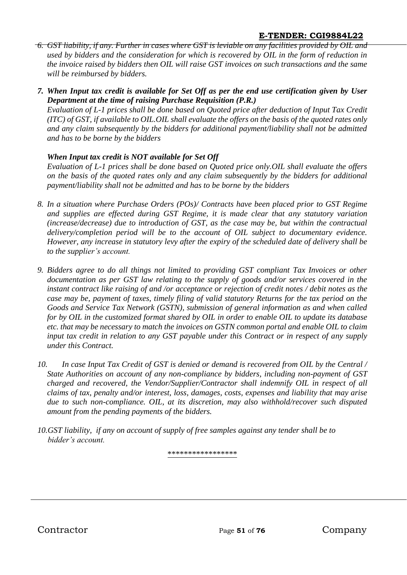- *6. GST liability, if any. Further in cases where GST is leviable on any facilities provided by OIL and used by bidders and the consideration for which is recovered by OIL in the form of reduction in the invoice raised by bidders then OIL will raise GST invoices on such transactions and the same will be reimbursed by bidders.*
- *7. When Input tax credit is available for Set Off as per the end use certification given by User Department at the time of raising Purchase Requisition (P.R.)*

*Evaluation of L-1 prices shall be done based on Quoted price after deduction of Input Tax Credit (ITC) of GST, if available to OIL.OIL shall evaluate the offers on the basis of the quoted rates only and any claim subsequently by the bidders for additional payment/liability shall not be admitted and has to be borne by the bidders*

## *When Input tax credit is NOT available for Set Off*

*Evaluation of L-1 prices shall be done based on Quoted price only.OIL shall evaluate the offers on the basis of the quoted rates only and any claim subsequently by the bidders for additional payment/liability shall not be admitted and has to be borne by the bidders*

- *8. In a situation where Purchase Orders (POs)/ Contracts have been placed prior to GST Regime and supplies are effected during GST Regime, it is made clear that any statutory variation (increase/decrease) due to introduction of GST, as the case may be, but within the contractual delivery/completion period will be to the account of OIL subject to documentary evidence. However, any increase in statutory levy after the expiry of the scheduled date of delivery shall be to the supplier's account.*
- *9. Bidders agree to do all things not limited to providing GST compliant Tax Invoices or other documentation as per GST law relating to the supply of goods and/or services covered in the instant contract like raising of and /or acceptance or rejection of credit notes / debit notes as the case may be, payment of taxes, timely filing of valid statutory Returns for the tax period on the Goods and Service Tax Network (GSTN), submission of general information as and when called for by OIL in the customized format shared by OIL in order to enable OIL to update its database etc. that may be necessary to match the invoices on GSTN common portal and enable OIL to claim input tax credit in relation to any GST payable under this Contract or in respect of any supply under this Contract.*
- *10. In case Input Tax Credit of GST is denied or demand is recovered from OIL by the Central / State Authorities on account of any non-compliance by bidders, including non-payment of GST charged and recovered, the Vendor/Supplier/Contractor shall indemnify OIL in respect of all claims of tax, penalty and/or interest, loss, damages, costs, expenses and liability that may arise due to such non-compliance. OIL, at its discretion, may also withhold/recover such disputed amount from the pending payments of the bidders.*
- *10.GST liability, if any on account of supply of free samples against any tender shall be to bidder's account.*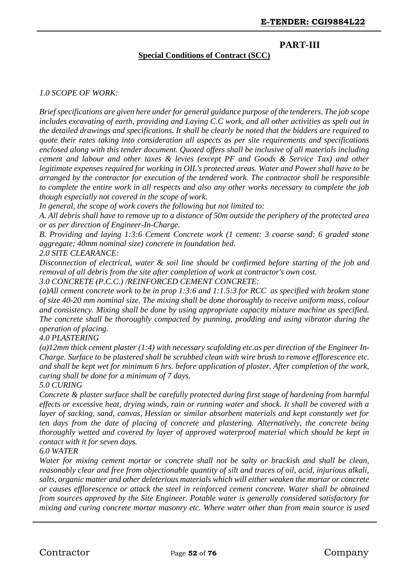# **PART-III**

#### **Special Conditions of Contract (SCC)**

#### *1.0 SCOPE OF WORK:*

*Brief specifications are given here under for general guidance purpose of the tenderers. The job scope includes excavating of earth, providing and Laying C.C work, and all other activities as spelt out in the detailed drawings and specifications. It shall be clearly be noted that the bidders are required to quote their rates taking into consideration all aspects as per site requirements and specifications enclosed along with this tender document. Quoted offers shall be inclusive of all materials including cement and labour and other taxes & levies (except PF and Goods & Service Tax) and other legitimate expenses required for working in OIL's protected areas. Water and Power shall have to be arranged by the contractor for execution of the tendered work. The contractor shall be responsible to complete the entire work in all respects and also any other works necessary to complete the job though especially not covered in the scope of work.*

*In general, the scope of work covers the following but not limited to:*

*A. All debris shall have to remove up to a distance of 50m outside the periphery of the protected area or as per direction of Engineer-In-Charge.*

*B. Providing and laying 1:3:6 Cement Concrete work (1 cement: 3 coarse sand: 6 graded stone aggregate; 40mm nominal size) concrete in foundation bed.*

#### *2.0 SITE CLEARANCE:*

*Disconnection of electrical, water & soil line should be confirmed before starting of the job and removal of all debris from the site after completion of work at contractor's own cost. 3.0 CONCRETE (P.C.C.) /REINFORCED CEMENT CONCRETE:*

*(a)All cement concrete work to be in prop 1:3:6 and 1:1.5:3 for RCC as specified with broken stone of size 40-20 mm nominal size. The mixing shall be done thoroughly to receive uniform mass, colour and consistency. Mixing shall be done by using appropriate capacity mixture machine as specified. The concrete shall be thoroughly compacted by punning, prodding and using vibrator during the operation of placing.*

*4.0 PLASTERING*

*(a)12mm thick cement plaster (1:4) with necessary scafolding etc.as per direction of the Engineer In-Charge. Surface to be plastered shall be scrubbed clean with wire brush to remove efflorescence etc. and shall be kept wet for minimum 6 hrs. before application of plaster. After completion of the work, curing shall be done for a minimum of 7 days.*

#### *5.0 CURING*

*Concrete & plaster surface shall be carefully protected during first stage of hardening from harmful effects or excessive heat, drying winds, rain or running water and shock. It shall be covered with a layer of sacking, sand, canvas, Hessian or similar absorbent materials and kept constantly wet for ten days from the date of placing of concrete and plastering. Alternatively, the concrete being thoroughly wetted and covered by layer of approved waterproof material which should be kept in contact with it for seven days.*

#### *6.0 WATER*

*Water for mixing cement mortar or concrete shall not be salty or brackish and shall be clean, reasonably clear and free from objectionable quantity of silt and traces of oil, acid, injurious alkali, salts, organic matter and other deleterious materials which will either weaken the mortar or concrete or causes efflorescence or attack the steel in reinforced cement concrete. Water shall be obtained from sources approved by the Site Engineer. Potable water is generally considered satisfactory for mixing and curing concrete mortar masonry etc. Where water other than from main source is used*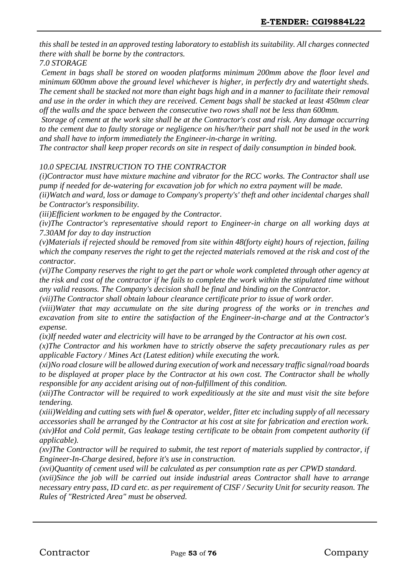*this shall be tested in an approved testing laboratory to establish its suitability. All charges connected there with shall be borne by the contractors.*

*7.0 STORAGE*

*Cement in bags shall be stored on wooden platforms minimum 200mm above the floor level and minimum 600mm above the ground level whichever is higher, in perfectly dry and watertight sheds. The cement shall be stacked not more than eight bags high and in a manner to facilitate their removal and use in the order in which they are received. Cement bags shall be stacked at least 450mm clear off the walls and the space between the consecutive two rows shall not be less than 600mm.*

*Storage of cement at the work site shall be at the Contractor's cost and risk. Any damage occurring to the cement due to faulty storage or negligence on his/her/their part shall not be used in the work and shall have to inform immediately the Engineer-in-charge in writing.*

*The contractor shall keep proper records on site in respect of daily consumption in binded book.*

#### *10.0 SPECIAL INSTRUCTION TO THE CONTRACTOR*

*(i)Contractor must have mixture machine and vibrator for the RCC works. The Contractor shall use pump if needed for de-watering for excavation job for which no extra payment will be made.*

*(ii)Watch and ward, loss or damage to Company's property's' theft and other incidental charges shall be Contractor's responsibility.*

*(iii)Efficient workmen to be engaged by the Contractor.*

*(iv)The Contractor's representative should report to Engineer-in charge on all working days at 7.30AM for day to day instruction*

*(v)Materials if rejected should be removed from site within 48(forty eight) hours of rejection, failing which the company reserves the right to get the rejected materials removed at the risk and cost of the contractor.*

*(vi)The Company reserves the right to get the part or whole work completed through other agency at the risk and cost of the contractor if he fails to complete the work within the stipulated time without any valid reasons. The Company's decision shall be final and binding on the Contractor.*

*(vii)The Contractor shall obtain labour clearance certificate prior to issue of work order.*

*(viii)Water that may accumulate on the site during progress of the works or in trenches and excavation from site to entire the satisfaction of the Engineer-in-charge and at the Contractor's expense.*

*(ix)If needed water and electricity will have to be arranged by the Contractor at his own cost.*

*(x)The Contractor and his workmen have to strictly observe the safety precautionary rules as per applicable Factory / Mines Act (Latest edition) while executing the work.*

*(xi)No road closure will be allowed during execution of work and necessary traffic signal/road boards to be displayed at proper place by the Contractor at his own cost. The Contractor shall be wholly responsible for any accident arising out of non-fulfillment of this condition.*

*(xii)The Contractor will be required to work expeditiously at the site and must visit the site before tendering.*

*(xiii)Welding and cutting sets with fuel & operator, welder, fitter etc including supply of all necessary accessories shall be arranged by the Contractor at his cost at site for fabrication and erection work. (xiv)Hot and Cold permit, Gas leakage testing certificate to be obtain from competent authority (if applicable).*

*(xv)The Contractor will be required to submit, the test report of materials supplied by contractor, if Engineer-In-Charge desired, before it's use in construction.*

*(xvi)Quantity of cement used will be calculated as per consumption rate as per CPWD standard.*

*(xvii)Since the job will be carried out inside industrial areas Contractor shall have to arrange necessary entry pass, ID card etc. as per requirement of CISF / Security Unit for security reason. The Rules of "Restricted Area" must be observed.*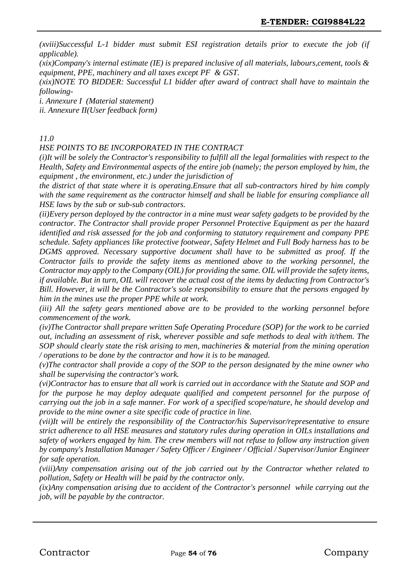*(xviii)Successful L-1 bidder must submit ESI registration details prior to execute the job (if applicable).*

*(xix)Company's internal estimate (IE) is prepared inclusive of all materials, labours,cement, tools & equipment, PPE, machinery and all taxes except PF & GST.*

*(xix)NOTE TO BIDDER: Successful L1 bidder after award of contract shall have to maintain the following-*

*i. Annexure I (Material statement)*

*ii. Annexure II(User feedback form)*

#### *11.0*

*HSE POINTS TO BE INCORPORATED IN THE CONTRACT*

*(i)It will be solely the Contractor's responsibility to fulfill all the legal formalities with respect to the Health, Safety and Environmental aspects of the entire job (namely; the person employed by him, the equipment , the environment, etc.) under the jurisdiction of*

*the district of that state where it is operating.Ensure that all sub-contractors hired by him comply with the same requirement as the contractor himself and shall be liable for ensuring compliance all HSE laws by the sub or sub-sub contractors.*

*(ii)Every person deployed by the contractor in a mine must wear safety gadgets to be provided by the contractor. The Contractor shall provide proper Personnel Protective Equipment as per the hazard identified and risk assessed for the job and conforming to statutory requirement and company PPE schedule. Safety appliances like protective footwear, Safety Helmet and Full Body harness has to be DGMS approved. Necessary supportive document shall have to be submitted as proof. If the Contractor fails to provide the safety items as mentioned above to the working personnel, the Contractor may apply to the Company (OIL) for providing the same. OIL will provide the safety items, if available. But in turn, OIL will recover the actual cost of the items by deducting from Contractor's Bill. However, it will be the Contractor's sole responsibility to ensure that the persons engaged by him in the mines use the proper PPE while at work.*

*(iii) All the safety gears mentioned above are to be provided to the working personnel before commencement of the work.*

*(iv)The Contractor shall prepare written Safe Operating Procedure (SOP) for the work to be carried out, including an assessment of risk, wherever possible and safe methods to deal with it/them. The SOP should clearly state the risk arising to men, machineries & material from the mining operation / operations to be done by the contractor and how it is to be managed.*

*(v)The contractor shall provide a copy of the SOP to the person designated by the mine owner who shall be supervising the contractor's work.*

*(vi)Contractor has to ensure that all work is carried out in accordance with the Statute and SOP and for the purpose he may deploy adequate qualified and competent personnel for the purpose of carrying out the job in a safe manner. For work of a specified scope/nature, he should develop and provide to the mine owner a site specific code of practice in line.*

*(vii)It will be entirely the responsibility of the Contractor/his Supervisor/representative to ensure strict adherence to all HSE measures and statutory rules during operation in OILs installations and safety of workers engaged by him. The crew members will not refuse to follow any instruction given by company's Installation Manager / Safety Officer / Engineer / Official / Supervisor/Junior Engineer for safe operation.*

*(viii)Any compensation arising out of the job carried out by the Contractor whether related to pollution, Safety or Health will be paid by the contractor only.*

*(ix)Any compensation arising due to accident of the Contractor's personnel while carrying out the job, will be payable by the contractor.*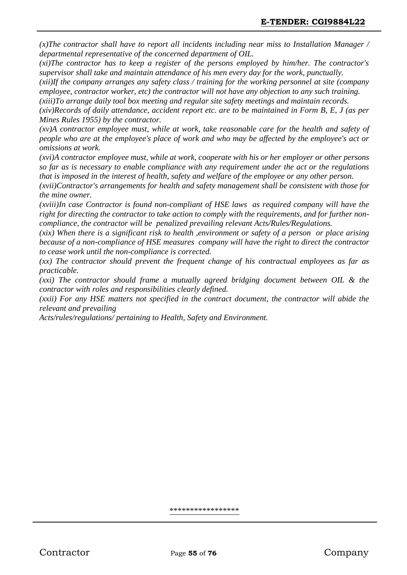*(x)The contractor shall have to report all incidents including near miss to Installation Manager / departmental representative of the concerned department of OIL.*

*(xi)The contractor has to keep a register of the persons employed by him/her. The contractor's supervisor shall take and maintain attendance of his men every day for the work, punctually.*

*(xii)If the company arranges any safety class / training for the working personnel at site (company employee, contractor worker, etc) the contractor will not have any objection to any such training.*

*(xiii)To arrange daily tool box meeting and regular site safety meetings and maintain records.*

*(xiv)Records of daily attendance, accident report etc. are to be maintained in Form B, E, J (as per Mines Rules 1955) by the contractor.*

*(xv)A contractor employee must, while at work, take reasonable care for the health and safety of people who are at the employee's place of work and who may be affected by the employee's act or omissions at work.*

*(xvi)A contractor employee must, while at work, cooperate with his or her employer or other persons so far as is necessary to enable compliance with any requirement under the act or the regulations that is imposed in the interest of health, safety and welfare of the employee or any other person.*

*(xvii)Contractor's arrangements for health and safety management shall be consistent with those for the mine owner.*

*(xviii)In case Contractor is found non-compliant of HSE laws as required company will have the right for directing the contractor to take action to comply with the requirements, and for further noncompliance, the contractor will be penalized prevailing relevant Acts/Rules/Regulations.*

*(xix) When there is a significant risk to health ,environment or safety of a person or place arising because of a non-compliance of HSE measures company will have the right to direct the contractor to cease work until the non-compliance is corrected.*

*(xx) The contractor should prevent the frequent change of his contractual employees as far as practicable.*

*(xxi) The contractor should frame a mutually agreed bridging document between OIL & the contractor with roles and responsibilities clearly defined.*

*(xxii) For any HSE matters not specified in the contract document, the contractor will abide the relevant and prevailing*

*Acts/rules/regulations/ pertaining to Health, Safety and Environment.*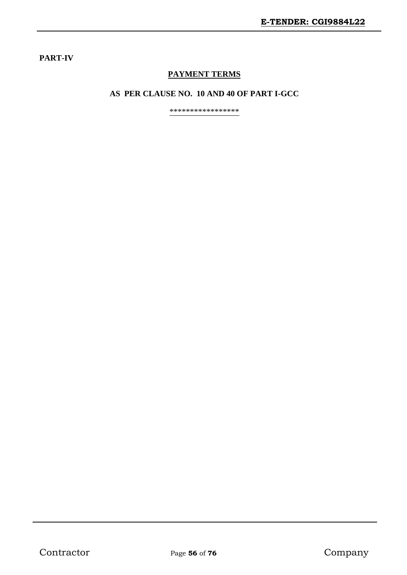### **PART-IV**

# **PAYMENT TERMS**

### **AS PER CLAUSE NO. 10 AND 40 OF PART I-GCC**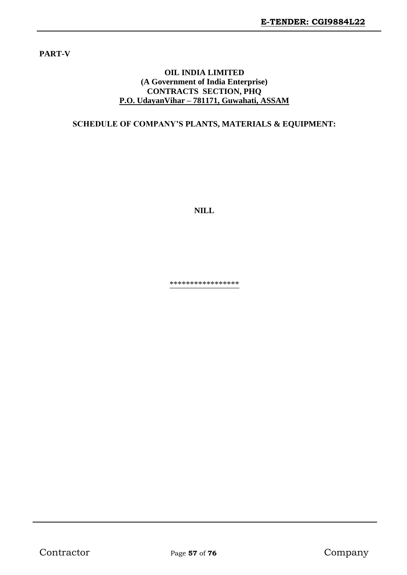**PART-V**

#### **OIL INDIA LIMITED (A Government of India Enterprise) CONTRACTS SECTION, PHQ P.O. UdayanVihar – 781171, Guwahati, ASSAM**

### **SCHEDULE OF COMPANY'S PLANTS, MATERIALS & EQUIPMENT:**

**NILL**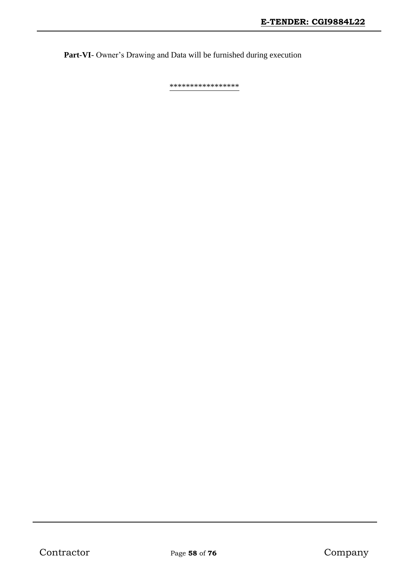**Part-VI**- Owner's Drawing and Data will be furnished during execution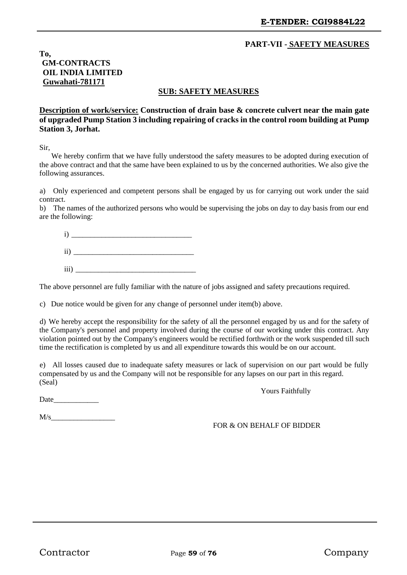### **PART-VII - SAFETY MEASURES**

**To, GM-CONTRACTS OIL INDIA LIMITED Guwahati-781171**

#### **SUB: SAFETY MEASURES**

**Description of work/service: Construction of drain base & concrete culvert near the main gate of upgraded Pump Station 3 including repairing of cracks in the control room building at Pump Station 3, Jorhat.**

Sir,

We hereby confirm that we have fully understood the safety measures to be adopted during execution of the above contract and that the same have been explained to us by the concerned authorities. We also give the following assurances.

a) Only experienced and competent persons shall be engaged by us for carrying out work under the said contract.

b) The names of the authorized persons who would be supervising the jobs on day to day basis from our end are the following:

 $i)$  $\rm ii)$  $\overline{\text{iii}}$ 

The above personnel are fully familiar with the nature of jobs assigned and safety precautions required.

c) Due notice would be given for any change of personnel under item(b) above.

d) We hereby accept the responsibility for the safety of all the personnel engaged by us and for the safety of the Company's personnel and property involved during the course of our working under this contract. Any violation pointed out by the Company's engineers would be rectified forthwith or the work suspended till such time the rectification is completed by us and all expenditure towards this would be on our account.

e) All losses caused due to inadequate safety measures or lack of supervision on our part would be fully compensated by us and the Company will not be responsible for any lapses on our part in this regard. (Seal)

Date  $\Box$ 

 $M/s$ 

FOR & ON BEHALF OF BIDDER

Yours Faithfully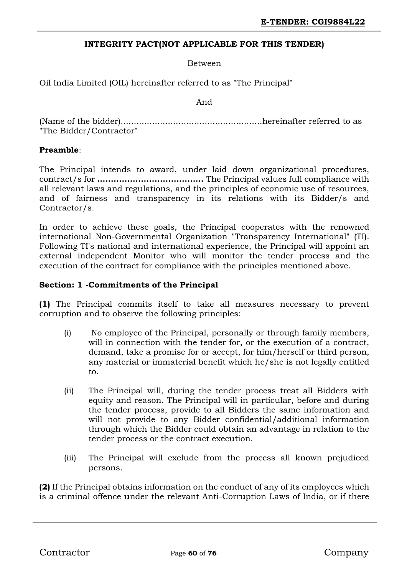### **INTEGRITY PACT(NOT APPLICABLE FOR THIS TENDER)**

Between

Oil India Limited (OIL) hereinafter referred to as "The Principal"

And

(Name of the bidder)......................................................hereinafter referred to as "The Bidder/Contractor"

#### **Preamble**:

The Principal intends to award, under laid down organizational procedures, contract/s for **…………………………………** The Principal values full compliance with all relevant laws and regulations, and the principles of economic use of resources, and of fairness and transparency in its relations with its Bidder/s and Contractor/s.

In order to achieve these goals, the Principal cooperates with the renowned international Non-Governmental Organization "Transparency International" (TI). Following TI's national and international experience, the Principal will appoint an external independent Monitor who will monitor the tender process and the execution of the contract for compliance with the principles mentioned above.

#### **Section: 1 -Commitments of the Principal**

**(1)** The Principal commits itself to take all measures necessary to prevent corruption and to observe the following principles:

- (i) No employee of the Principal, personally or through family members, will in connection with the tender for, or the execution of a contract, demand, take a promise for or accept, for him/herself or third person, any material or immaterial benefit which he/she is not legally entitled to.
- (ii) The Principal will, during the tender process treat all Bidders with equity and reason. The Principal will in particular, before and during the tender process, provide to all Bidders the same information and will not provide to any Bidder confidential/additional information through which the Bidder could obtain an advantage in relation to the tender process or the contract execution.
- (iii) The Principal will exclude from the process all known prejudiced persons.

**(2)** If the Principal obtains information on the conduct of any of its employees which is a criminal offence under the relevant Anti-Corruption Laws of India, or if there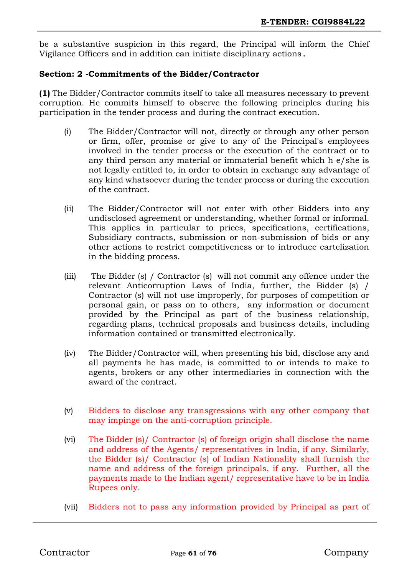be a substantive suspicion in this regard, the Principal will inform the Chief Vigilance Officers and in addition can initiate disciplinary actions.

### **Section: 2 -Commitments of the Bidder/Contractor**

**(1)** The Bidder/Contractor commits itself to take all measures necessary to prevent corruption. He commits himself to observe the following principles during his participation in the tender process and during the contract execution.

- (i) The Bidder/Contractor will not, directly or through any other person or firm, offer, promise or give to any of the Principal's employees involved in the tender process or the execution of the contract or to any third person any material or immaterial benefit which h e/she is not legally entitled to, in order to obtain in exchange any advantage of any kind whatsoever during the tender process or during the execution of the contract.
- (ii) The Bidder/Contractor will not enter with other Bidders into any undisclosed agreement or understanding, whether formal or informal. This applies in particular to prices, specifications, certifications, Subsidiary contracts, submission or non-submission of bids or any other actions to restrict competitiveness or to introduce cartelization in the bidding process.
- (iii) The Bidder (s) / Contractor (s) will not commit any offence under the relevant Anticorruption Laws of India, further, the Bidder (s) / Contractor (s) will not use improperly, for purposes of competition or personal gain, or pass on to others, any information or document provided by the Principal as part of the business relationship, regarding plans, technical proposals and business details, including information contained or transmitted electronically.
- (iv) The Bidder/Contractor will, when presenting his bid, disclose any and all payments he has made, is committed to or intends to make to agents, brokers or any other intermediaries in connection with the award of the contract.
- (v) Bidders to disclose any transgressions with any other company that may impinge on the anti-corruption principle.
- (vi) The Bidder (s)/ Contractor (s) of foreign origin shall disclose the name and address of the Agents/ representatives in India, if any. Similarly, the Bidder (s)/ Contractor (s) of Indian Nationality shall furnish the name and address of the foreign principals, if any. Further, all the payments made to the Indian agent/ representative have to be in India Rupees only.
- (vii) Bidders not to pass any information provided by Principal as part of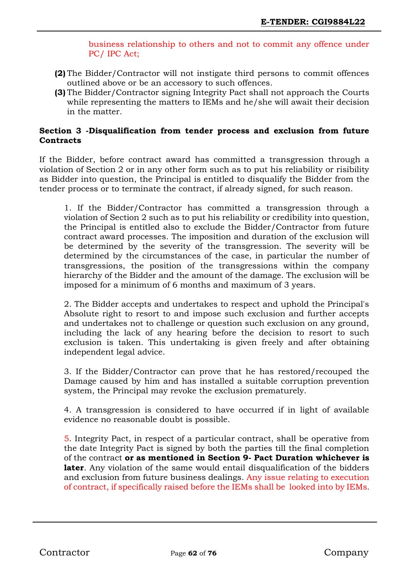business relationship to others and not to commit any offence under PC/ IPC Act;

- **(2)** The Bidder/Contractor will not instigate third persons to commit offences outlined above or be an accessory to such offences.
- **(3)** The Bidder/Contractor signing Integrity Pact shall not approach the Courts while representing the matters to IEMs and he/she will await their decision in the matter.

### **Section 3 -Disqualification from tender process and exclusion from future Contracts**

If the Bidder, before contract award has committed a transgression through a violation of Section 2 or in any other form such as to put his reliability or risibility as Bidder into question, the Principal is entitled to disqualify the Bidder from the tender process or to terminate the contract, if already signed, for such reason.

1. If the Bidder/Contractor has committed a transgression through a violation of Section 2 such as to put his reliability or credibility into question, the Principal is entitled also to exclude the Bidder/Contractor from future contract award processes. The imposition and duration of the exclusion will be determined by the severity of the transgression. The severity will be determined by the circumstances of the case, in particular the number of transgressions, the position of the transgressions within the company hierarchy of the Bidder and the amount of the damage. The exclusion will be imposed for a minimum of 6 months and maximum of 3 years.

2. The Bidder accepts and undertakes to respect and uphold the Principal's Absolute right to resort to and impose such exclusion and further accepts and undertakes not to challenge or question such exclusion on any ground, including the lack of any hearing before the decision to resort to such exclusion is taken. This undertaking is given freely and after obtaining independent legal advice.

3. If the Bidder/Contractor can prove that he has restored/recouped the Damage caused by him and has installed a suitable corruption prevention system, the Principal may revoke the exclusion prematurely.

4. A transgression is considered to have occurred if in light of available evidence no reasonable doubt is possible.

5. Integrity Pact, in respect of a particular contract, shall be operative from the date Integrity Pact is signed by both the parties till the final completion of the contract **or as mentioned in Section 9- Pact Duration whichever is later**. Any violation of the same would entail disqualification of the bidders and exclusion from future business dealings. Any issue relating to execution of contract, if specifically raised before the IEMs shall be looked into by IEMs.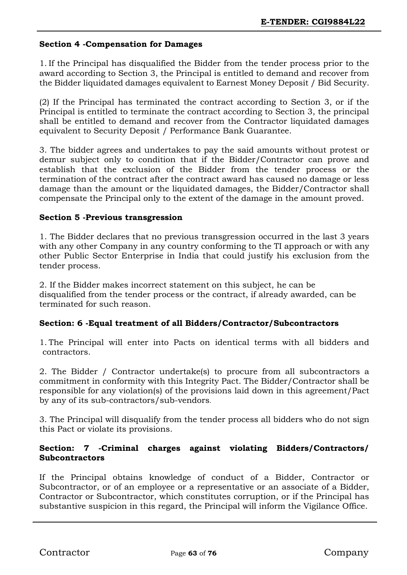### **Section 4 -Compensation for Damages**

1. If the Principal has disqualified the Bidder from the tender process prior to the award according to Section 3, the Principal is entitled to demand and recover from the Bidder liquidated damages equivalent to Earnest Money Deposit / Bid Security.

(2) If the Principal has terminated the contract according to Section 3, or if the Principal is entitled to terminate the contract according to Section 3, the principal shall be entitled to demand and recover from the Contractor liquidated damages equivalent to Security Deposit / Performance Bank Guarantee.

3. The bidder agrees and undertakes to pay the said amounts without protest or demur subject only to condition that if the Bidder/Contractor can prove and establish that the exclusion of the Bidder from the tender process or the termination of the contract after the contract award has caused no damage or less damage than the amount or the liquidated damages, the Bidder/Contractor shall compensate the Principal only to the extent of the damage in the amount proved.

### **Section 5 -Previous transgression**

1. The Bidder declares that no previous transgression occurred in the last 3 years with any other Company in any country conforming to the TI approach or with any other Public Sector Enterprise in India that could justify his exclusion from the tender process.

2. If the Bidder makes incorrect statement on this subject, he can be disqualified from the tender process or the contract, if already awarded, can be terminated for such reason.

### **Section: 6 -Equal treatment of all Bidders/Contractor/Subcontractors**

1. The Principal will enter into Pacts on identical terms with all bidders and contractors.

2. The Bidder / Contractor undertake(s) to procure from all subcontractors a commitment in conformity with this Integrity Pact. The Bidder/Contractor shall be responsible for any violation(s) of the provisions laid down in this agreement/Pact by any of its sub-contractors/sub-vendors.

3. The Principal will disqualify from the tender process all bidders who do not sign this Pact or violate its provisions.

### **Section: 7 -Criminal charges against violating Bidders/Contractors/ Subcontractors**

If the Principal obtains knowledge of conduct of a Bidder, Contractor or Subcontractor, or of an employee or a representative or an associate of a Bidder, Contractor or Subcontractor, which constitutes corruption, or if the Principal has substantive suspicion in this regard, the Principal will inform the Vigilance Office.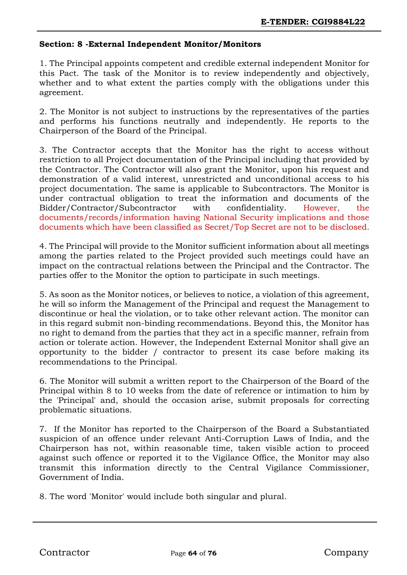#### **Section: 8 -External Independent Monitor/Monitors**

1. The Principal appoints competent and credible external independent Monitor for this Pact. The task of the Monitor is to review independently and objectively, whether and to what extent the parties comply with the obligations under this agreement.

2. The Monitor is not subject to instructions by the representatives of the parties and performs his functions neutrally and independently. He reports to the Chairperson of the Board of the Principal.

3. The Contractor accepts that the Monitor has the right to access without restriction to all Project documentation of the Principal including that provided by the Contractor. The Contractor will also grant the Monitor, upon his request and demonstration of a valid interest, unrestricted and unconditional access to his project documentation. The same is applicable to Subcontractors. The Monitor is under contractual obligation to treat the information and documents of the Bidder/Contractor/Subcontractor with confidentiality. However, the documents/records/information having National Security implications and those documents which have been classified as Secret/Top Secret are not to be disclosed.

4. The Principal will provide to the Monitor sufficient information about all meetings among the parties related to the Project provided such meetings could have an impact on the contractual relations between the Principal and the Contractor. The parties offer to the Monitor the option to participate in such meetings.

5. As soon as the Monitor notices, or believes to notice, a violation of this agreement, he will so inform the Management of the Principal and request the Management to discontinue or heal the violation, or to take other relevant action. The monitor can in this regard submit non-binding recommendations. Beyond this, the Monitor has no right to demand from the parties that they act in a specific manner, refrain from action or tolerate action. However, the Independent External Monitor shall give an opportunity to the bidder / contractor to present its case before making its recommendations to the Principal.

6. The Monitor will submit a written report to the Chairperson of the Board of the Principal within 8 to 10 weeks from the date of reference or intimation to him by the 'Principal' and, should the occasion arise, submit proposals for correcting problematic situations.

7. If the Monitor has reported to the Chairperson of the Board a Substantiated suspicion of an offence under relevant Anti-Corruption Laws of India, and the Chairperson has not, within reasonable time, taken visible action to proceed against such offence or reported it to the Vigilance Office, the Monitor may also transmit this information directly to the Central Vigilance Commissioner, Government of India.

8. The word 'Monitor' would include both singular and plural.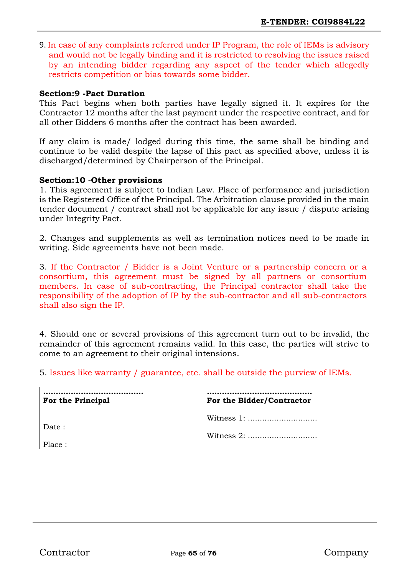9. In case of any complaints referred under IP Program, the role of IEMs is advisory and would not be legally binding and it is restricted to resolving the issues raised by an intending bidder regarding any aspect of the tender which allegedly restricts competition or bias towards some bidder.

#### **Section:9 -Pact Duration**

This Pact begins when both parties have legally signed it. It expires for the Contractor 12 months after the last payment under the respective contract, and for all other Bidders 6 months after the contract has been awarded.

If any claim is made/ lodged during this time, the same shall be binding and continue to be valid despite the lapse of this pact as specified above, unless it is discharged/determined by Chairperson of the Principal.

#### **Section:10 -Other provisions**

1. This agreement is subject to Indian Law. Place of performance and jurisdiction is the Registered Office of the Principal. The Arbitration clause provided in the main tender document / contract shall not be applicable for any issue / dispute arising under Integrity Pact.

2. Changes and supplements as well as termination notices need to be made in writing. Side agreements have not been made.

3. If the Contractor / Bidder is a Joint Venture or a partnership concern or a consortium, this agreement must be signed by all partners or consortium members. In case of sub-contracting, the Principal contractor shall take the responsibility of the adoption of IP by the sub-contractor and all sub-contractors shall also sign the IP.

4. Should one or several provisions of this agreement turn out to be invalid, the remainder of this agreement remains valid. In this case, the parties will strive to come to an agreement to their original intensions.

5. Issues like warranty / guarantee, etc. shall be outside the purview of IEMs.

| For the Principal | For the Bidder/Contractor |
|-------------------|---------------------------|
| Date:             |                           |
| Place:            |                           |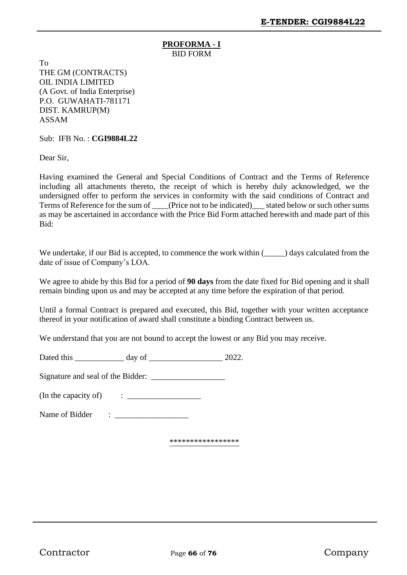#### **PROFORMA - I** BID FORM

To THE GM (CONTRACTS) OIL INDIA LIMITED (A Govt. of India Enterprise) P.O. GUWAHATI-781171 DIST. KAMRUP(M) ASSAM

Sub: IFB No. : **CGI9884L22**

Dear Sir,

Having examined the General and Special Conditions of Contract and the Terms of Reference including all attachments thereto, the receipt of which is hereby duly acknowledged, we the undersigned offer to perform the services in conformity with the said conditions of Contract and Terms of Reference for the sum of \_\_\_\_(Price not to be indicated) \_\_\_ stated below or such other sums as may be ascertained in accordance with the Price Bid Form attached herewith and made part of this Bid:

We undertake, if our Bid is accepted, to commence the work within  $(\_\_\_\)$  days calculated from the date of issue of Company's LOA.

We agree to abide by this Bid for a period of **90 days** from the date fixed for Bid opening and it shall remain binding upon us and may be accepted at any time before the expiration of that period.

Until a formal Contract is prepared and executed, this Bid, together with your written acceptance thereof in your notification of award shall constitute a binding Contract between us.

We understand that you are not bound to accept the lowest or any Bid you may receive.

Dated this \_\_\_\_\_\_\_\_\_\_\_\_ day of \_\_\_\_\_\_\_\_\_\_\_\_\_\_\_\_\_\_ 2022.

Signature and seal of the Bidder: \_\_\_\_\_\_\_\_\_\_\_\_\_\_\_\_\_\_

(In the capacity of) : \_\_\_\_\_\_\_\_\_\_\_\_\_\_\_\_\_\_

Name of Bidder : \_\_\_\_\_\_\_\_\_\_\_\_\_\_\_\_\_\_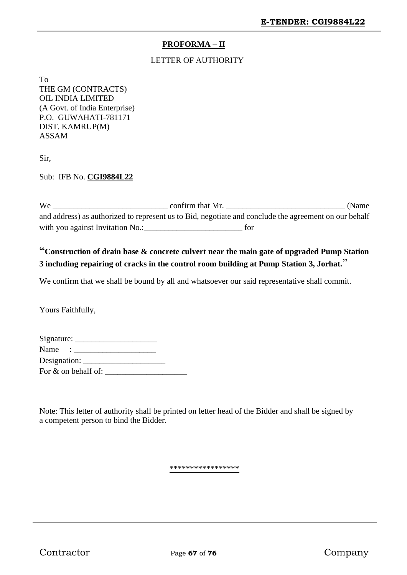### **PROFORMA – II**

#### LETTER OF AUTHORITY

To THE GM (CONTRACTS) OIL INDIA LIMITED (A Govt. of India Enterprise) P.O. GUWAHATI-781171 DIST. KAMRUP(M) ASSAM

Sir,

Sub: IFB No. **CGI9884L22**

We \_\_\_\_\_\_\_\_\_\_\_\_\_\_\_\_\_\_\_\_\_\_\_\_\_\_\_\_ confirm that Mr. \_\_\_\_\_\_\_\_\_\_\_\_\_\_\_\_\_\_\_\_\_\_\_\_\_\_\_\_\_ (Name and address) as authorized to represent us to Bid, negotiate and conclude the agreement on our behalf with you against Invitation No.:  $\qquad \qquad$  for

# **"Construction of drain base & concrete culvert near the main gate of upgraded Pump Station 3 including repairing of cracks in the control room building at Pump Station 3, Jorhat.**"

We confirm that we shall be bound by all and whatsoever our said representative shall commit.

Yours Faithfully,

| Signature:             |  |
|------------------------|--|
| Name:                  |  |
| Designation: _____     |  |
| For $\&$ on behalf of: |  |

Note: This letter of authority shall be printed on letter head of the Bidder and shall be signed by a competent person to bind the Bidder.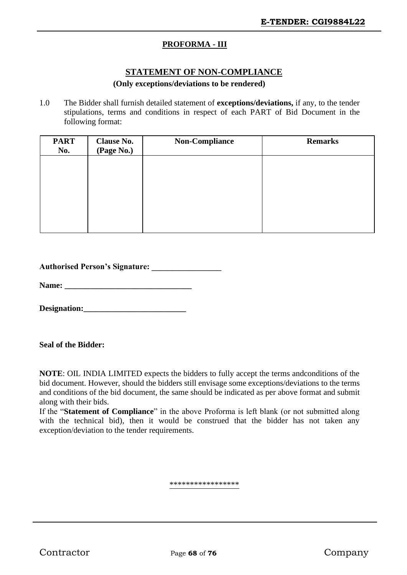### **PROFORMA - III**

### **STATEMENT OF NON-COMPLIANCE**

#### **(Only exceptions/deviations to be rendered)**

1.0 The Bidder shall furnish detailed statement of **exceptions/deviations,** if any, to the tender stipulations, terms and conditions in respect of each PART of Bid Document in the following format:

| <b>PART</b> | <b>Clause No.</b> | <b>Non-Compliance</b> | <b>Remarks</b> |
|-------------|-------------------|-----------------------|----------------|
| No.         | (Page No.)        |                       |                |
|             |                   |                       |                |
|             |                   |                       |                |
|             |                   |                       |                |
|             |                   |                       |                |
|             |                   |                       |                |
|             |                   |                       |                |
|             |                   |                       |                |
|             |                   |                       |                |

| <b>Authorised Person's Signature:</b> |  |
|---------------------------------------|--|
|---------------------------------------|--|

**Name: \_\_\_\_\_\_\_\_\_\_\_\_\_\_\_\_\_\_\_\_\_\_\_\_\_\_\_\_\_\_\_**

**Designation:\_\_\_\_\_\_\_\_\_\_\_\_\_\_\_\_\_\_\_\_\_\_\_\_\_**

#### **Seal of the Bidder:**

**NOTE**: OIL INDIA LIMITED expects the bidders to fully accept the terms andconditions of the bid document. However, should the bidders still envisage some exceptions/deviations to the terms and conditions of the bid document, the same should be indicated as per above format and submit along with their bids.

If the "**Statement of Compliance**" in the above Proforma is left blank (or not submitted along with the technical bid), then it would be construed that the bidder has not taken any exception/deviation to the tender requirements.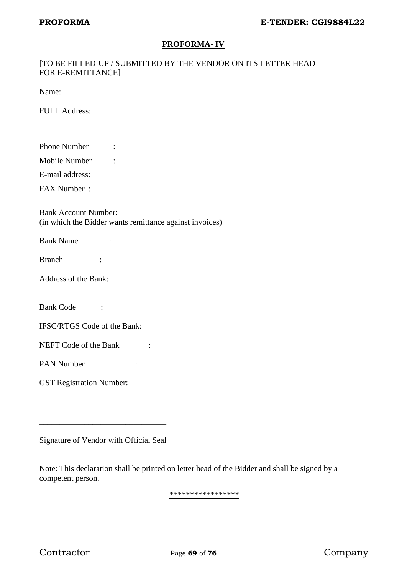### **PROFORMA- IV**

#### [TO BE FILLED-UP / SUBMITTED BY THE VENDOR ON ITS LETTER HEAD FOR E-REMITTANCE]

Name:

FULL Address:

| <b>Phone Number</b> |  |
|---------------------|--|
|                     |  |

Mobile Number :

E-mail address:

FAX Number :

Bank Account Number: (in which the Bidder wants remittance against invoices)

| <b>Bank Name</b> |  |
|------------------|--|
|                  |  |

Branch :

| <b>Address of the Bank:</b> |  |
|-----------------------------|--|
|-----------------------------|--|

Bank Code :

IFSC/RTGS Code of the Bank:

NEFT Code of the Bank :

PAN Number :

GST Registration Number:

Signature of Vendor with Official Seal

\_\_\_\_\_\_\_\_\_\_\_\_\_\_\_\_\_\_\_\_\_\_\_\_\_\_\_\_\_\_\_

Note: This declaration shall be printed on letter head of the Bidder and shall be signed by a competent person.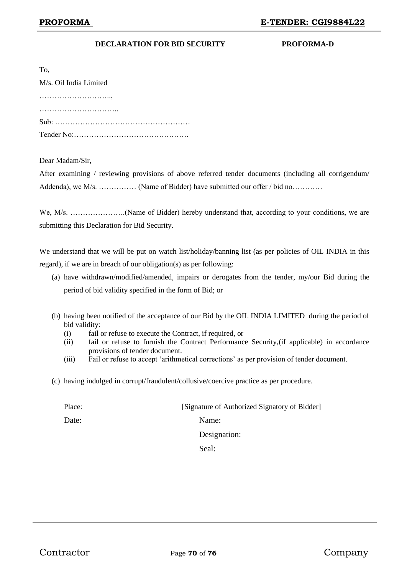#### **DECLARATION FOR BID SECURITY PROFORMA-D**

| ×<br>۰.<br>۰. | ٦<br>Ξ |
|---------------|--------|

M/s. Oil India Limited ……………………….., ………………………….. Sub: ……………………………………………… Tender No:……………………………………….

Dear Madam/Sir,

After examining / reviewing provisions of above referred tender documents (including all corrigendum/ Addenda), we M/s. …………… (Name of Bidder) have submitted our offer / bid no…………

We, M/s. ..............................(Name of Bidder) hereby understand that, according to your conditions, we are submitting this Declaration for Bid Security.

We understand that we will be put on watch list/holiday/banning list (as per policies of OIL INDIA in this regard), if we are in breach of our obligation(s) as per following:

- (a) have withdrawn/modified/amended, impairs or derogates from the tender, my/our Bid during the period of bid validity specified in the form of Bid; or
- (b) having been notified of the acceptance of our Bid by the OIL INDIA LIMITED during the period of bid validity:
	- (i) fail or refuse to execute the Contract, if required, or
	- (ii) fail or refuse to furnish the Contract Performance Security,(if applicable) in accordance provisions of tender document.
	- (iii) Fail or refuse to accept 'arithmetical corrections' as per provision of tender document.
- (c) having indulged in corrupt/fraudulent/collusive/coercive practice as per procedure.

| Place: | [Signature of Authorized Signatory of Bidder] |
|--------|-----------------------------------------------|
| Date:  | Name:                                         |
|        | Designation:                                  |
|        | Seal:                                         |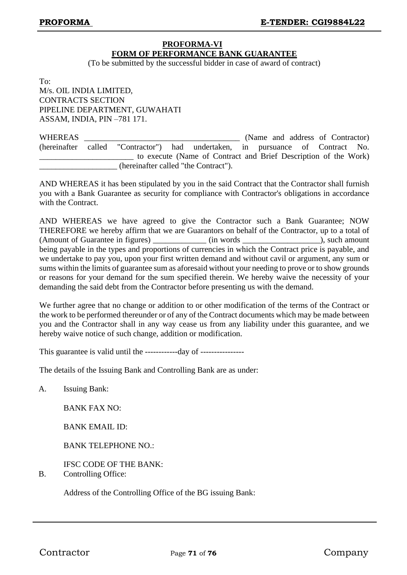#### **PROFORMA-VI FORM OF PERFORMANCE BANK GUARANTEE**

(To be submitted by the successful bidder in case of award of contract)

To:

M/s. OIL INDIA LIMITED, CONTRACTS SECTION PIPELINE DEPARTMENT, GUWAHATI ASSAM, INDIA, PIN –781 171.

| <b>WHEREAS</b> |                                                                                |                                                                 |  | (Name and address of Contractor) |  |
|----------------|--------------------------------------------------------------------------------|-----------------------------------------------------------------|--|----------------------------------|--|
|                | (hereinafter called "Contractor") had undertaken, in pursuance of Contract No. |                                                                 |  |                                  |  |
|                |                                                                                | to execute (Name of Contract and Brief Description of the Work) |  |                                  |  |
|                | (hereinafter called "the Contract").                                           |                                                                 |  |                                  |  |

AND WHEREAS it has been stipulated by you in the said Contract that the Contractor shall furnish you with a Bank Guarantee as security for compliance with Contractor's obligations in accordance with the Contract.

AND WHEREAS we have agreed to give the Contractor such a Bank Guarantee; NOW THEREFORE we hereby affirm that we are Guarantors on behalf of the Contractor, up to a total of (Amount of Guarantee in figures) \_\_\_\_\_\_\_\_\_\_\_\_\_ (in words \_\_\_\_\_\_\_\_\_\_\_\_\_\_\_\_\_\_\_), such amount being payable in the types and proportions of currencies in which the Contract price is payable, and we undertake to pay you, upon your first written demand and without cavil or argument, any sum or sums within the limits of guarantee sum as aforesaid without your needing to prove or to show grounds or reasons for your demand for the sum specified therein. We hereby waive the necessity of your demanding the said debt from the Contractor before presenting us with the demand.

We further agree that no change or addition to or other modification of the terms of the Contract or the work to be performed thereunder or of any of the Contract documents which may be made between you and the Contractor shall in any way cease us from any liability under this guarantee, and we hereby waive notice of such change, addition or modification.

This guarantee is valid until the ------------day of ----------------

The details of the Issuing Bank and Controlling Bank are as under:

A. Issuing Bank:

BANK FAX NO:

BANK EMAIL ID:

BANK TELEPHONE NO.:

IFSC CODE OF THE BANK:

B. Controlling Office:

Address of the Controlling Office of the BG issuing Bank: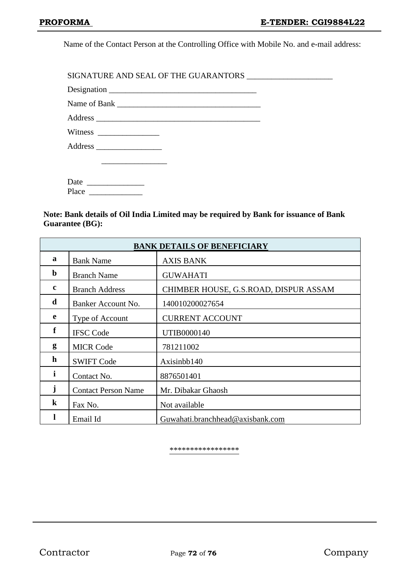Name of the Contact Person at the Controlling Office with Mobile No. and e-mail address:

SIGNATURE AND SEAL OF THE GUARANTORS \_\_\_\_\_\_\_\_\_\_\_\_\_\_\_\_\_\_\_\_\_ Designation \_\_\_\_\_\_\_\_\_\_\_\_\_\_\_\_\_\_\_\_\_\_\_\_\_\_\_\_\_\_\_\_\_\_\_\_ Name of Bank \_\_\_\_\_\_\_\_\_\_\_\_\_\_\_\_\_\_\_\_\_\_\_\_\_\_\_\_\_\_\_\_\_\_\_ Address  $\overline{A}$ Witness \_\_\_\_\_\_\_\_\_\_\_\_\_\_\_ Address \_\_\_\_\_\_\_\_\_\_\_\_\_\_\_\_ \_\_\_\_\_\_\_\_\_\_\_\_\_\_\_\_

Date \_\_\_\_\_\_\_\_\_\_\_\_\_\_ Place \_

**Note: Bank details of Oil India Limited may be required by Bank for issuance of Bank Guarantee (BG):**

| <b>BANK DETAILS OF BENEFICIARY</b> |                            |                                       |  |  |
|------------------------------------|----------------------------|---------------------------------------|--|--|
| $\mathbf a$                        | <b>Bank Name</b>           | <b>AXIS BANK</b>                      |  |  |
| $\mathbf b$                        | <b>Branch Name</b>         | <b>GUWAHATI</b>                       |  |  |
| $\mathbf c$                        | <b>Branch Address</b>      | CHIMBER HOUSE, G.S.ROAD, DISPUR ASSAM |  |  |
| d                                  | Banker Account No.         | 140010200027654                       |  |  |
| e                                  | Type of Account            | <b>CURRENT ACCOUNT</b>                |  |  |
| f                                  | <b>IFSC Code</b>           | UTIB0000140                           |  |  |
| g                                  | <b>MICR Code</b>           | 781211002                             |  |  |
| h                                  | <b>SWIFT Code</b>          | Axisinbb140                           |  |  |
| $\mathbf{i}$                       | Contact No.                | 8876501401                            |  |  |
| j                                  | <b>Contact Person Name</b> | Mr. Dibakar Ghaosh                    |  |  |
| $\bf k$                            | Fax No.                    | Not available                         |  |  |
|                                    | Email Id                   | Guwahati.branchhead@axisbank.com      |  |  |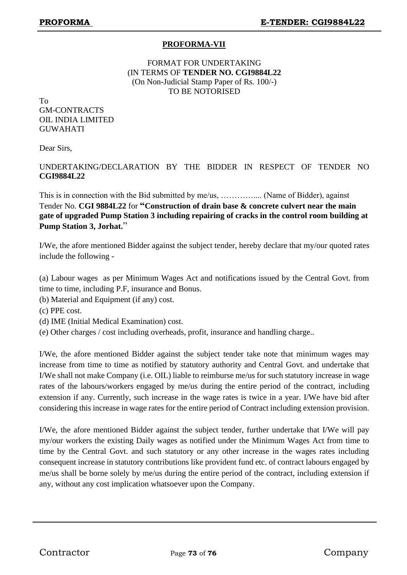## **PROFORMA-VII**

## FORMAT FOR UNDERTAKING (IN TERMS OF **TENDER NO. CGI9884L22** (On Non-Judicial Stamp Paper of Rs. 100/-) TO BE NOTORISED

To GM-CONTRACTS OIL INDIA LIMITED **GUWAHATI** 

Dear Sirs,

## UNDERTAKING/DECLARATION BY THE BIDDER IN RESPECT OF TENDER NO **CGI9884L22**

This is in connection with the Bid submitted by me/us, ………….... (Name of Bidder), against Tender No. **CGI 9884L22** for **"Construction of drain base & concrete culvert near the main gate of upgraded Pump Station 3 including repairing of cracks in the control room building at Pump Station 3, Jorhat.**"

I/We, the afore mentioned Bidder against the subject tender, hereby declare that my/our quoted rates include the following -

(a) Labour wages as per Minimum Wages Act and notifications issued by the Central Govt. from time to time, including P.F, insurance and Bonus.

- (b) Material and Equipment (if any) cost.
- (c) PPE cost.
- (d) IME (Initial Medical Examination) cost.
- (e) Other charges / cost including overheads, profit, insurance and handling charge..

I/We, the afore mentioned Bidder against the subject tender take note that minimum wages may increase from time to time as notified by statutory authority and Central Govt. and undertake that I/We shall not make Company (i.e. OIL) liable to reimburse me/us for such statutory increase in wage rates of the labours/workers engaged by me/us during the entire period of the contract, including extension if any. Currently, such increase in the wage rates is twice in a year. I/We have bid after considering this increase in wage rates for the entire period of Contract including extension provision.

I/We, the afore mentioned Bidder against the subject tender, further undertake that I/We will pay my/our workers the existing Daily wages as notified under the Minimum Wages Act from time to time by the Central Govt. and such statutory or any other increase in the wages rates including consequent increase in statutory contributions like provident fund etc. of contract labours engaged by me/us shall be borne solely by me/us during the entire period of the contract, including extension if any, without any cost implication whatsoever upon the Company.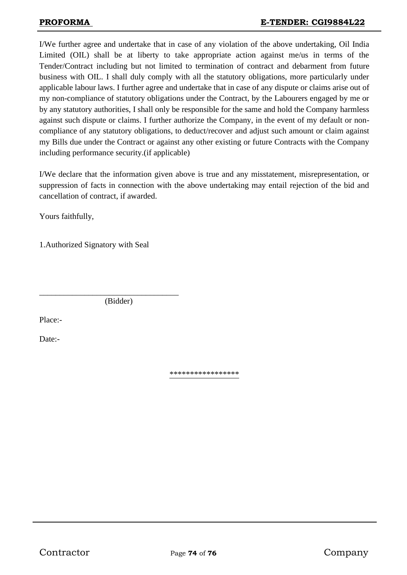I/We further agree and undertake that in case of any violation of the above undertaking, Oil India Limited (OIL) shall be at liberty to take appropriate action against me/us in terms of the Tender/Contract including but not limited to termination of contract and debarment from future business with OIL. I shall duly comply with all the statutory obligations, more particularly under applicable labour laws. I further agree and undertake that in case of any dispute or claims arise out of my non-compliance of statutory obligations under the Contract, by the Labourers engaged by me or by any statutory authorities, I shall only be responsible for the same and hold the Company harmless against such dispute or claims. I further authorize the Company, in the event of my default or noncompliance of any statutory obligations, to deduct/recover and adjust such amount or claim against my Bills due under the Contract or against any other existing or future Contracts with the Company including performance security.(if applicable)

I/We declare that the information given above is true and any misstatement, misrepresentation, or suppression of facts in connection with the above undertaking may entail rejection of the bid and cancellation of contract, if awarded.

Yours faithfully,

1.Authorized Signatory with Seal

(Bidder)

\_\_\_\_\_\_\_\_\_\_\_\_\_\_\_\_\_\_\_\_\_\_\_\_\_\_\_\_\_\_\_\_\_\_

Place:-

Date:-

\*\*\*\*\*\*\*\*\*\*\*\*\*\*\*\*\*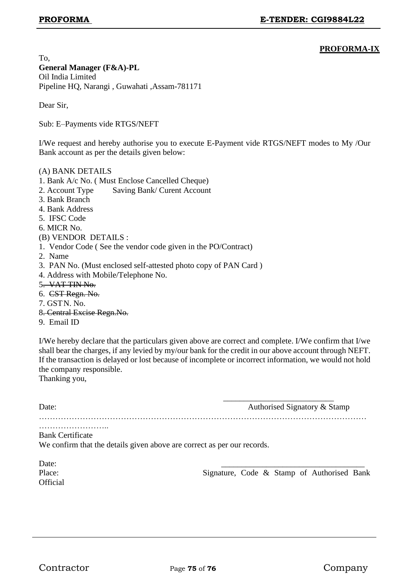### **PROFORMA-IX**

To, **General Manager (F&A)-PL** Oil India Limited Pipeline HQ, Narangi , Guwahati ,Assam-781171

Dear Sir,

Sub: E–Payments vide RTGS/NEFT

I/We request and hereby authorise you to execute E-Payment vide RTGS/NEFT modes to My /Our Bank account as per the details given below:

#### (A) BANK DETAILS

- 1. Bank A/c No. ( Must Enclose Cancelled Cheque)
- 2. Account Type Saving Bank/ Curent Account
- 3. Bank Branch
- 4. Bank Address
- 5. IFSC Code
- 6. MICR No.
- (B) VENDOR DETAILS :
- 1. Vendor Code ( See the vendor code given in the PO/Contract)
- 2. Name
- 3. PAN No. (Must enclosed self-attested photo copy of PAN Card )
- 4. Address with Mobile/Telephone No.
- 5. VAT TIN No.
- 6. CST Regn. No.
- 7. GSTN. No.
- 8. Central Excise Regn.No.
- 9. Email ID

I/We hereby declare that the particulars given above are correct and complete. I/We confirm that I/we shall bear the charges, if any levied by my/our bank for the credit in our above account through NEFT. If the transaction is delayed or lost because of incomplete or incorrect information, we would not hold the company responsible.

Thanking you,

| Date: | Authorised Signatory & Stamp |
|-------|------------------------------|
|       |                              |

 $\frac{1}{\sqrt{2}}$  ,  $\frac{1}{\sqrt{2}}$  ,  $\frac{1}{\sqrt{2}}$  ,  $\frac{1}{\sqrt{2}}$  ,  $\frac{1}{\sqrt{2}}$  ,  $\frac{1}{\sqrt{2}}$  ,  $\frac{1}{\sqrt{2}}$  ,  $\frac{1}{\sqrt{2}}$  ,  $\frac{1}{\sqrt{2}}$  ,  $\frac{1}{\sqrt{2}}$  ,  $\frac{1}{\sqrt{2}}$  ,  $\frac{1}{\sqrt{2}}$  ,  $\frac{1}{\sqrt{2}}$  ,  $\frac{1}{\sqrt{2}}$  ,  $\frac{1}{\sqrt{2}}$ 

……………………..

Bank Certificate

We confirm that the details given above are correct as per our records.

| Date:           |  |  |                                            |  |
|-----------------|--|--|--------------------------------------------|--|
| Place:          |  |  | Signature, Code & Stamp of Authorised Bank |  |
| <b>Official</b> |  |  |                                            |  |